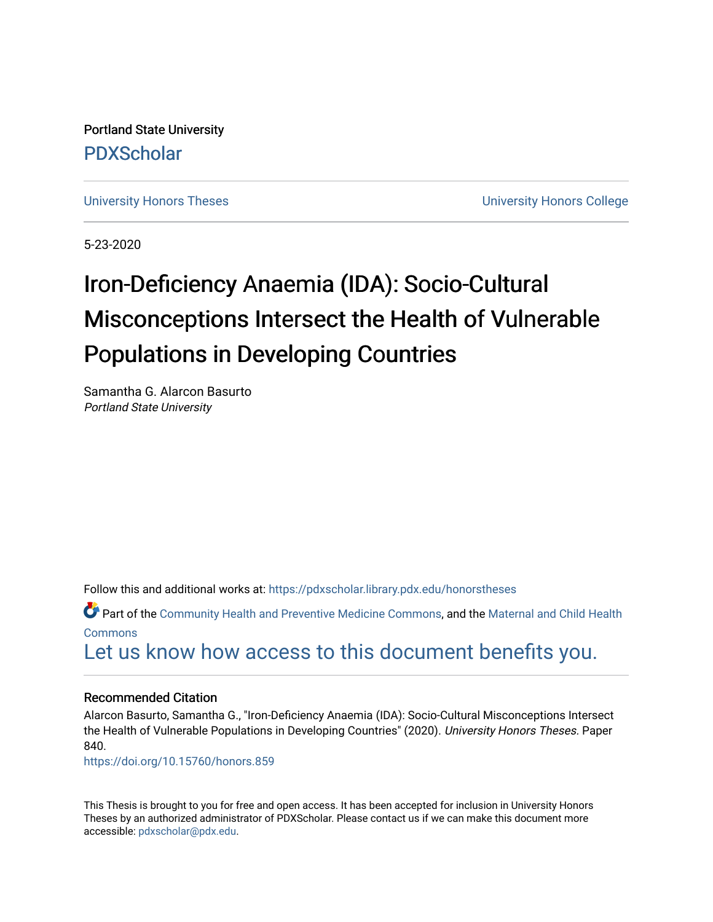Portland State University [PDXScholar](https://pdxscholar.library.pdx.edu/)

[University Honors Theses](https://pdxscholar.library.pdx.edu/honorstheses) **University Honors College** 

5-23-2020

# Iron-Deficiency Anaemia (IDA): Socio-Cultural Misconceptions Intersect the Health of Vulnerable Populations in Developing Countries

Samantha G. Alarcon Basurto Portland State University

Follow this and additional works at: [https://pdxscholar.library.pdx.edu/honorstheses](https://pdxscholar.library.pdx.edu/honorstheses?utm_source=pdxscholar.library.pdx.edu%2Fhonorstheses%2F840&utm_medium=PDF&utm_campaign=PDFCoverPages) 

Part of the [Community Health and Preventive Medicine Commons](http://network.bepress.com/hgg/discipline/744?utm_source=pdxscholar.library.pdx.edu%2Fhonorstheses%2F840&utm_medium=PDF&utm_campaign=PDFCoverPages), and the Maternal and Child Health **[Commons](http://network.bepress.com/hgg/discipline/745?utm_source=pdxscholar.library.pdx.edu%2Fhonorstheses%2F840&utm_medium=PDF&utm_campaign=PDFCoverPages)** 

[Let us know how access to this document benefits you.](http://library.pdx.edu/services/pdxscholar-services/pdxscholar-feedback/) 

#### Recommended Citation

Alarcon Basurto, Samantha G., "Iron-Deficiency Anaemia (IDA): Socio-Cultural Misconceptions Intersect the Health of Vulnerable Populations in Developing Countries" (2020). University Honors Theses. Paper 840.

<https://doi.org/10.15760/honors.859>

This Thesis is brought to you for free and open access. It has been accepted for inclusion in University Honors Theses by an authorized administrator of PDXScholar. Please contact us if we can make this document more accessible: [pdxscholar@pdx.edu.](mailto:pdxscholar@pdx.edu)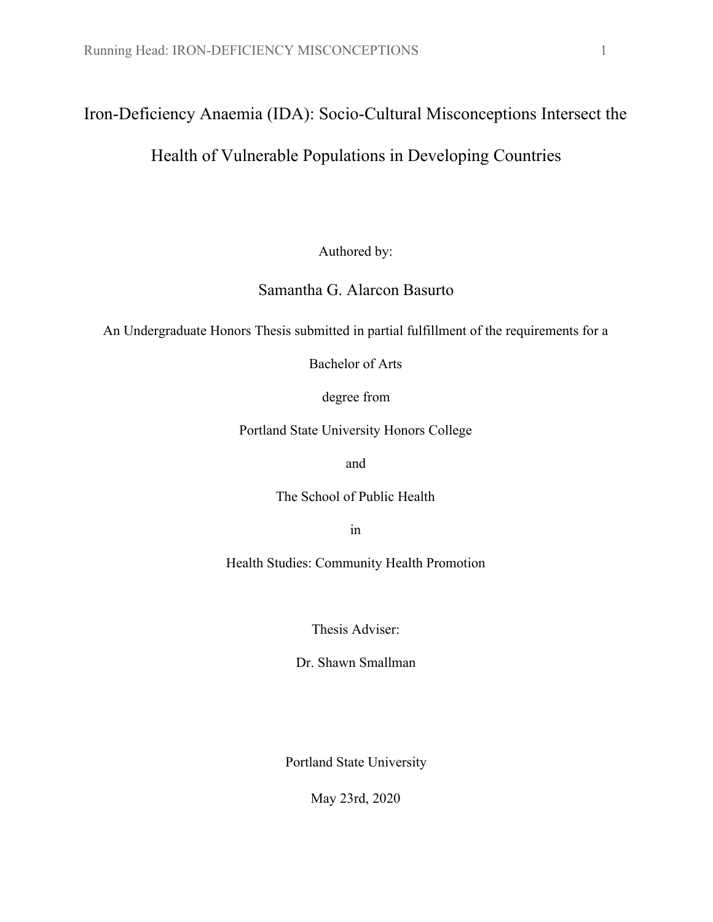# Iron-Deficiency Anaemia (IDA): Socio-Cultural Misconceptions Intersect the

## Health of Vulnerable Populations in Developing Countries

Authored by:

### Samantha G. Alarcon Basurto

An Undergraduate Honors Thesis submitted in partial fulfillment of the requirements for a

Bachelor of Arts

degree from

Portland State University Honors College

and

The School of Public Health

in

Health Studies: Community Health Promotion

Thesis Adviser:

Dr. Shawn Smallman

Portland State University

May 23rd, 2020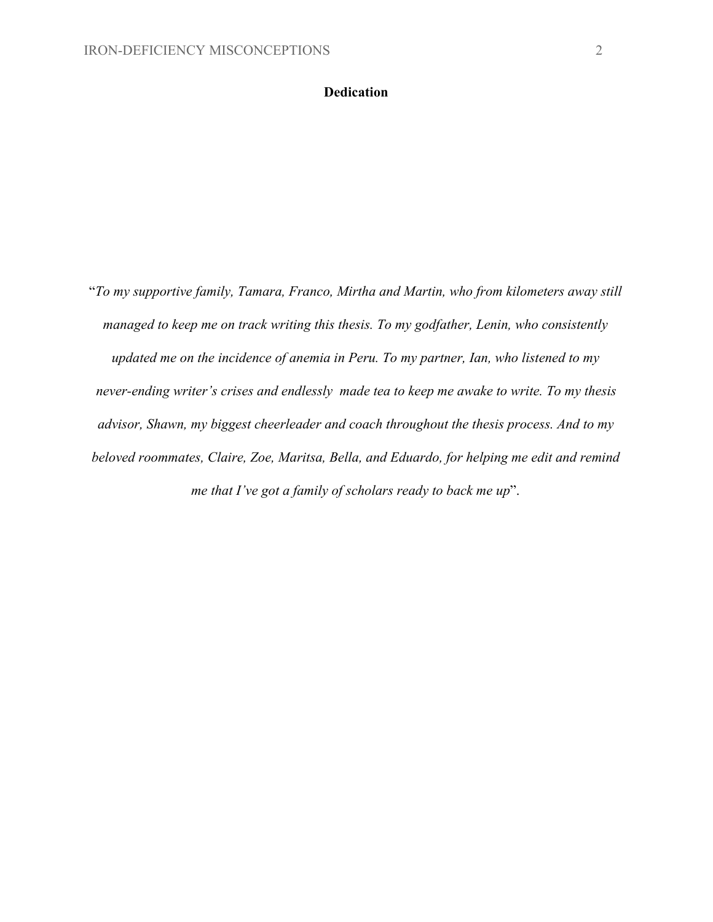#### **Dedication**

"*To my supportive family, Tamara, Franco, Mirtha and Martin, who from kilometers away still managed to keep me on track writing this thesis. To my godfather, Lenin, who consistently updated me on the incidence of anemia in Peru. To my partner, Ian, who listened to my never-ending writer's crises and endlessly made tea to keep me awake to write. To my thesis advisor, Shawn, my biggest cheerleader and coach throughout the thesis process. And to my beloved roommates, Claire, Zoe, Maritsa, Bella, and Eduardo, for helping me edit and remind me that I've got a family of scholars ready to back me up*".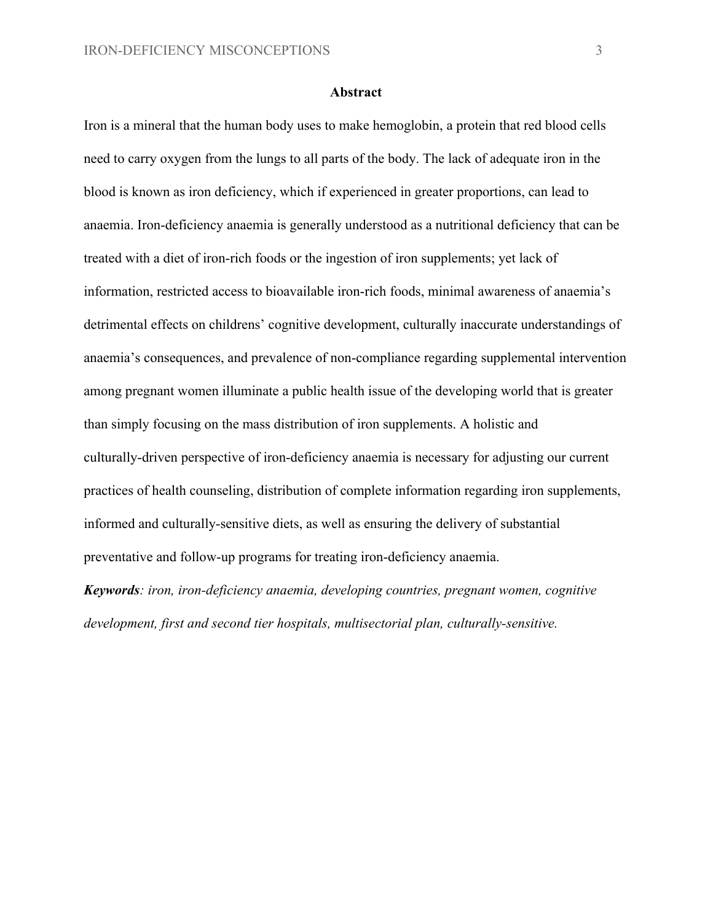#### **Abstract**

Iron is a mineral that the human body uses to make hemoglobin, a protein that red blood cells need to carry oxygen from the lungs to all parts of the body. The lack of adequate iron in the blood is known as iron deficiency, which if experienced in greater proportions, can lead to anaemia. Iron-deficiency anaemia is generally understood as a nutritional deficiency that can be treated with a diet of iron-rich foods or the ingestion of iron supplements; yet lack of information, restricted access to bioavailable iron-rich foods, minimal awareness of anaemia's detrimental effects on childrens' cognitive development, culturally inaccurate understandings of anaemia's consequences, and prevalence of non-compliance regarding supplemental intervention among pregnant women illuminate a public health issue of the developing world that is greater than simply focusing on the mass distribution of iron supplements. A holistic and culturally-driven perspective of iron-deficiency anaemia is necessary for adjusting our current practices of health counseling, distribution of complete information regarding iron supplements, informed and culturally-sensitive diets, as well as ensuring the delivery of substantial preventative and follow-up programs for treating iron-deficiency anaemia.

*Keywords: iron, iron-deficiency anaemia, developing countries, pregnant women, cognitive development, first and second tier hospitals, multisectorial plan, culturally-sensitive.*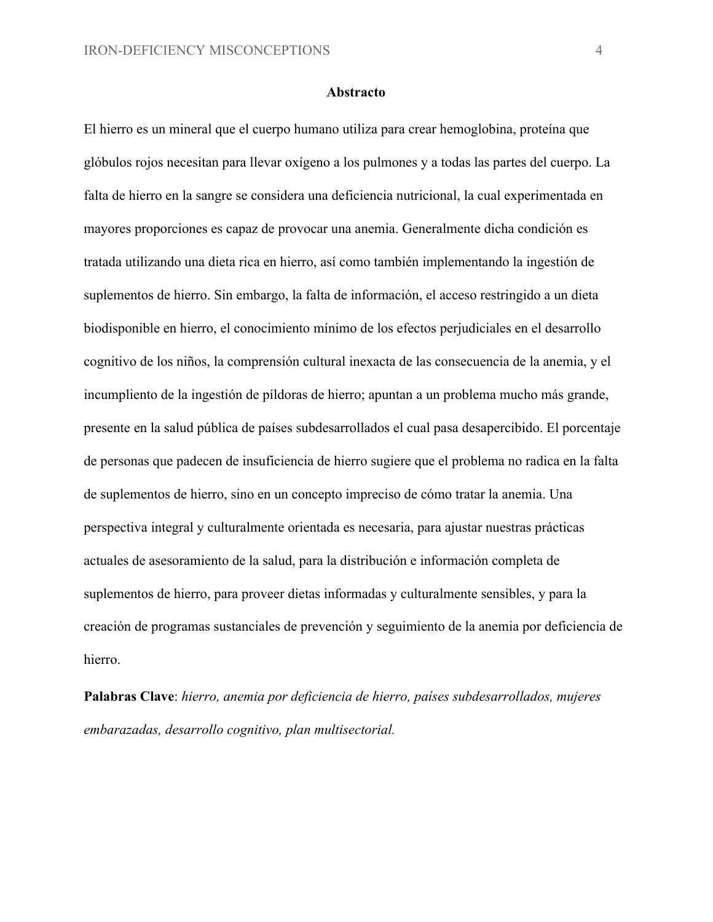#### **Abstracto**

El hierro es un mineral que el cuerpo humano utiliza para crear hemoglobina, proteína que glóbulos rojos necesitan para llevar oxígeno a los pulmones y a todas las partes del cuerpo. La falta de hierro en la sangre se considera una deficiencia nutricional, la cual experimentada en mayores proporciones es capaz de provocar una anemia. Generalmente dicha condición es tratada utilizando una dieta rica en hierro, así como también implementando la ingestión de suplementos de hierro. Sin embargo, la falta de información, el acceso restringido a un dieta biodisponible en hierro, el conocimiento mínimo de los efectos perjudiciales en el desarrollo cognitivo de los niños, la comprensión cultural inexacta de las consecuencia de la anemia, y el incumpliento de la ingestión de píldoras de hierro; apuntan a un problema mucho más grande, presente en la salud pública de países subdesarrollados el cual pasa desapercibido. El porcentaje de personas que padecen de insuficiencia de hierro sugiere que el problema no radica en la falta de suplementos de hierro, sino en un concepto impreciso de cómo tratar la anemia. Una perspectiva integral y culturalmente orientada es necesaria, para ajustar nuestras prácticas actuales de asesoramiento de la salud, para la distribución e información completa de suplementos de hierro, para proveer dietas informadas y culturalmente sensibles, y para la creación de programas sustanciales de prevención y seguimiento de la anemia por deficiencia de hierro.

**Palabras Clave**: *hierro, anemia por deficiencia de hierro, países subdesarrollados, mujeres embarazadas, desarrollo cognitivo, plan multisectorial.*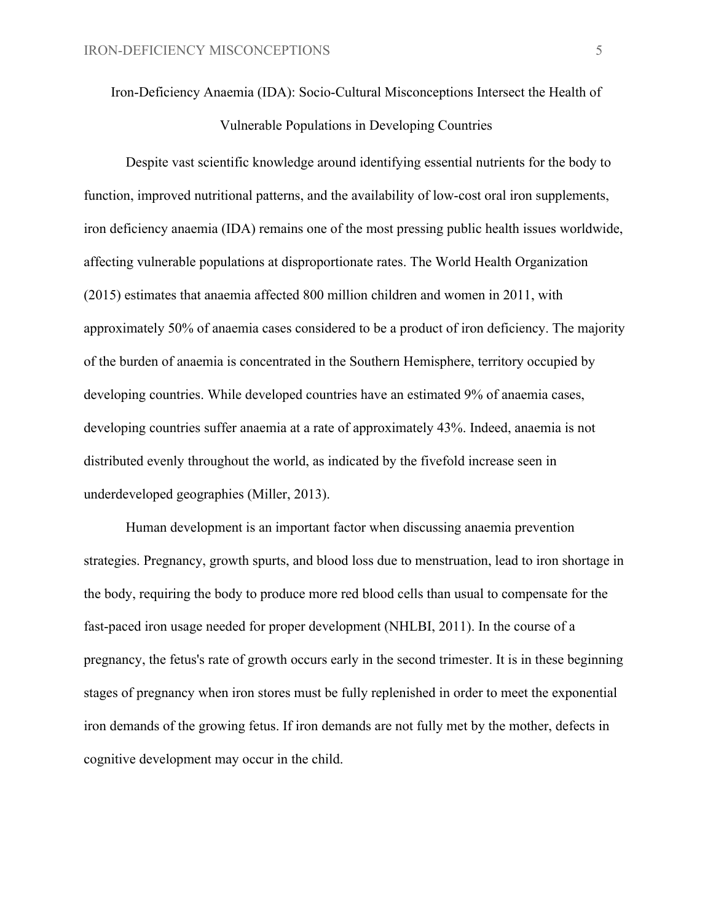Iron-Deficiency Anaemia (IDA): Socio-Cultural Misconceptions Intersect the Health of Vulnerable Populations in Developing Countries

Despite vast scientific knowledge around identifying essential nutrients for the body to function, improved nutritional patterns, and the availability of low-cost oral iron supplements, iron deficiency anaemia (IDA) remains one of the most pressing public health issues worldwide, affecting vulnerable populations at disproportionate rates. The World Health Organization (2015) estimates that anaemia affected 800 million children and women in 2011, with approximately 50% of anaemia cases considered to be a product of iron deficiency. The majority of the burden of anaemia is concentrated in the Southern Hemisphere, territory occupied by developing countries. While developed countries have an estimated 9% of anaemia cases, developing countries suffer anaemia at a rate of approximately 43%. Indeed, anaemia is not distributed evenly throughout the world, as indicated by the fivefold increase seen in underdeveloped geographies (Miller, 2013).

Human development is an important factor when discussing anaemia prevention strategies. Pregnancy, growth spurts, and blood loss due to menstruation, lead to iron shortage in the body, requiring the body to produce more red blood cells than usual to compensate for the fast-paced iron usage needed for proper development (NHLBI, 2011). In the course of a pregnancy, the fetus's rate of growth occurs early in the second trimester. It is in these beginning stages of pregnancy when iron stores must be fully replenished in order to meet the exponential iron demands of the growing fetus. If iron demands are not fully met by the mother, defects in cognitive development may occur in the child.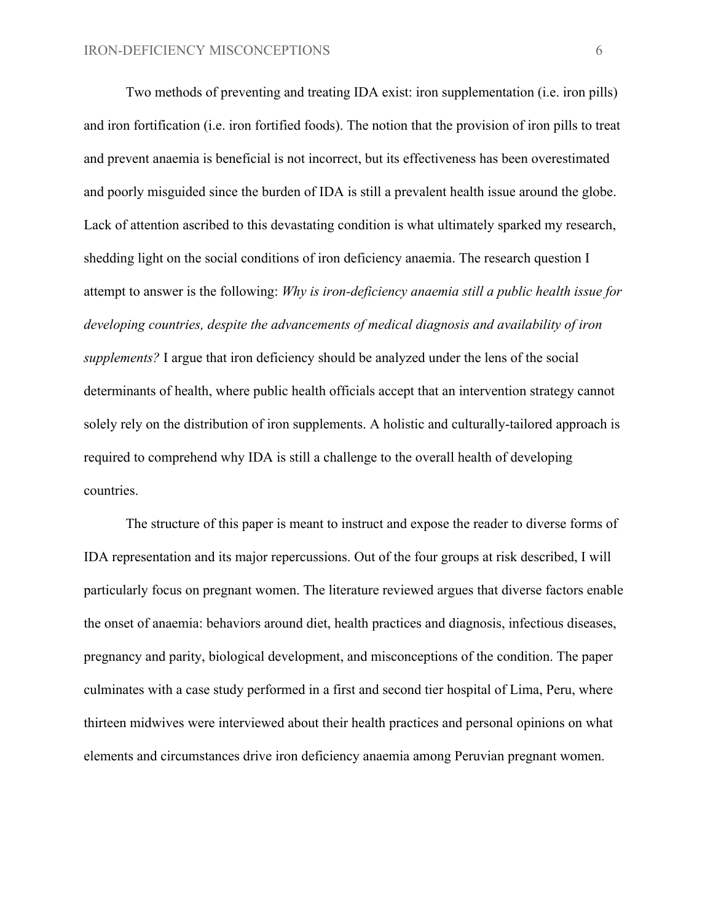Two methods of preventing and treating IDA exist: iron supplementation (i.e. iron pills) and iron fortification (i.e. iron fortified foods). The notion that the provision of iron pills to treat and prevent anaemia is beneficial is not incorrect, but its effectiveness has been overestimated and poorly misguided since the burden of IDA is still a prevalent health issue around the globe. Lack of attention ascribed to this devastating condition is what ultimately sparked my research, shedding light on the social conditions of iron deficiency anaemia. The research question I attempt to answer is the following: *Why is iron-deficiency anaemia still a public health issue for developing countries, despite the advancements of medical diagnosis and availability of iron supplements?* I argue that iron deficiency should be analyzed under the lens of the social determinants of health, where public health officials accept that an intervention strategy cannot solely rely on the distribution of iron supplements. A holistic and culturally-tailored approach is required to comprehend why IDA is still a challenge to the overall health of developing countries.

The structure of this paper is meant to instruct and expose the reader to diverse forms of IDA representation and its major repercussions. Out of the four groups at risk described, I will particularly focus on pregnant women. The literature reviewed argues that diverse factors enable the onset of anaemia: behaviors around diet, health practices and diagnosis, infectious diseases, pregnancy and parity, biological development, and misconceptions of the condition. The paper culminates with a case study performed in a first and second tier hospital of Lima, Peru, where thirteen midwives were interviewed about their health practices and personal opinions on what elements and circumstances drive iron deficiency anaemia among Peruvian pregnant women.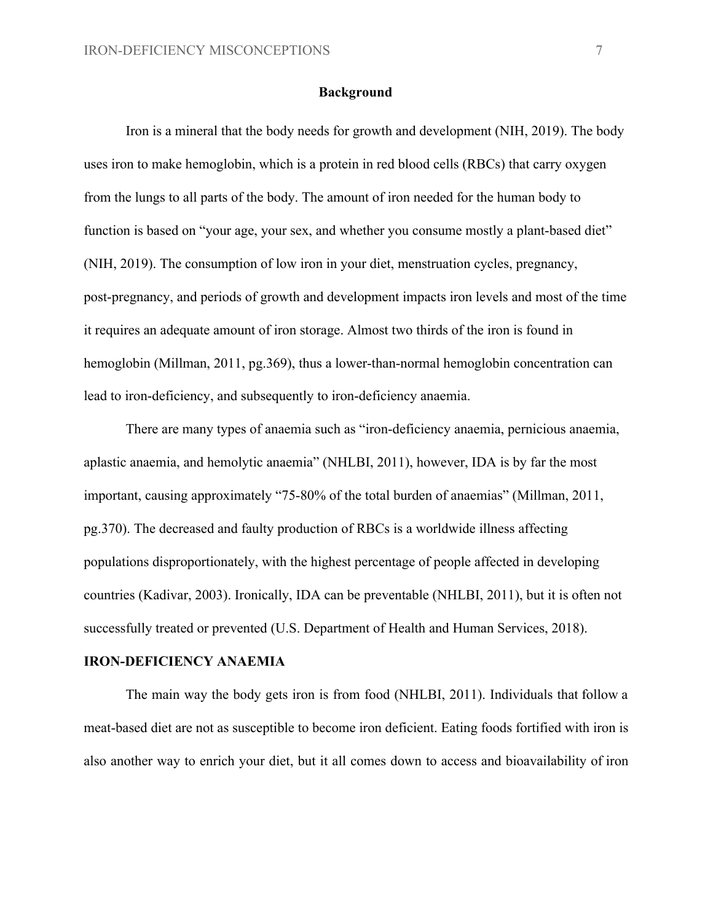#### **Background**

Iron is a mineral that the body needs for growth and development (NIH, 2019). The body uses iron to make hemoglobin, which is a protein in red blood cells (RBCs) that carry oxygen from the lungs to all parts of the body. The amount of iron needed for the human body to function is based on "your age, your sex, and whether you consume mostly a plant-based diet" (NIH, 2019). The consumption of low iron in your diet, menstruation cycles, pregnancy, post-pregnancy, and periods of growth and development impacts iron levels and most of the time it requires an adequate amount of iron storage. Almost two thirds of the iron is found in hemoglobin (Millman, 2011, pg.369), thus a lower-than-normal hemoglobin concentration can lead to iron-deficiency, and subsequently to iron-deficiency anaemia.

There are many types of anaemia such as "iron-deficiency anaemia, pernicious anaemia, aplastic anaemia, and hemolytic anaemia" (NHLBI, 2011), however, IDA is by far the most important, causing approximately "75-80% of the total burden of anaemias" (Millman, 2011, pg.370). The decreased and faulty production of RBCs is a worldwide illness affecting populations disproportionately, with the highest percentage of people affected in developing countries (Kadivar, 2003). Ironically, IDA can be preventable (NHLBI, 2011), but it is often not successfully treated or prevented (U.S. Department of Health and Human Services, 2018).

#### **IRON-DEFICIENCY ANAEMIA**

The main way the body gets iron is from food (NHLBI, 2011). Individuals that follow a meat-based diet are not as susceptible to become iron deficient. Eating foods fortified with iron is also another way to enrich your diet, but it all comes down to access and bioavailability of iron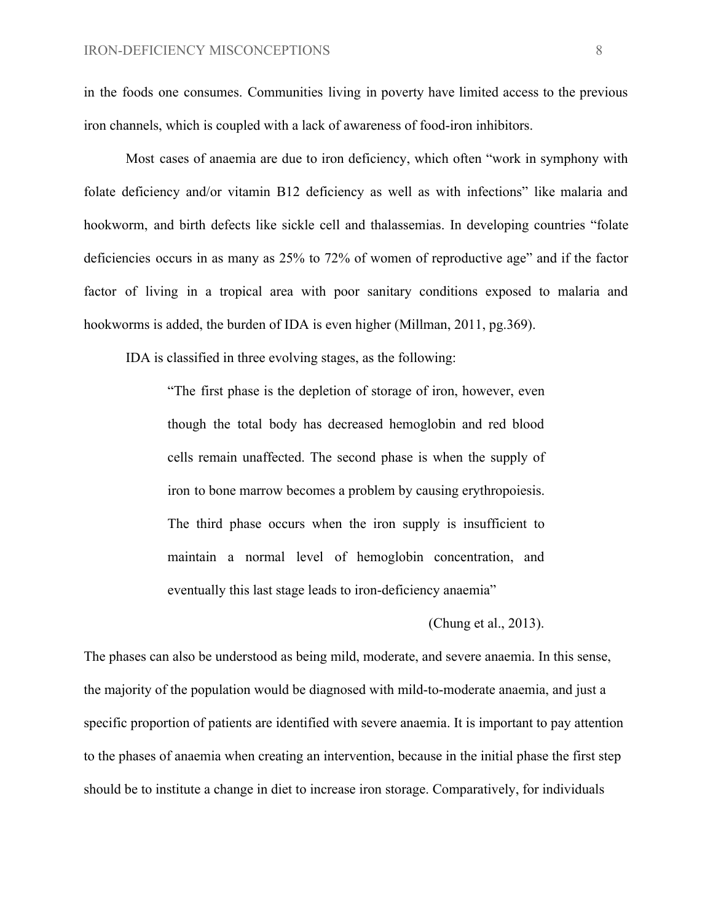in the foods one consumes. Communities living in poverty have limited access to the previous iron channels, which is coupled with a lack of awareness of food-iron inhibitors.

Most cases of anaemia are due to iron deficiency, which often "work in symphony with folate deficiency and/or vitamin B12 deficiency as well as with infections" like malaria and hookworm, and birth defects like sickle cell and thalassemias. In developing countries "folate deficiencies occurs in as many as 25% to 72% of women of reproductive age" and if the factor factor of living in a tropical area with poor sanitary conditions exposed to malaria and hookworms is added, the burden of IDA is even higher (Millman, 2011, pg.369).

IDA is classified in three evolving stages, as the following:

"The first phase is the depletion of storage of iron, however, even though the total body has decreased hemoglobin and red blood cells remain unaffected. The second phase is when the supply of iron to bone marrow becomes a problem by causing erythropoiesis. The third phase occurs when the iron supply is insufficient to maintain a normal level of hemoglobin concentration, and eventually this last stage leads to iron-deficiency anaemia"

(Chung et al., 2013).

The phases can also be understood as being mild, moderate, and severe anaemia. In this sense, the majority of the population would be diagnosed with mild-to-moderate anaemia, and just a specific proportion of patients are identified with severe anaemia. It is important to pay attention to the phases of anaemia when creating an intervention, because in the initial phase the first step should be to institute a change in diet to increase iron storage. Comparatively, for individuals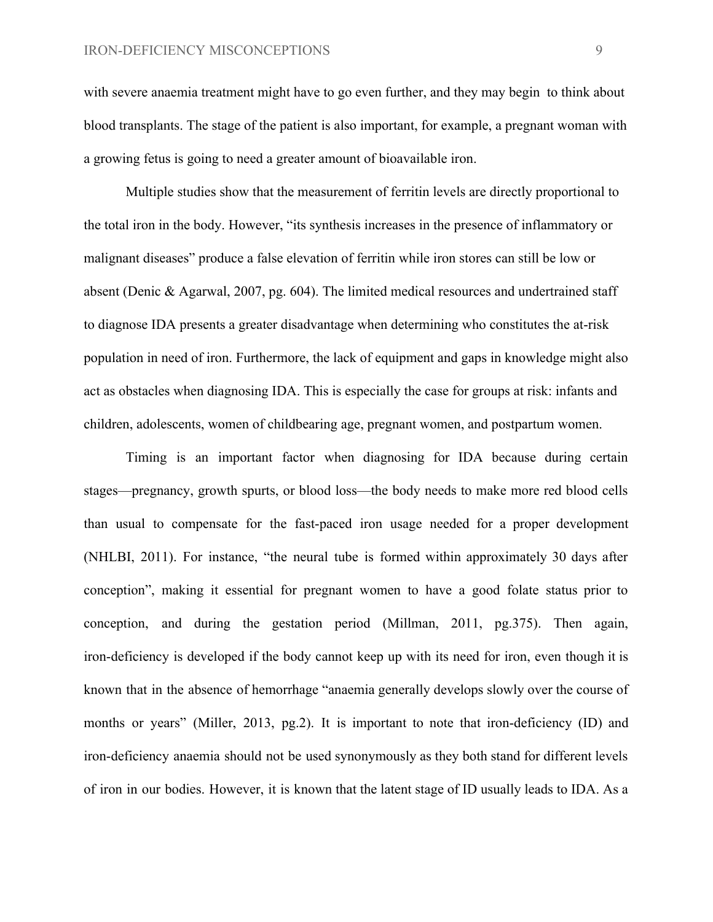with severe anaemia treatment might have to go even further, and they may begin to think about blood transplants. The stage of the patient is also important, for example, a pregnant woman with a growing fetus is going to need a greater amount of bioavailable iron.

Multiple studies show that the measurement of ferritin levels are directly proportional to the total iron in the body. However, "its synthesis increases in the presence of inflammatory or malignant diseases" produce a false elevation of ferritin while iron stores can still be low or absent (Denic & Agarwal, 2007, pg. 604). The limited medical resources and undertrained staff to diagnose IDA presents a greater disadvantage when determining who constitutes the at-risk population in need of iron. Furthermore, the lack of equipment and gaps in knowledge might also act as obstacles when diagnosing IDA. This is especially the case for groups at risk: infants and children, adolescents, women of childbearing age, pregnant women, and postpartum women.

Timing is an important factor when diagnosing for IDA because during certain stages—pregnancy, growth spurts, or blood loss—the body needs to make more red blood cells than usual to compensate for the fast-paced iron usage needed for a proper development (NHLBI, 2011). For instance, "the neural tube is formed within approximately 30 days after conception", making it essential for pregnant women to have a good folate status prior to conception, and during the gestation period (Millman, 2011, pg.375). Then again, iron-deficiency is developed if the body cannot keep up with its need for iron, even though it is known that in the absence of hemorrhage "anaemia generally develops slowly over the course of months or years" (Miller, 2013, pg.2). It is important to note that iron-deficiency (ID) and iron-deficiency anaemia should not be used synonymously as they both stand for different levels of iron in our bodies. However, it is known that the latent stage of ID usually leads to IDA. As a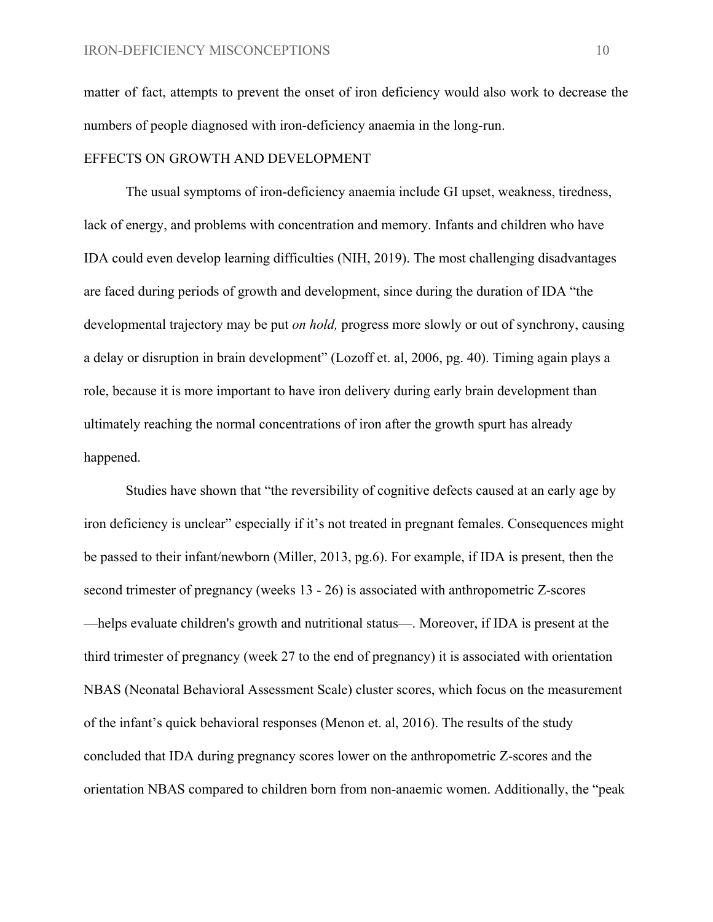matter of fact, attempts to prevent the onset of iron deficiency would also work to decrease the numbers of people diagnosed with iron-deficiency anaemia in the long-run.

#### EFFECTS ON GROWTH AND DEVELOPMENT

The usual symptoms of iron-deficiency anaemia include GI upset, weakness, tiredness, lack of energy, and problems with concentration and memory. Infants and children who have IDA could even develop learning difficulties (NIH, 2019). The most challenging disadvantages are faced during periods of growth and development, since during the duration of IDA "the developmental trajectory may be put *on hold*, progress more slowly or out of synchrony, causing a delay or disruption in brain development" (Lozoff et. al, 2006, pg. 40). Timing again plays a role, because it is more important to have iron delivery during early brain development than ultimately reaching the normal concentrations of iron after the growth spurt has already happened.

Studies have shown that "the reversibility of cognitive defects caused at an early age by iron deficiency is unclear" especially if it's not treated in pregnant females. Consequences might be passed to their infant/newborn (Miller, 2013, pg.6). For example, if IDA is present, then the second trimester of pregnancy (weeks 13 - 26) is associated with anthropometric Z-scores —helps evaluate children's growth and nutritional status—. Moreover, if IDA is present at the third trimester of pregnancy (week 27 to the end of pregnancy) it is associated with orientation NBAS (Neonatal Behavioral Assessment Scale) cluster scores, which focus on the measurement of the infant's quick behavioral responses (Menon et. al, 2016). The results of the study concluded that IDA during pregnancy scores lower on the anthropometric Z-scores and the orientation NBAS compared to children born from non-anaemic women. Additionally, the "peak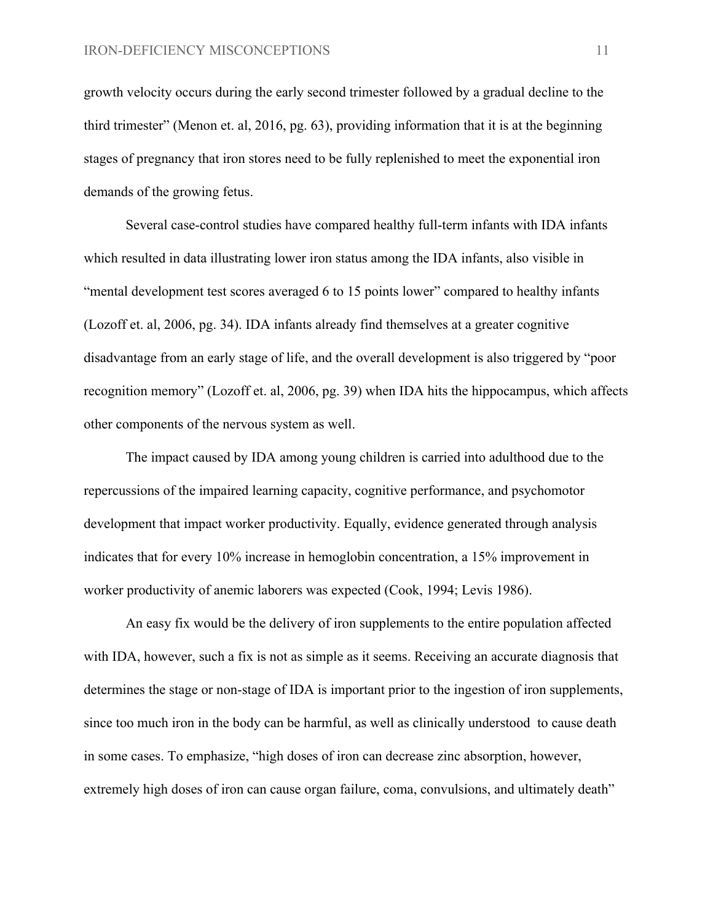growth velocity occurs during the early second trimester followed by a gradual decline to the third trimester" (Menon et. al, 2016, pg. 63), providing information that it is at the beginning stages of pregnancy that iron stores need to be fully replenished to meet the exponential iron demands of the growing fetus.

Several case-control studies have compared healthy full-term infants with IDA infants which resulted in data illustrating lower iron status among the IDA infants, also visible in "mental development test scores averaged 6 to 15 points lower" compared to healthy infants (Lozoff et. al, 2006, pg. 34). IDA infants already find themselves at a greater cognitive disadvantage from an early stage of life, and the overall development is also triggered by "poor recognition memory" (Lozoff et. al, 2006, pg. 39) when IDA hits the hippocampus, which affects other components of the nervous system as well.

The impact caused by IDA among young children is carried into adulthood due to the repercussions of the impaired learning capacity, cognitive performance, and psychomotor development that impact worker productivity. Equally, evidence generated through analysis indicates that for every 10% increase in hemoglobin concentration, a 15% improvement in worker productivity of anemic laborers was expected (Cook, 1994; Levis 1986).

An easy fix would be the delivery of iron supplements to the entire population affected with IDA, however, such a fix is not as simple as it seems. Receiving an accurate diagnosis that determines the stage or non-stage of IDA is important prior to the ingestion of iron supplements, since too much iron in the body can be harmful, as well as clinically understood to cause death in some cases. To emphasize, "high doses of iron can decrease zinc absorption, however, extremely high doses of iron can cause organ failure, coma, convulsions, and ultimately death"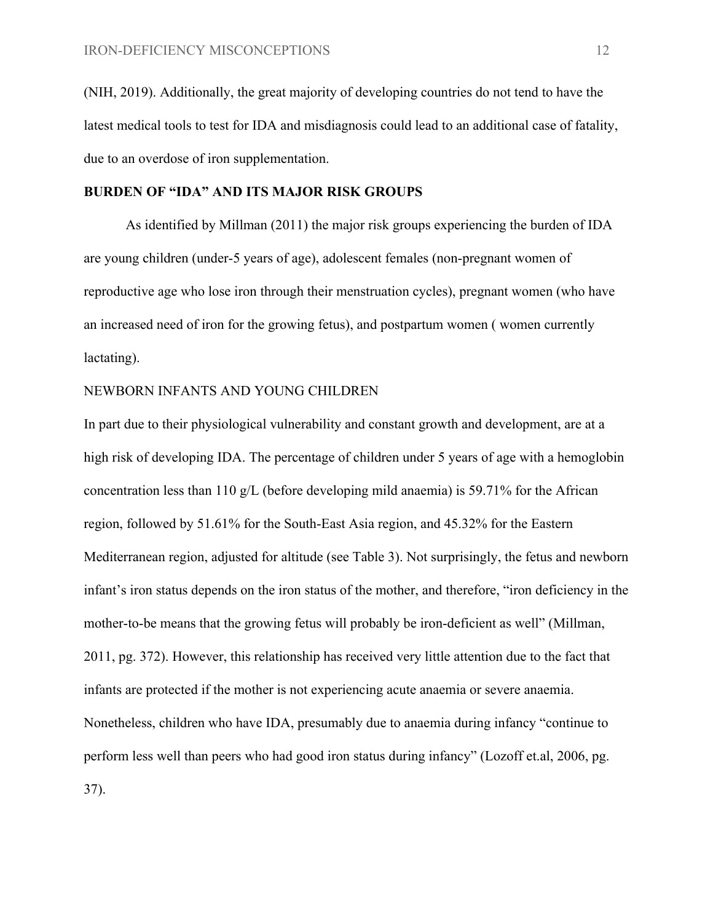(NIH, 2019). Additionally, the great majority of developing countries do not tend to have the latest medical tools to test for IDA and misdiagnosis could lead to an additional case of fatality, due to an overdose of iron supplementation.

#### **BURDEN OF "IDA" AND ITS MAJOR RISK GROUPS**

As identified by Millman (2011) the major risk groups experiencing the burden of IDA are young children (under-5 years of age), adolescent females (non-pregnant women of reproductive age who lose iron through their menstruation cycles), pregnant women (who have an increased need of iron for the growing fetus), and postpartum women ( women currently lactating).

#### NEWBORN INFANTS AND YOUNG CHILDREN

In part due to their physiological vulnerability and constant growth and development, are at a high risk of developing IDA. The percentage of children under 5 years of age with a hemoglobin concentration less than 110 g/L (before developing mild anaemia) is 59.71% for the African region, followed by 51.61% for the South-East Asia region, and 45.32% for the Eastern Mediterranean region, adjusted for altitude (see Table 3). Not surprisingly, the fetus and newborn infant's iron status depends on the iron status of the mother, and therefore, "iron deficiency in the mother-to-be means that the growing fetus will probably be iron-deficient as well" (Millman, 2011, pg. 372). However, this relationship has received very little attention due to the fact that infants are protected if the mother is not experiencing acute anaemia or severe anaemia. Nonetheless, children who have IDA, presumably due to anaemia during infancy "continue to perform less well than peers who had good iron status during infancy" (Lozoff et.al, 2006, pg. 37).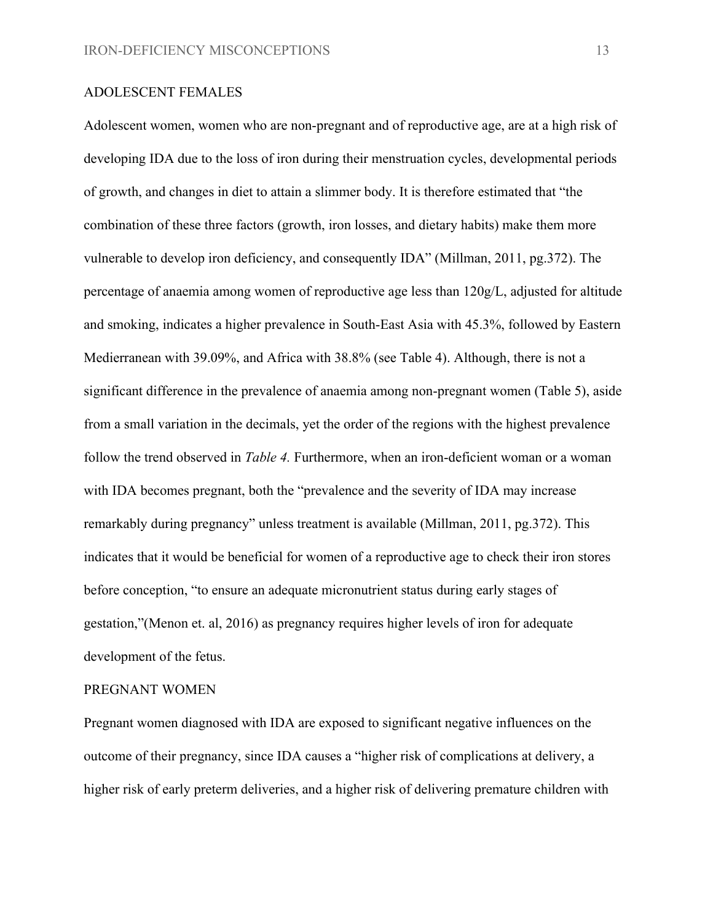#### ADOLESCENT FEMALES

Adolescent women, women who are non-pregnant and of reproductive age, are at a high risk of developing IDA due to the loss of iron during their menstruation cycles, developmental periods of growth, and changes in diet to attain a slimmer body. It is therefore estimated that "the combination of these three factors (growth, iron losses, and dietary habits) make them more vulnerable to develop iron deficiency, and consequently IDA" (Millman, 2011, pg.372). The percentage of anaemia among women of reproductive age less than 120g/L, adjusted for altitude and smoking, indicates a higher prevalence in South-East Asia with 45.3%, followed by Eastern Medierranean with 39.09%, and Africa with 38.8% (see Table 4). Although, there is not a significant difference in the prevalence of anaemia among non-pregnant women (Table 5), aside from a small variation in the decimals, yet the order of the regions with the highest prevalence follow the trend observed in *Table 4.* Furthermore, when an iron-deficient woman or a woman with IDA becomes pregnant, both the "prevalence and the severity of IDA may increase" remarkably during pregnancy" unless treatment is available (Millman, 2011, pg.372). This indicates that it would be beneficial for women of a reproductive age to check their iron stores before conception, "to ensure an adequate micronutrient status during early stages of gestation,"(Menon et. al, 2016) as pregnancy requires higher levels of iron for adequate development of the fetus.

#### PREGNANT WOMEN

Pregnant women diagnosed with IDA are exposed to significant negative influences on the outcome of their pregnancy, since IDA causes a "higher risk of complications at delivery, a higher risk of early preterm deliveries, and a higher risk of delivering premature children with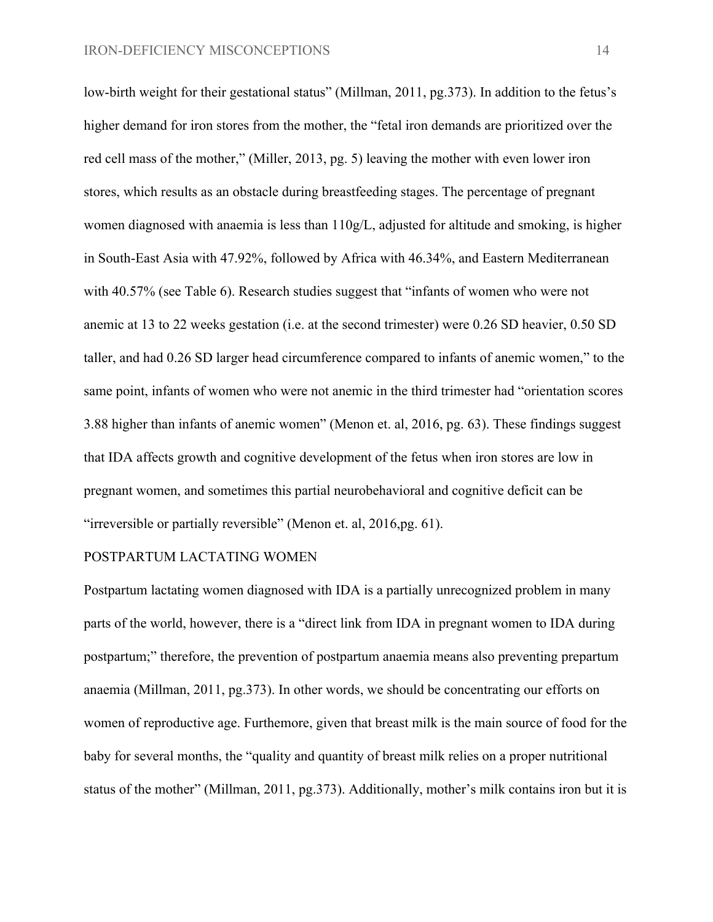low-birth weight for their gestational status" (Millman, 2011, pg.373). In addition to the fetus's higher demand for iron stores from the mother, the "fetal iron demands are prioritized over the red cell mass of the mother," (Miller, 2013, pg. 5) leaving the mother with even lower iron stores, which results as an obstacle during breastfeeding stages. The percentage of pregnant women diagnosed with anaemia is less than 110g/L, adjusted for altitude and smoking, is higher in South-East Asia with 47.92%, followed by Africa with 46.34%, and Eastern Mediterranean with 40.57% (see Table 6). Research studies suggest that "infants of women who were not anemic at 13 to 22 weeks gestation (i.e. at the second trimester) were 0.26 SD heavier, 0.50 SD taller, and had 0.26 SD larger head circumference compared to infants of anemic women," to the same point, infants of women who were not anemic in the third trimester had "orientation scores 3.88 higher than infants of anemic women" (Menon et. al, 2016, pg. 63). These findings suggest that IDA affects growth and cognitive development of the fetus when iron stores are low in pregnant women, and sometimes this partial neurobehavioral and cognitive deficit can be "irreversible or partially reversible" (Menon et. al, 2016,pg. 61).

#### POSTPARTUM LACTATING WOMEN

Postpartum lactating women diagnosed with IDA is a partially unrecognized problem in many parts of the world, however, there is a "direct link from IDA in pregnant women to IDA during postpartum;" therefore, the prevention of postpartum anaemia means also preventing prepartum anaemia (Millman, 2011, pg.373). In other words, we should be concentrating our efforts on women of reproductive age. Furthemore, given that breast milk is the main source of food for the baby for several months, the "quality and quantity of breast milk relies on a proper nutritional status of the mother" (Millman, 2011, pg.373). Additionally, mother's milk contains iron but it is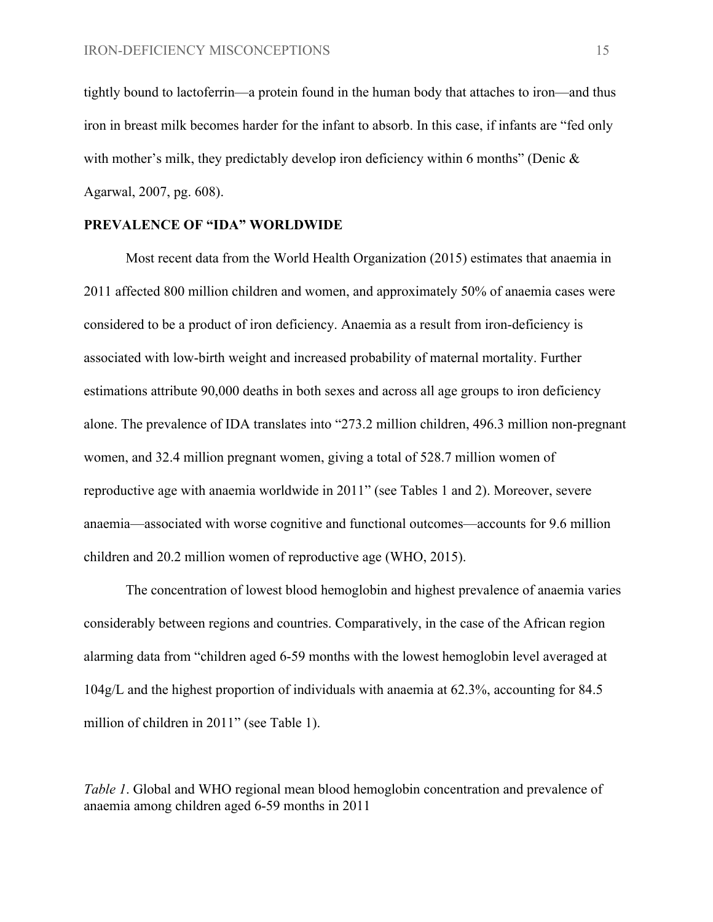tightly bound to lactoferrin—a protein found in the human body that attaches to iron—and thus iron in breast milk becomes harder for the infant to absorb. In this case, if infants are "fed only with mother's milk, they predictably develop iron deficiency within 6 months" (Denic  $\&$ Agarwal, 2007, pg. 608).

#### **PREVALENCE OF "IDA" WORLDWIDE**

Most recent data from the World Health Organization (2015) estimates that anaemia in 2011 affected 800 million children and women, and approximately 50% of anaemia cases were considered to be a product of iron deficiency. Anaemia as a result from iron-deficiency is associated with low-birth weight and increased probability of maternal mortality. Further estimations attribute 90,000 deaths in both sexes and across all age groups to iron deficiency alone. The prevalence of IDA translates into "273.2 million children, 496.3 million non-pregnant women, and 32.4 million pregnant women, giving a total of 528.7 million women of reproductive age with anaemia worldwide in 2011" (see Tables 1 and 2). Moreover, severe anaemia—associated with worse cognitive and functional outcomes—accounts for 9.6 million children and 20.2 million women of reproductive age (WHO, 2015).

The concentration of lowest blood hemoglobin and highest prevalence of anaemia varies considerably between regions and countries. Comparatively, in the case of the African region alarming data from "children aged 6-59 months with the lowest hemoglobin level averaged at 104g/L and the highest proportion of individuals with anaemia at 62.3%, accounting for 84.5 million of children in 2011" (see Table 1).

*Table 1*. Global and WHO regional mean blood hemoglobin concentration and prevalence of anaemia among children aged 6-59 months in 2011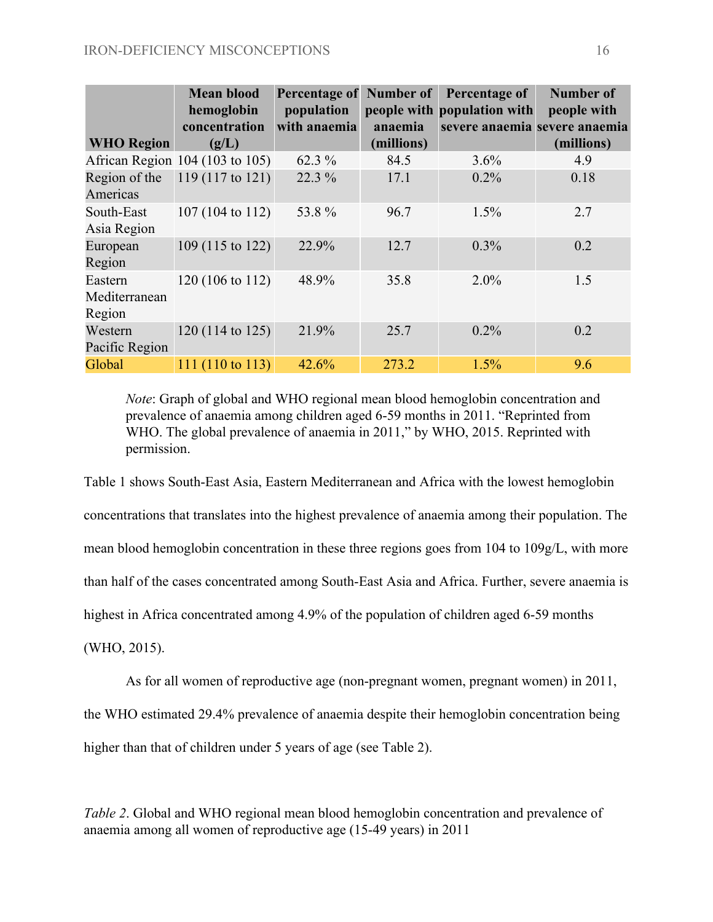|                                    | <b>Mean blood</b><br>hemoglobin<br>concentration | Percentage of<br>population<br>with anaemia | Number of<br>anaemia | Percentage of<br>people with population with<br>severe anaemia severe anaemia | <b>Number of</b><br>people with |
|------------------------------------|--------------------------------------------------|---------------------------------------------|----------------------|-------------------------------------------------------------------------------|---------------------------------|
| <b>WHO Region</b>                  | (g/L)                                            |                                             | (millions)           |                                                                               | (millions)                      |
|                                    | African Region 104 (103 to 105)                  | 62.3 %                                      | 84.5                 | 3.6%                                                                          | 4.9                             |
| Region of the<br>Americas          | $119(117 \text{ to } 121)$                       | 22.3 %                                      | 17.1                 | 0.2%                                                                          | 0.18                            |
| South-East<br>Asia Region          | 107 (104 to 112)                                 | 53.8%                                       | 96.7                 | 1.5%                                                                          | 2.7                             |
| European<br>Region                 | 109 (115 to 122)                                 | 22.9%                                       | 12.7                 | $0.3\%$                                                                       | 0.2                             |
| Eastern<br>Mediterranean<br>Region | 120 (106 to 112)                                 | 48.9%                                       | 35.8                 | $2.0\%$                                                                       | 1.5                             |
| Western<br>Pacific Region          | $120(114 \text{ to } 125)$                       | 21.9%                                       | 25.7                 | 0.2%                                                                          | 0.2                             |
| Global                             | 111 (110 to 113)                                 | 42.6%                                       | 273.2                | 1.5%                                                                          | 9.6                             |

*Note*: Graph of global and WHO regional mean blood hemoglobin concentration and prevalence of anaemia among children aged 6-59 months in 2011. "Reprinted from WHO. The global prevalence of anaemia in 2011," by WHO, 2015. Reprinted with permission.

Table 1 shows South-East Asia, Eastern Mediterranean and Africa with the lowest hemoglobin concentrations that translates into the highest prevalence of anaemia among their population. The mean blood hemoglobin concentration in these three regions goes from 104 to 109g/L, with more than half of the cases concentrated among South-East Asia and Africa. Further, severe anaemia is highest in Africa concentrated among 4.9% of the population of children aged 6-59 months (WHO, 2015).

As for all women of reproductive age (non-pregnant women, pregnant women) in 2011,

the WHO estimated 29.4% prevalence of anaemia despite their hemoglobin concentration being

higher than that of children under 5 years of age (see Table 2).

*Table 2*. Global and WHO regional mean blood hemoglobin concentration and prevalence of anaemia among all women of reproductive age (15-49 years) in 2011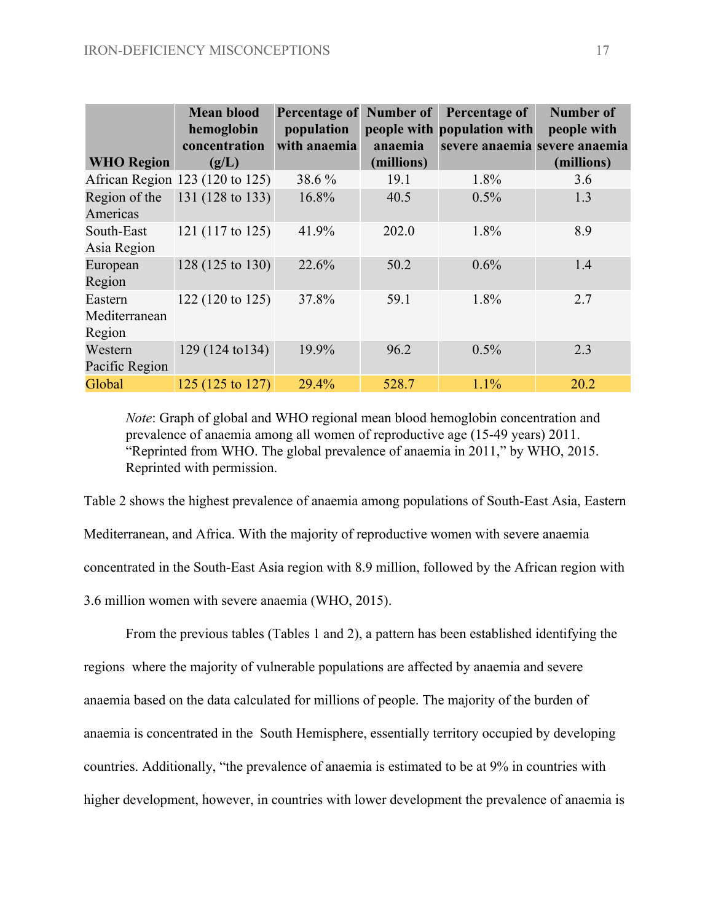| <b>WHO Region</b>                  | <b>Mean blood</b><br>hemoglobin<br>concentration<br>(g/L) | <b>Percentage of</b><br>population<br>with anaemia | Number of<br>anaemia<br>(millions) | Percentage of<br>people with population with<br>severe anaemia severe anaemia | <b>Number of</b><br>people with<br>(millions) |
|------------------------------------|-----------------------------------------------------------|----------------------------------------------------|------------------------------------|-------------------------------------------------------------------------------|-----------------------------------------------|
|                                    | African Region 123 (120 to 125)                           | 38.6%                                              | 19.1                               | 1.8%                                                                          | 3.6                                           |
| Region of the<br>Americas          | 131 (128 to 133)                                          | 16.8%                                              | 40.5                               | 0.5%                                                                          | 1.3                                           |
| South-East<br>Asia Region          | 121 (117 to 125)                                          | 41.9%                                              | 202.0                              | 1.8%                                                                          | 8.9                                           |
| European<br>Region                 | 128 (125 to 130)                                          | 22.6%                                              | 50.2                               | 0.6%                                                                          | 1.4                                           |
| Eastern<br>Mediterranean<br>Region | 122 (120 to 125)                                          | 37.8%                                              | 59.1                               | 1.8%                                                                          | 2.7                                           |
| Western<br>Pacific Region          | $129(124 \text{ to } 134)$                                | 19.9%                                              | 96.2                               | 0.5%                                                                          | 2.3                                           |
| Global                             | 125 (125 to 127)                                          | 29.4%                                              | 528.7                              | 1.1%                                                                          | 20.2                                          |

*Note*: Graph of global and WHO regional mean blood hemoglobin concentration and prevalence of anaemia among all women of reproductive age (15-49 years) 2011. "Reprinted from WHO. The global prevalence of anaemia in 2011," by WHO, 2015. Reprinted with permission.

Table 2 shows the highest prevalence of anaemia among populations of South-East Asia, Eastern Mediterranean, and Africa. With the majority of reproductive women with severe anaemia concentrated in the South-East Asia region with 8.9 million, followed by the African region with 3.6 million women with severe anaemia (WHO, 2015).

From the previous tables (Tables 1 and 2), a pattern has been established identifying the regions where the majority of vulnerable populations are affected by anaemia and severe anaemia based on the data calculated for millions of people. The majority of the burden of anaemia is concentrated in the South Hemisphere, essentially territory occupied by developing countries. Additionally, "the prevalence of anaemia is estimated to be at 9% in countries with higher development, however, in countries with lower development the prevalence of anaemia is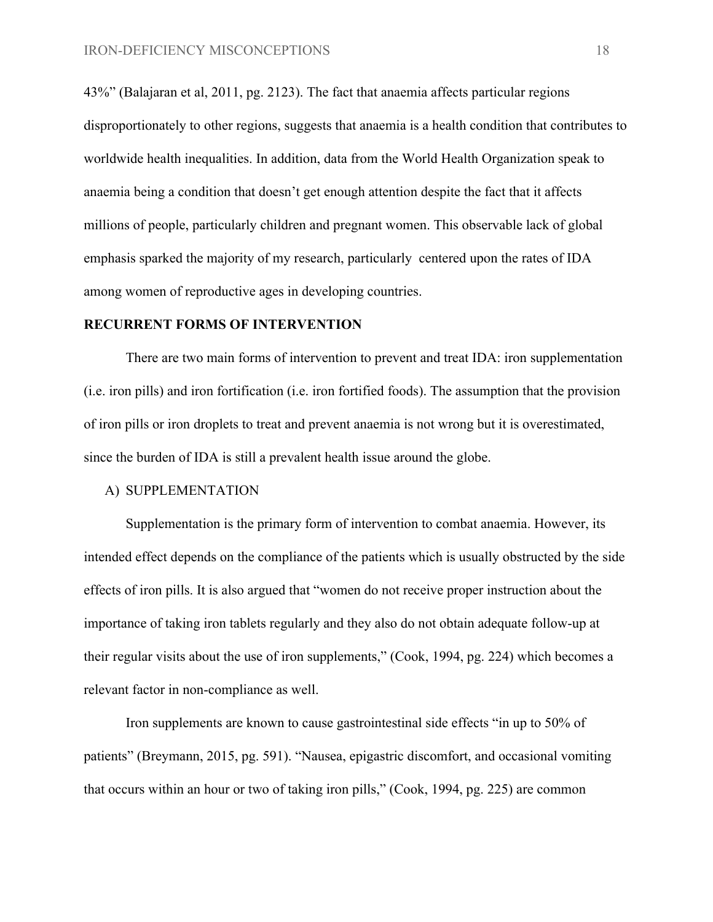43%" (Balajaran et al, 2011, pg. 2123). The fact that anaemia affects particular regions disproportionately to other regions, suggests that anaemia is a health condition that contributes to worldwide health inequalities. In addition, data from the World Health Organization speak to anaemia being a condition that doesn't get enough attention despite the fact that it affects millions of people, particularly children and pregnant women. This observable lack of global emphasis sparked the majority of my research, particularly centered upon the rates of IDA among women of reproductive ages in developing countries.

#### **RECURRENT FORMS OF INTERVENTION**

There are two main forms of intervention to prevent and treat IDA: iron supplementation (i.e. iron pills) and iron fortification (i.e. iron fortified foods). The assumption that the provision of iron pills or iron droplets to treat and prevent anaemia is not wrong but it is overestimated, since the burden of IDA is still a prevalent health issue around the globe.

#### A) SUPPLEMENTATION

Supplementation is the primary form of intervention to combat anaemia. However, its intended effect depends on the compliance of the patients which is usually obstructed by the side effects of iron pills. It is also argued that "women do not receive proper instruction about the importance of taking iron tablets regularly and they also do not obtain adequate follow-up at their regular visits about the use of iron supplements," (Cook, 1994, pg. 224) which becomes a relevant factor in non-compliance as well.

Iron supplements are known to cause gastrointestinal side effects "in up to 50% of patients" (Breymann, 2015, pg. 591). "Nausea, epigastric discomfort, and occasional vomiting that occurs within an hour or two of taking iron pills," (Cook, 1994, pg. 225) are common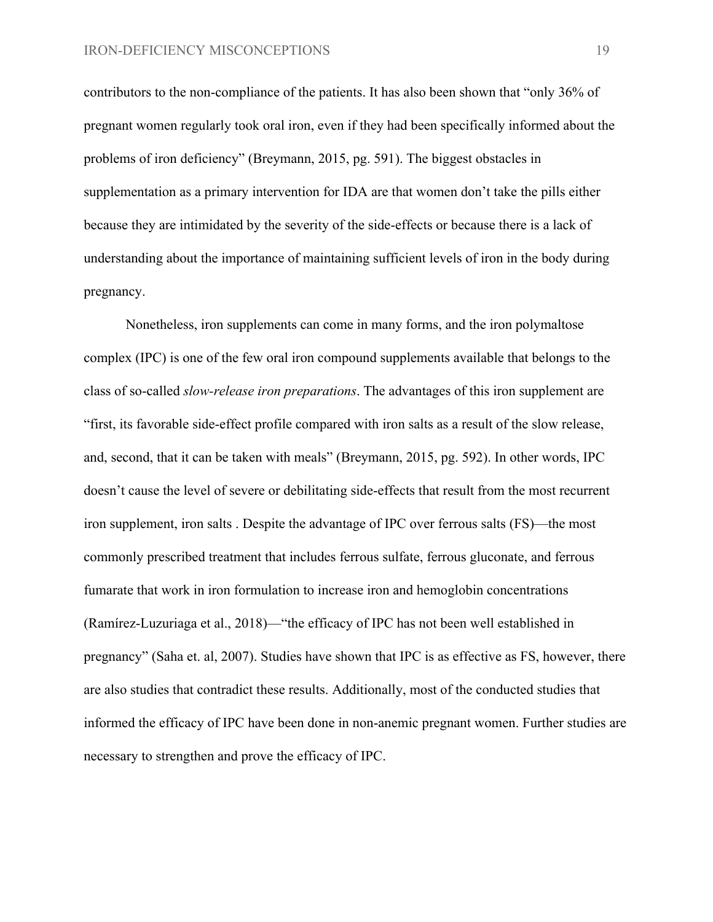contributors to the non-compliance of the patients. It has also been shown that "only 36% of pregnant women regularly took oral iron, even if they had been specifically informed about the problems of iron deficiency" (Breymann, 2015, pg. 591). The biggest obstacles in supplementation as a primary intervention for IDA are that women don't take the pills either because they are intimidated by the severity of the side-effects or because there is a lack of understanding about the importance of maintaining sufficient levels of iron in the body during pregnancy.

Nonetheless, iron supplements can come in many forms, and the iron polymaltose complex (IPC) is one of the few oral iron compound supplements available that belongs to the class of so-called *slow-release iron preparations*. The advantages of this iron supplement are "first, its favorable side-effect profile compared with iron salts as a result of the slow release, and, second, that it can be taken with meals" (Breymann, 2015, pg. 592). In other words, IPC doesn't cause the level of severe or debilitating side-effects that result from the most recurrent iron supplement, iron salts . Despite the advantage of IPC over ferrous salts (FS)—the most commonly prescribed treatment that includes ferrous sulfate, ferrous gluconate, and ferrous fumarate that work in iron formulation to increase iron and hemoglobin concentrations (Ramírez-Luzuriaga et al., 2018)—"the efficacy of IPC has not been well established in pregnancy" (Saha et. al, 2007). Studies have shown that IPC is as effective as FS, however, there are also studies that contradict these results. Additionally, most of the conducted studies that informed the efficacy of IPC have been done in non-anemic pregnant women. Further studies are necessary to strengthen and prove the efficacy of IPC.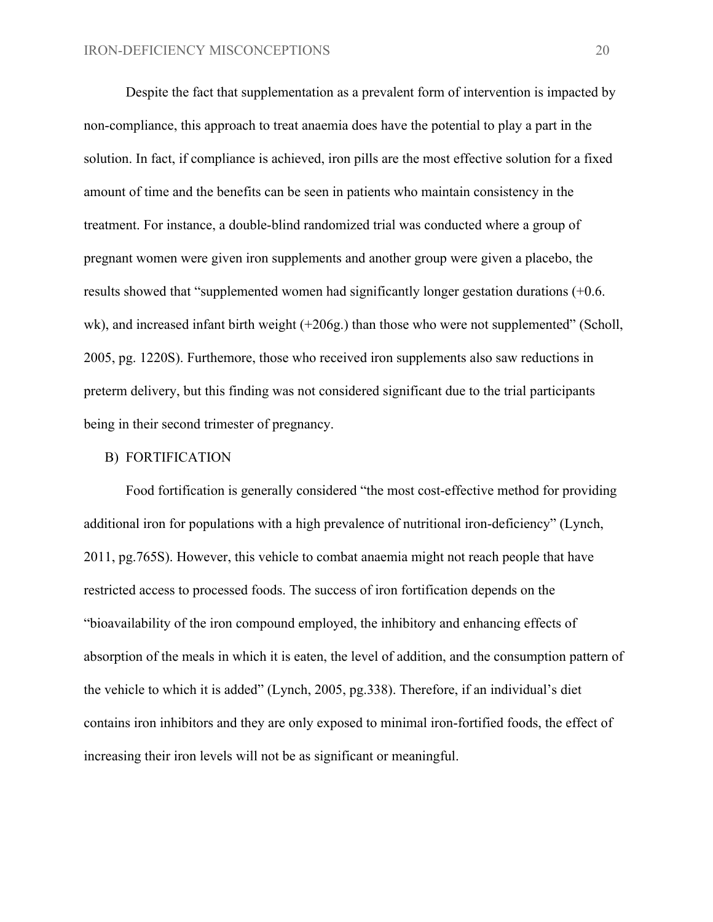Despite the fact that supplementation as a prevalent form of intervention is impacted by non-compliance, this approach to treat anaemia does have the potential to play a part in the solution. In fact, if compliance is achieved, iron pills are the most effective solution for a fixed amount of time and the benefits can be seen in patients who maintain consistency in the treatment. For instance, a double-blind randomized trial was conducted where a group of pregnant women were given iron supplements and another group were given a placebo, the results showed that "supplemented women had significantly longer gestation durations (+0.6. wk), and increased infant birth weight (+206g.) than those who were not supplemented" (Scholl, 2005, pg. 1220S). Furthemore, those who received iron supplements also saw reductions in preterm delivery, but this finding was not considered significant due to the trial participants being in their second trimester of pregnancy.

#### B) FORTIFICATION

Food fortification is generally considered "the most cost-effective method for providing additional iron for populations with a high prevalence of nutritional iron-deficiency" (Lynch, 2011, pg.765S). However, this vehicle to combat anaemia might not reach people that have restricted access to processed foods. The success of iron fortification depends on the "bioavailability of the iron compound employed, the inhibitory and enhancing effects of absorption of the meals in which it is eaten, the level of addition, and the consumption pattern of the vehicle to which it is added" (Lynch, 2005, pg.338). Therefore, if an individual's diet contains iron inhibitors and they are only exposed to minimal iron-fortified foods, the effect of increasing their iron levels will not be as significant or meaningful.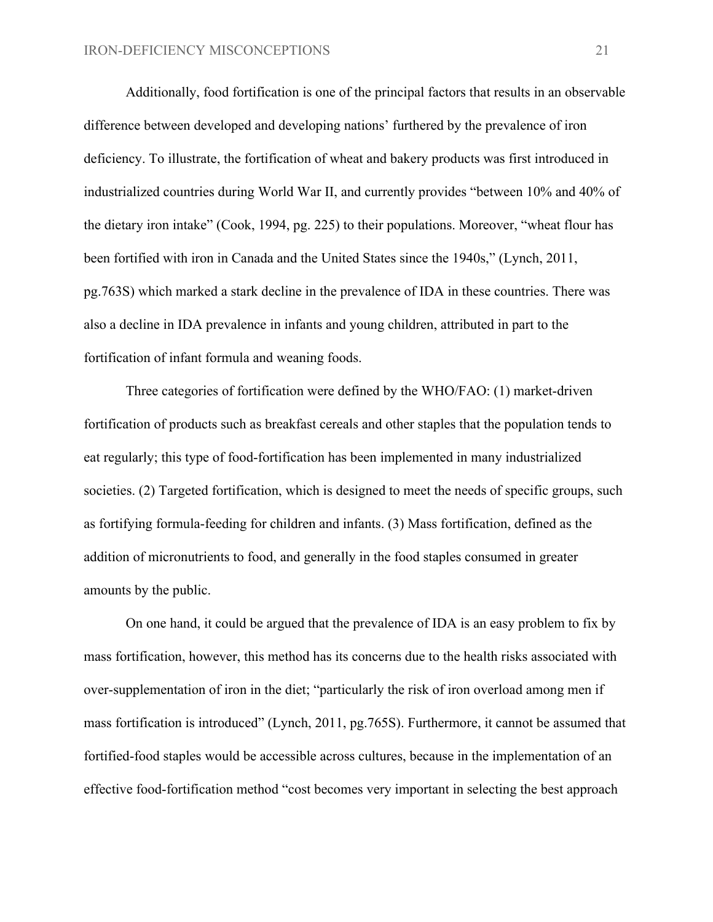Additionally, food fortification is one of the principal factors that results in an observable difference between developed and developing nations' furthered by the prevalence of iron deficiency. To illustrate, the fortification of wheat and bakery products was first introduced in industrialized countries during World War II, and currently provides "between 10% and 40% of the dietary iron intake" (Cook, 1994, pg. 225) to their populations. Moreover, "wheat flour has been fortified with iron in Canada and the United States since the 1940s," (Lynch, 2011, pg.763S) which marked a stark decline in the prevalence of IDA in these countries. There was also a decline in IDA prevalence in infants and young children, attributed in part to the fortification of infant formula and weaning foods.

Three categories of fortification were defined by the WHO/FAO: (1) market-driven fortification of products such as breakfast cereals and other staples that the population tends to eat regularly; this type of food-fortification has been implemented in many industrialized societies. (2) Targeted fortification, which is designed to meet the needs of specific groups, such as fortifying formula-feeding for children and infants. (3) Mass fortification, defined as the addition of micronutrients to food, and generally in the food staples consumed in greater amounts by the public.

On one hand, it could be argued that the prevalence of IDA is an easy problem to fix by mass fortification, however, this method has its concerns due to the health risks associated with over-supplementation of iron in the diet; "particularly the risk of iron overload among men if mass fortification is introduced" (Lynch, 2011, pg.765S). Furthermore, it cannot be assumed that fortified-food staples would be accessible across cultures, because in the implementation of an effective food-fortification method "cost becomes very important in selecting the best approach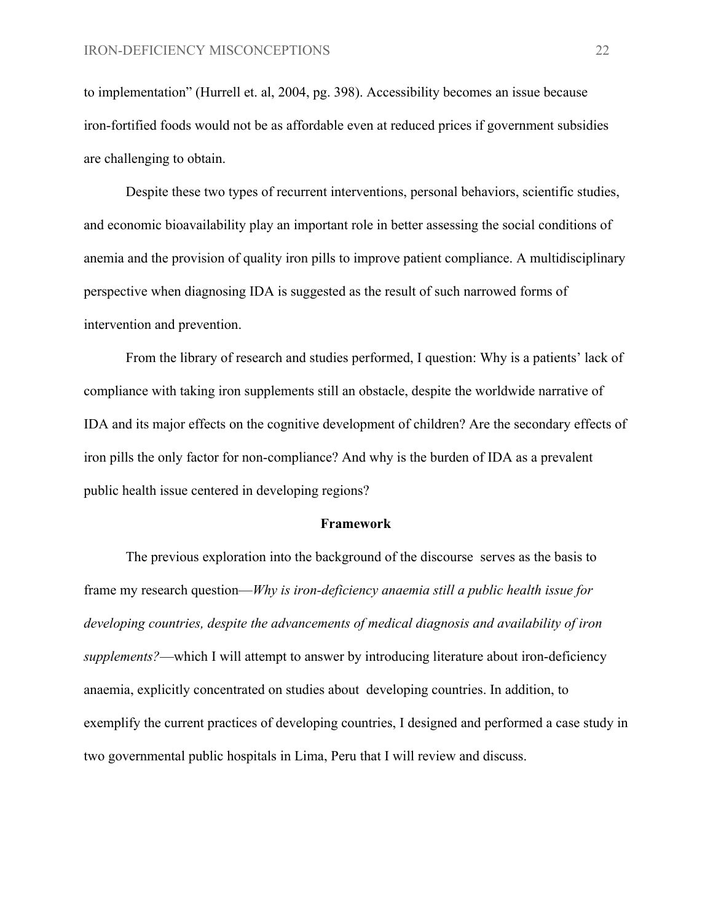to implementation" (Hurrell et. al, 2004, pg. 398). Accessibility becomes an issue because iron-fortified foods would not be as affordable even at reduced prices if government subsidies are challenging to obtain.

Despite these two types of recurrent interventions, personal behaviors, scientific studies, and economic bioavailability play an important role in better assessing the social conditions of anemia and the provision of quality iron pills to improve patient compliance. A multidisciplinary perspective when diagnosing IDA is suggested as the result of such narrowed forms of intervention and prevention.

From the library of research and studies performed, I question: Why is a patients' lack of compliance with taking iron supplements still an obstacle, despite the worldwide narrative of IDA and its major effects on the cognitive development of children? Are the secondary effects of iron pills the only factor for non-compliance? And why is the burden of IDA as a prevalent public health issue centered in developing regions?

#### **Framework**

The previous exploration into the background of the discourse serves as the basis to frame my research question—*Why is iron-deficiency anaemia still a public health issue for developing countries, despite the advancements of medical diagnosis and availability of iron supplements?*—which I will attempt to answer by introducing literature about iron-deficiency anaemia, explicitly concentrated on studies about developing countries. In addition, to exemplify the current practices of developing countries, I designed and performed a case study in two governmental public hospitals in Lima, Peru that I will review and discuss.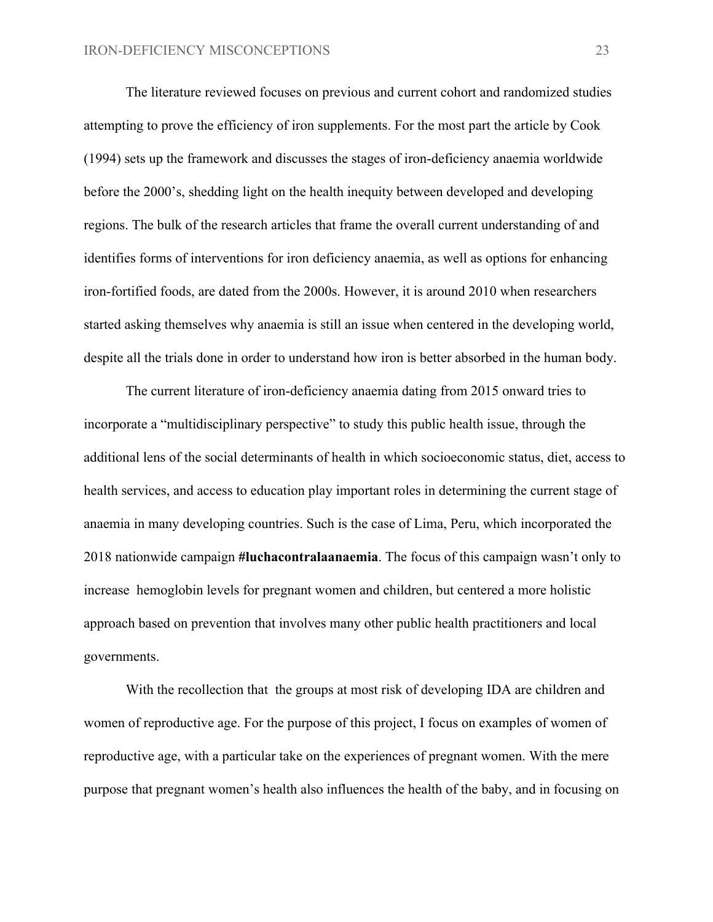The literature reviewed focuses on previous and current cohort and randomized studies attempting to prove the efficiency of iron supplements. For the most part the article by Cook (1994) sets up the framework and discusses the stages of iron-deficiency anaemia worldwide before the 2000's, shedding light on the health inequity between developed and developing regions. The bulk of the research articles that frame the overall current understanding of and identifies forms of interventions for iron deficiency anaemia, as well as options for enhancing iron-fortified foods, are dated from the 2000s. However, it is around 2010 when researchers started asking themselves why anaemia is still an issue when centered in the developing world, despite all the trials done in order to understand how iron is better absorbed in the human body.

The current literature of iron-deficiency anaemia dating from 2015 onward tries to incorporate a "multidisciplinary perspective" to study this public health issue, through the additional lens of the social determinants of health in which socioeconomic status, diet, access to health services, and access to education play important roles in determining the current stage of anaemia in many developing countries. Such is the case of Lima, Peru, which incorporated the 2018 nationwide campaign **#luchacontralaanaemia**. The focus of this campaign wasn't only to increase hemoglobin levels for pregnant women and children, but centered a more holistic approach based on prevention that involves many other public health practitioners and local governments.

With the recollection that the groups at most risk of developing IDA are children and women of reproductive age. For the purpose of this project, I focus on examples of women of reproductive age, with a particular take on the experiences of pregnant women. With the mere purpose that pregnant women's health also influences the health of the baby, and in focusing on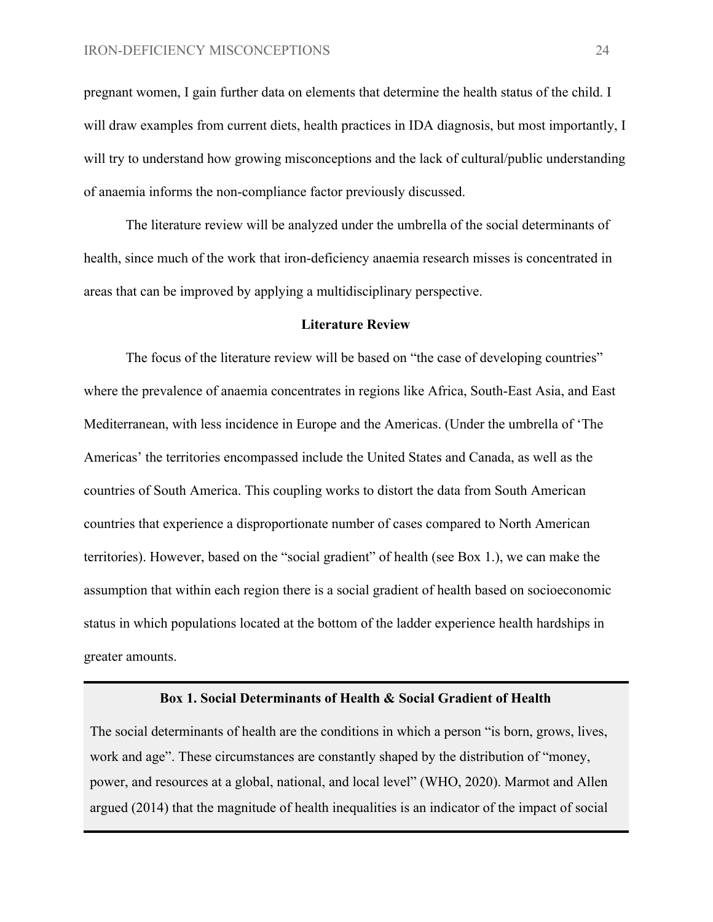pregnant women, I gain further data on elements that determine the health status of the child. I will draw examples from current diets, health practices in IDA diagnosis, but most importantly, I will try to understand how growing misconceptions and the lack of cultural/public understanding of anaemia informs the non-compliance factor previously discussed.

The literature review will be analyzed under the umbrella of the social determinants of health, since much of the work that iron-deficiency anaemia research misses is concentrated in areas that can be improved by applying a multidisciplinary perspective.

#### **Literature Review**

The focus of the literature review will be based on "the case of developing countries" where the prevalence of anaemia concentrates in regions like Africa, South-East Asia, and East Mediterranean, with less incidence in Europe and the Americas. (Under the umbrella of 'The Americas' the territories encompassed include the United States and Canada, as well as the countries of South America. This coupling works to distort the data from South American countries that experience a disproportionate number of cases compared to North American territories). However, based on the "social gradient" of health (see Box 1.), we can make the assumption that within each region there is a social gradient of health based on socioeconomic status in which populations located at the bottom of the ladder experience health hardships in greater amounts.

#### **Box 1. Social Determinants of Health & Social Gradient of Health**

The social determinants of health are the conditions in which a person "is born, grows, lives, work and age". These circumstances are constantly shaped by the distribution of "money, power, and resources at a global, national, and local level" (WHO, 2020). Marmot and Allen argued (2014) that the magnitude of health inequalities is an indicator of the impact of social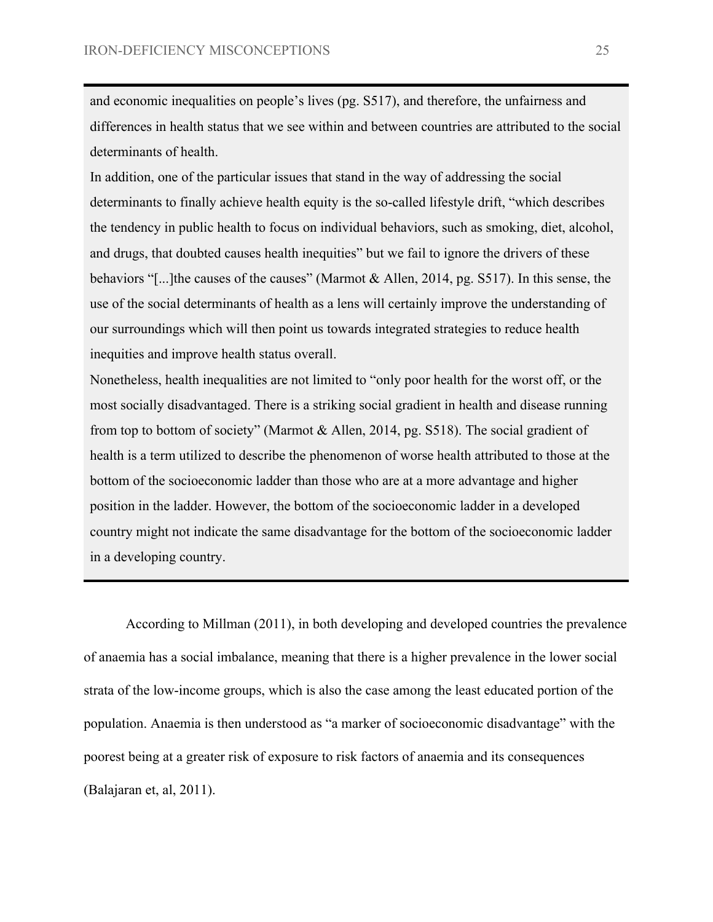and economic inequalities on people's lives (pg. S517), and therefore, the unfairness and differences in health status that we see within and between countries are attributed to the social determinants of health.

In addition, one of the particular issues that stand in the way of addressing the social determinants to finally achieve health equity is the so-called lifestyle drift, "which describes the tendency in public health to focus on individual behaviors, such as smoking, diet, alcohol, and drugs, that doubted causes health inequities" but we fail to ignore the drivers of these behaviors "[...]the causes of the causes" (Marmot & Allen, 2014, pg. S517). In this sense, the use of the social determinants of health as a lens will certainly improve the understanding of our surroundings which will then point us towards integrated strategies to reduce health inequities and improve health status overall.

Nonetheless, health inequalities are not limited to "only poor health for the worst off, or the most socially disadvantaged. There is a striking social gradient in health and disease running from top to bottom of society" (Marmot & Allen, 2014, pg. S518). The social gradient of health is a term utilized to describe the phenomenon of worse health attributed to those at the bottom of the socioeconomic ladder than those who are at a more advantage and higher position in the ladder. However, the bottom of the socioeconomic ladder in a developed country might not indicate the same disadvantage for the bottom of the socioeconomic ladder in a developing country.

According to Millman (2011), in both developing and developed countries the prevalence of anaemia has a social imbalance, meaning that there is a higher prevalence in the lower social strata of the low-income groups, which is also the case among the least educated portion of the population. Anaemia is then understood as "a marker of socioeconomic disadvantage" with the poorest being at a greater risk of exposure to risk factors of anaemia and its consequences (Balajaran et, al, 2011).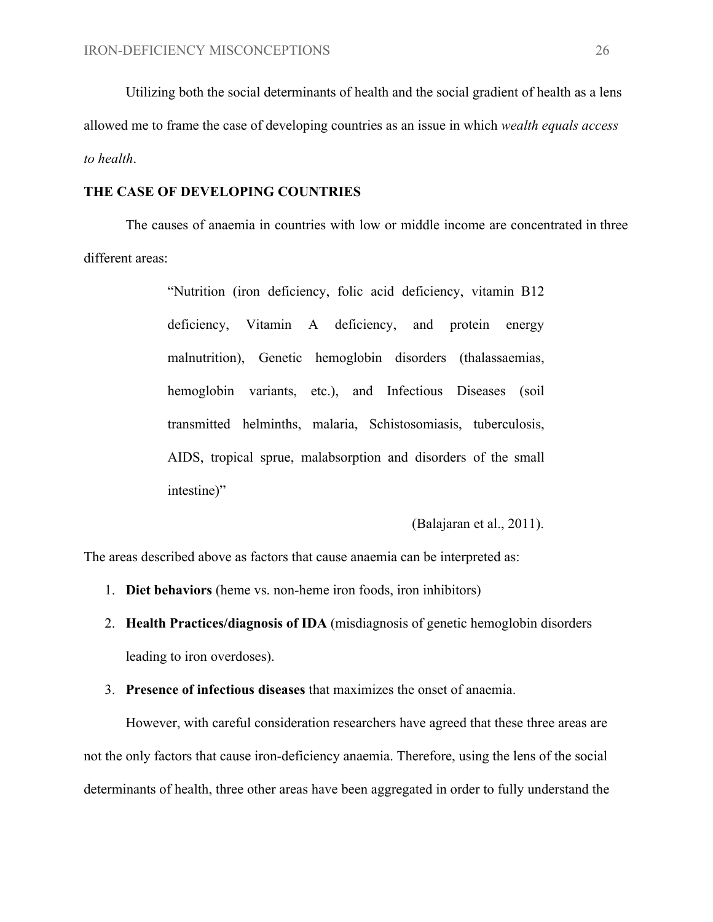Utilizing both the social determinants of health and the social gradient of health as a lens allowed me to frame the case of developing countries as an issue in which *wealth equals access to health*.

#### **THE CASE OF DEVELOPING COUNTRIES**

The causes of anaemia in countries with low or middle income are concentrated in three different areas:

> "Nutrition (iron deficiency, folic acid deficiency, vitamin B12 deficiency, Vitamin A deficiency, and protein energy malnutrition), Genetic hemoglobin disorders (thalassaemias, hemoglobin variants, etc.), and Infectious Diseases (soil transmitted helminths, malaria, Schistosomiasis, tuberculosis, AIDS, tropical sprue, malabsorption and disorders of the small intestine)"

> > (Balajaran et al., 2011).

The areas described above as factors that cause anaemia can be interpreted as:

- 1. **Diet behaviors** (heme vs. non-heme iron foods, iron inhibitors)
- 2. **Health Practices/diagnosis of IDA** (misdiagnosis of genetic hemoglobin disorders leading to iron overdoses).
- 3. **Presence of infectious diseases** that maximizes the onset of anaemia.

However, with careful consideration researchers have agreed that these three areas are not the only factors that cause iron-deficiency anaemia. Therefore, using the lens of the social determinants of health, three other areas have been aggregated in order to fully understand the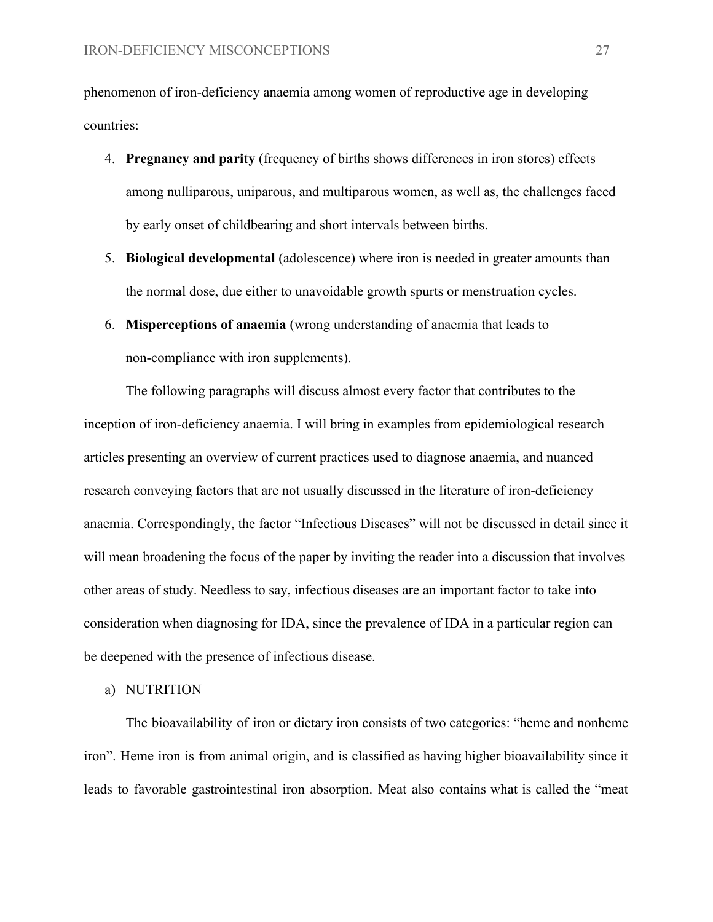phenomenon of iron-deficiency anaemia among women of reproductive age in developing countries:

- 4. **Pregnancy and parity** (frequency of births shows differences in iron stores) effects among nulliparous, uniparous, and multiparous women, as well as, the challenges faced by early onset of childbearing and short intervals between births.
- 5. **Biological developmental** (adolescence) where iron is needed in greater amounts than the normal dose, due either to unavoidable growth spurts or menstruation cycles.
- 6. **Misperceptions of anaemia** (wrong understanding of anaemia that leads to non-compliance with iron supplements).

The following paragraphs will discuss almost every factor that contributes to the inception of iron-deficiency anaemia. I will bring in examples from epidemiological research articles presenting an overview of current practices used to diagnose anaemia, and nuanced research conveying factors that are not usually discussed in the literature of iron-deficiency anaemia. Correspondingly, the factor "Infectious Diseases" will not be discussed in detail since it will mean broadening the focus of the paper by inviting the reader into a discussion that involves other areas of study. Needless to say, infectious diseases are an important factor to take into consideration when diagnosing for IDA, since the prevalence of IDA in a particular region can be deepened with the presence of infectious disease.

a) NUTRITION

The bioavailability of iron or dietary iron consists of two categories: "heme and nonheme iron". Heme iron is from animal origin, and is classified as having higher bioavailability since it leads to favorable gastrointestinal iron absorption. Meat also contains what is called the "meat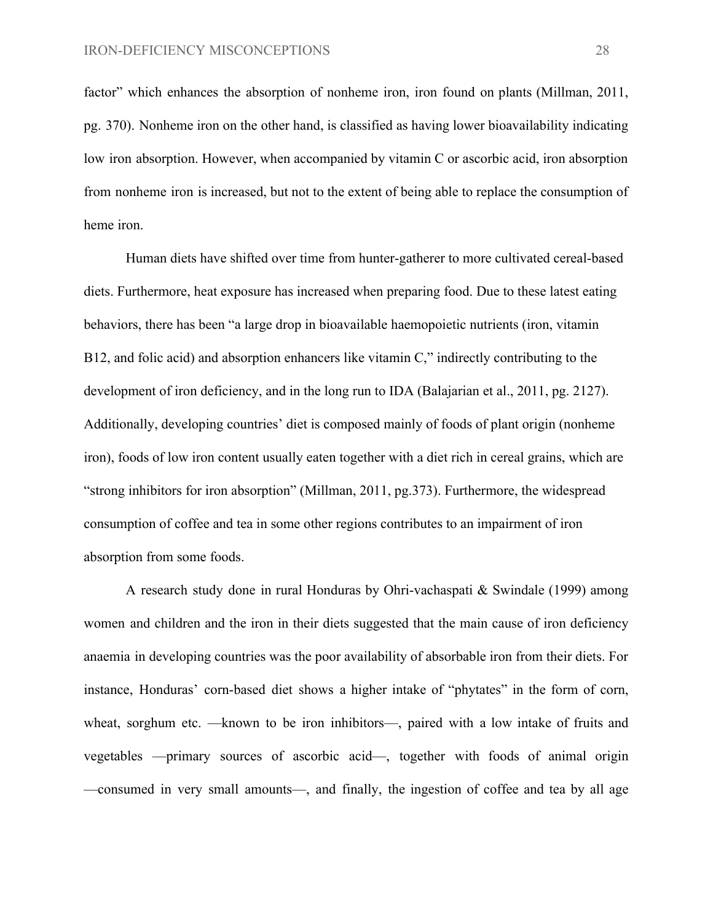factor" which enhances the absorption of nonheme iron, iron found on plants (Millman, 2011, pg. 370). Nonheme iron on the other hand, is classified as having lower bioavailability indicating low iron absorption. However, when accompanied by vitamin C or ascorbic acid, iron absorption from nonheme iron is increased, but not to the extent of being able to replace the consumption of heme iron.

Human diets have shifted over time from hunter-gatherer to more cultivated cereal-based diets. Furthermore, heat exposure has increased when preparing food. Due to these latest eating behaviors, there has been "a large drop in bioavailable haemopoietic nutrients (iron, vitamin B12, and folic acid) and absorption enhancers like vitamin C," indirectly contributing to the development of iron deficiency, and in the long run to IDA (Balajarian et al., 2011, pg. 2127). Additionally, developing countries' diet is composed mainly of foods of plant origin (nonheme iron), foods of low iron content usually eaten together with a diet rich in cereal grains, which are "strong inhibitors for iron absorption" (Millman, 2011, pg.373). Furthermore, the widespread consumption of coffee and tea in some other regions contributes to an impairment of iron absorption from some foods.

A research study done in rural Honduras by Ohri-vachaspati & Swindale (1999) among women and children and the iron in their diets suggested that the main cause of iron deficiency anaemia in developing countries was the poor availability of absorbable iron from their diets. For instance, Honduras' corn-based diet shows a higher intake of "phytates" in the form of corn, wheat, sorghum etc. —known to be iron inhibitors—, paired with a low intake of fruits and vegetables —primary sources of ascorbic acid—, together with foods of animal origin —consumed in very small amounts—, and finally, the ingestion of coffee and tea by all age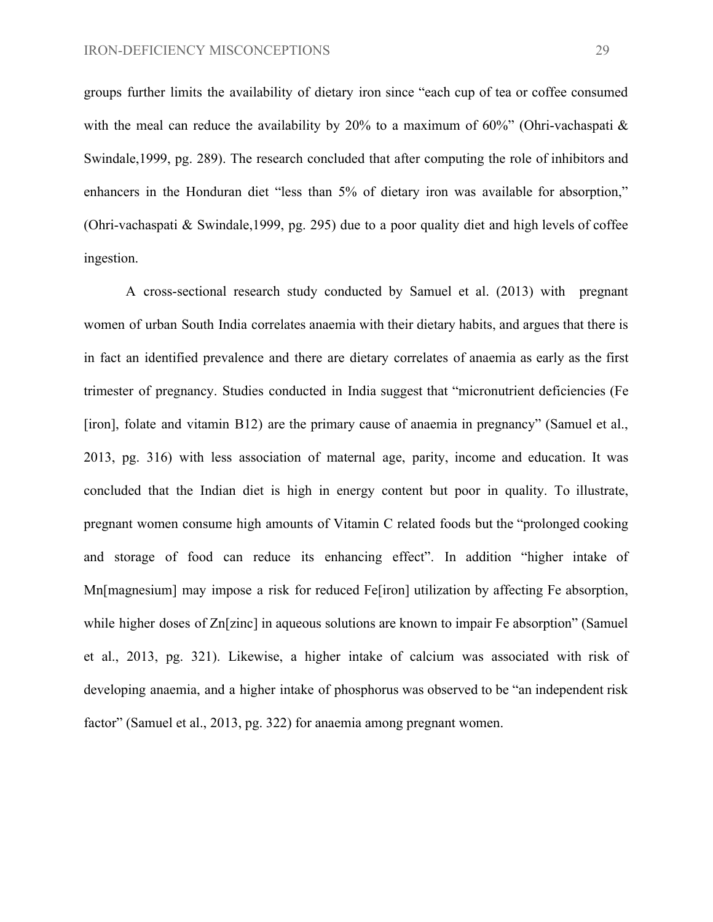groups further limits the availability of dietary iron since "each cup of tea or coffee consumed with the meal can reduce the availability by 20% to a maximum of  $60\%$ " (Ohri-vachaspati  $\&$ Swindale,1999, pg. 289). The research concluded that after computing the role of inhibitors and enhancers in the Honduran diet "less than 5% of dietary iron was available for absorption," (Ohri-vachaspati & Swindale,1999, pg. 295) due to a poor quality diet and high levels of coffee ingestion.

A cross-sectional research study conducted by Samuel et al. (2013) with pregnant women of urban South India correlates anaemia with their dietary habits, and argues that there is in fact an identified prevalence and there are dietary correlates of anaemia as early as the first trimester of pregnancy. Studies conducted in India suggest that "micronutrient deficiencies (Fe [iron], folate and vitamin B12) are the primary cause of anaemia in pregnancy" (Samuel et al., 2013, pg. 316) with less association of maternal age, parity, income and education. It was concluded that the Indian diet is high in energy content but poor in quality. To illustrate, pregnant women consume high amounts of Vitamin C related foods but the "prolonged cooking and storage of food can reduce its enhancing effect". In addition "higher intake of Mn[magnesium] may impose a risk for reduced Fe[iron] utilization by affecting Fe absorption, while higher doses of Zn[zinc] in aqueous solutions are known to impair Fe absorption" (Samuel et al., 2013, pg. 321). Likewise, a higher intake of calcium was associated with risk of developing anaemia, and a higher intake of phosphorus was observed to be "an independent risk factor" (Samuel et al., 2013, pg. 322) for anaemia among pregnant women.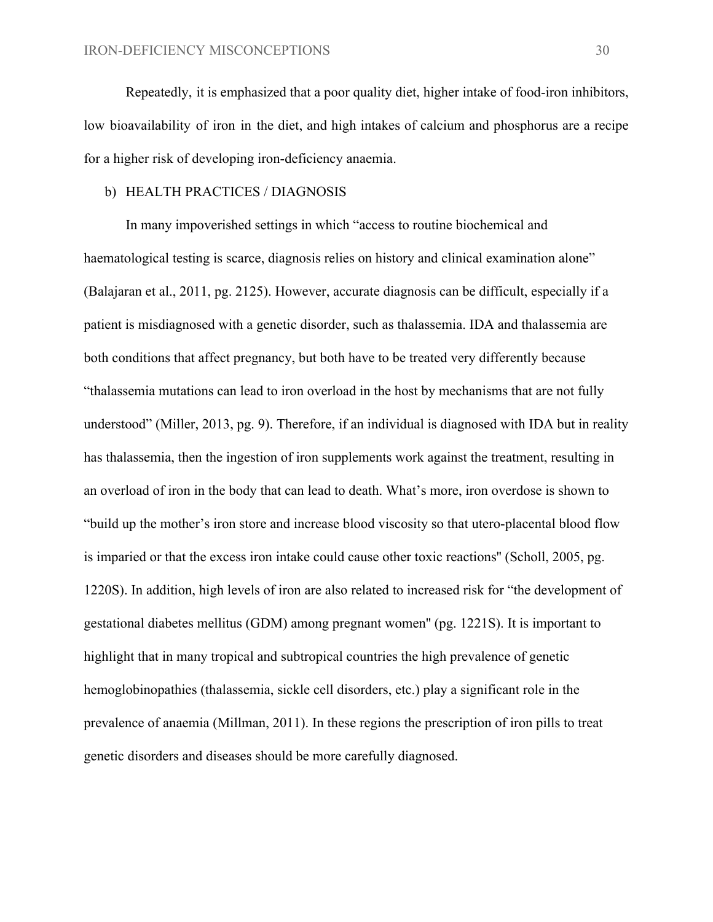Repeatedly, it is emphasized that a poor quality diet, higher intake of food-iron inhibitors, low bioavailability of iron in the diet, and high intakes of calcium and phosphorus are a recipe for a higher risk of developing iron-deficiency anaemia.

#### b) HEALTH PRACTICES / DIAGNOSIS

In many impoverished settings in which "access to routine biochemical and haematological testing is scarce, diagnosis relies on history and clinical examination alone" (Balajaran et al., 2011, pg. 2125). However, accurate diagnosis can be difficult, especially if a patient is misdiagnosed with a genetic disorder, such as thalassemia. IDA and thalassemia are both conditions that affect pregnancy, but both have to be treated very differently because "thalassemia mutations can lead to iron overload in the host by mechanisms that are not fully understood" (Miller, 2013, pg. 9). Therefore, if an individual is diagnosed with IDA but in reality has thalassemia, then the ingestion of iron supplements work against the treatment, resulting in an overload of iron in the body that can lead to death. What's more, iron overdose is shown to "build up the mother's iron store and increase blood viscosity so that utero-placental blood flow is imparied or that the excess iron intake could cause other toxic reactions'' (Scholl, 2005, pg. 1220S). In addition, high levels of iron are also related to increased risk for "the development of gestational diabetes mellitus (GDM) among pregnant women'' (pg. 1221S). It is important to highlight that in many tropical and subtropical countries the high prevalence of genetic hemoglobinopathies (thalassemia, sickle cell disorders, etc.) play a significant role in the prevalence of anaemia (Millman, 2011). In these regions the prescription of iron pills to treat genetic disorders and diseases should be more carefully diagnosed.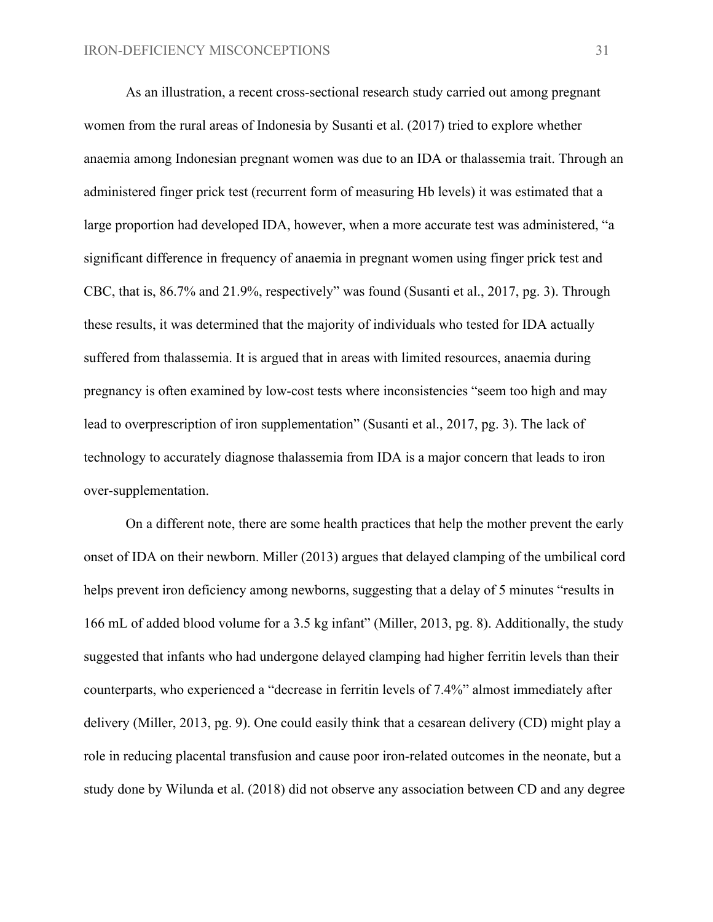As an illustration, a recent cross-sectional research study carried out among pregnant women from the rural areas of Indonesia by Susanti et al. (2017) tried to explore whether anaemia among Indonesian pregnant women was due to an IDA or thalassemia trait. Through an administered finger prick test (recurrent form of measuring Hb levels) it was estimated that a large proportion had developed IDA, however, when a more accurate test was administered, "a significant difference in frequency of anaemia in pregnant women using finger prick test and CBC, that is, 86.7% and 21.9%, respectively" was found (Susanti et al., 2017, pg. 3). Through these results, it was determined that the majority of individuals who tested for IDA actually suffered from thalassemia. It is argued that in areas with limited resources, anaemia during pregnancy is often examined by low-cost tests where inconsistencies "seem too high and may lead to overprescription of iron supplementation" (Susanti et al., 2017, pg. 3). The lack of technology to accurately diagnose thalassemia from IDA is a major concern that leads to iron over-supplementation.

On a different note, there are some health practices that help the mother prevent the early onset of IDA on their newborn. Miller (2013) argues that delayed clamping of the umbilical cord helps prevent iron deficiency among newborns, suggesting that a delay of 5 minutes "results in 166 mL of added blood volume for a 3.5 kg infant" (Miller, 2013, pg. 8). Additionally, the study suggested that infants who had undergone delayed clamping had higher ferritin levels than their counterparts, who experienced a "decrease in ferritin levels of 7.4%" almost immediately after delivery (Miller, 2013, pg. 9). One could easily think that a cesarean delivery (CD) might play a role in reducing placental transfusion and cause poor iron-related outcomes in the neonate, but a study done by Wilunda et al. (2018) did not observe any association between CD and any degree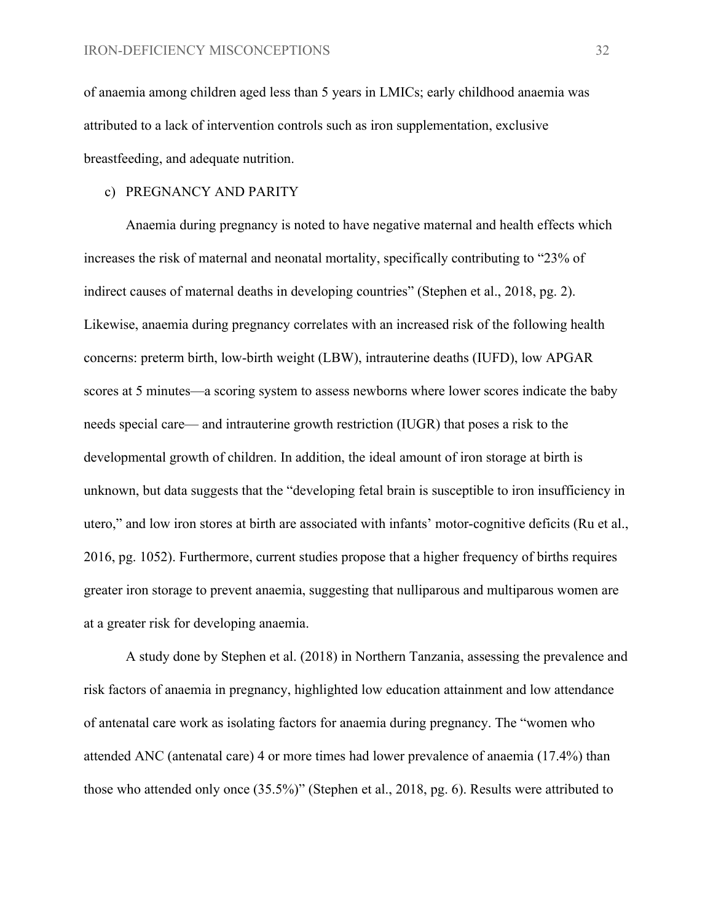of anaemia among children aged less than 5 years in LMICs; early childhood anaemia was attributed to a lack of intervention controls such as iron supplementation, exclusive breastfeeding, and adequate nutrition.

#### c) PREGNANCY AND PARITY

Anaemia during pregnancy is noted to have negative maternal and health effects which increases the risk of maternal and neonatal mortality, specifically contributing to "23% of indirect causes of maternal deaths in developing countries" (Stephen et al., 2018, pg. 2). Likewise, anaemia during pregnancy correlates with an increased risk of the following health concerns: preterm birth, low-birth weight (LBW), intrauterine deaths (IUFD), low APGAR scores at 5 minutes—a scoring system to assess newborns where lower scores indicate the baby needs special care— and intrauterine growth restriction (IUGR) that poses a risk to the developmental growth of children. In addition, the ideal amount of iron storage at birth is unknown, but data suggests that the "developing fetal brain is susceptible to iron insufficiency in utero," and low iron stores at birth are associated with infants' motor-cognitive deficits (Ru et al., 2016, pg. 1052). Furthermore, current studies propose that a higher frequency of births requires greater iron storage to prevent anaemia, suggesting that nulliparous and multiparous women are at a greater risk for developing anaemia.

A study done by Stephen et al. (2018) in Northern Tanzania, assessing the prevalence and risk factors of anaemia in pregnancy, highlighted low education attainment and low attendance of antenatal care work as isolating factors for anaemia during pregnancy. The "women who attended ANC (antenatal care) 4 or more times had lower prevalence of anaemia (17.4%) than those who attended only once (35.5%)" (Stephen et al., 2018, pg. 6). Results were attributed to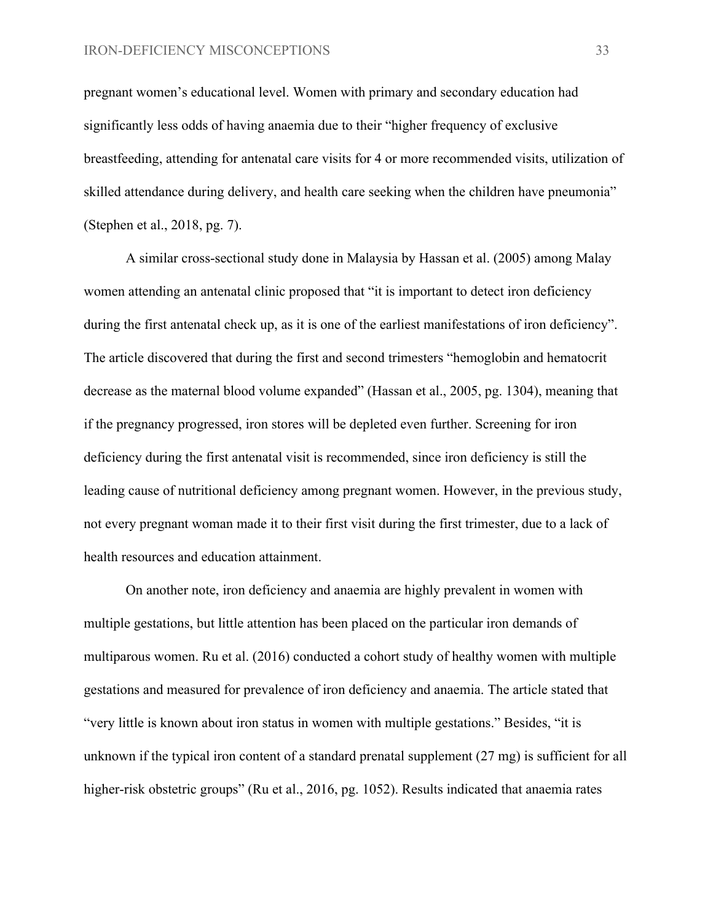pregnant women's educational level. Women with primary and secondary education had significantly less odds of having anaemia due to their "higher frequency of exclusive breastfeeding, attending for antenatal care visits for 4 or more recommended visits, utilization of skilled attendance during delivery, and health care seeking when the children have pneumonia" (Stephen et al., 2018, pg. 7).

A similar cross-sectional study done in Malaysia by Hassan et al. (2005) among Malay women attending an antenatal clinic proposed that "it is important to detect iron deficiency during the first antenatal check up, as it is one of the earliest manifestations of iron deficiency". The article discovered that during the first and second trimesters "hemoglobin and hematocrit decrease as the maternal blood volume expanded" (Hassan et al., 2005, pg. 1304), meaning that if the pregnancy progressed, iron stores will be depleted even further. Screening for iron deficiency during the first antenatal visit is recommended, since iron deficiency is still the leading cause of nutritional deficiency among pregnant women. However, in the previous study, not every pregnant woman made it to their first visit during the first trimester, due to a lack of health resources and education attainment.

On another note, iron deficiency and anaemia are highly prevalent in women with multiple gestations, but little attention has been placed on the particular iron demands of multiparous women. Ru et al. (2016) conducted a cohort study of healthy women with multiple gestations and measured for prevalence of iron deficiency and anaemia. The article stated that "very little is known about iron status in women with multiple gestations." Besides, "it is unknown if the typical iron content of a standard prenatal supplement (27 mg) is sufficient for all higher-risk obstetric groups" (Ru et al., 2016, pg. 1052). Results indicated that anaemia rates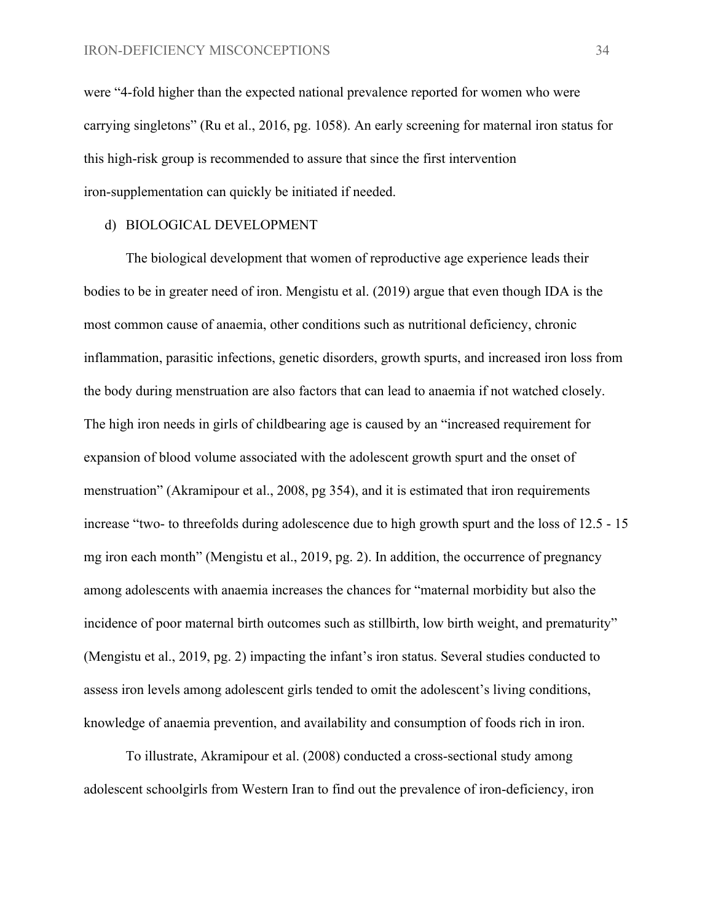were "4-fold higher than the expected national prevalence reported for women who were carrying singletons" (Ru et al., 2016, pg. 1058). An early screening for maternal iron status for this high-risk group is recommended to assure that since the first intervention iron-supplementation can quickly be initiated if needed.

#### d) BIOLOGICAL DEVELOPMENT

The biological development that women of reproductive age experience leads their bodies to be in greater need of iron. Mengistu et al. (2019) argue that even though IDA is the most common cause of anaemia, other conditions such as nutritional deficiency, chronic inflammation, parasitic infections, genetic disorders, growth spurts, and increased iron loss from the body during menstruation are also factors that can lead to anaemia if not watched closely. The high iron needs in girls of childbearing age is caused by an "increased requirement for expansion of blood volume associated with the adolescent growth spurt and the onset of menstruation" (Akramipour et al., 2008, pg 354), and it is estimated that iron requirements increase "two- to threefolds during adolescence due to high growth spurt and the loss of 12.5 - 15 mg iron each month" (Mengistu et al., 2019, pg. 2). In addition, the occurrence of pregnancy among adolescents with anaemia increases the chances for "maternal morbidity but also the incidence of poor maternal birth outcomes such as stillbirth, low birth weight, and prematurity" (Mengistu et al., 2019, pg. 2) impacting the infant's iron status. Several studies conducted to assess iron levels among adolescent girls tended to omit the adolescent's living conditions, knowledge of anaemia prevention, and availability and consumption of foods rich in iron.

To illustrate, Akramipour et al. (2008) conducted a cross-sectional study among adolescent schoolgirls from Western Iran to find out the prevalence of iron-deficiency, iron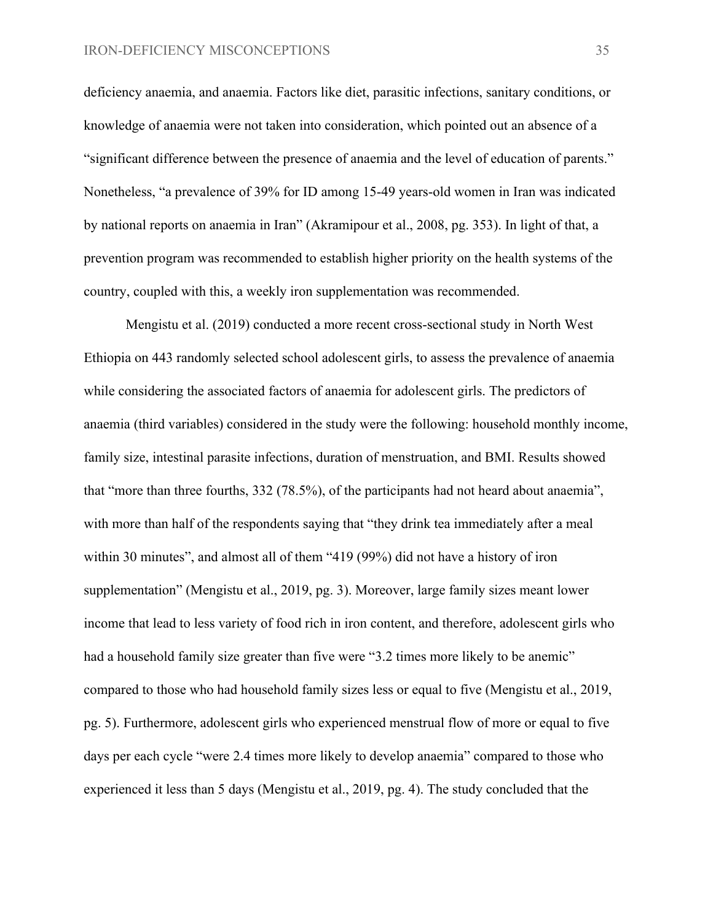deficiency anaemia, and anaemia. Factors like diet, parasitic infections, sanitary conditions, or knowledge of anaemia were not taken into consideration, which pointed out an absence of a "significant difference between the presence of anaemia and the level of education of parents." Nonetheless, "a prevalence of 39% for ID among 15-49 years-old women in Iran was indicated by national reports on anaemia in Iran" (Akramipour et al., 2008, pg. 353). In light of that, a prevention program was recommended to establish higher priority on the health systems of the country, coupled with this, a weekly iron supplementation was recommended.

Mengistu et al. (2019) conducted a more recent cross-sectional study in North West Ethiopia on 443 randomly selected school adolescent girls, to assess the prevalence of anaemia while considering the associated factors of anaemia for adolescent girls. The predictors of anaemia (third variables) considered in the study were the following: household monthly income, family size, intestinal parasite infections, duration of menstruation, and BMI. Results showed that "more than three fourths, 332 (78.5%), of the participants had not heard about anaemia", with more than half of the respondents saying that "they drink tea immediately after a meal within 30 minutes", and almost all of them "419 (99%) did not have a history of iron supplementation" (Mengistu et al., 2019, pg. 3). Moreover, large family sizes meant lower income that lead to less variety of food rich in iron content, and therefore, adolescent girls who had a household family size greater than five were "3.2 times more likely to be anemic" compared to those who had household family sizes less or equal to five (Mengistu et al., 2019, pg. 5). Furthermore, adolescent girls who experienced menstrual flow of more or equal to five days per each cycle "were 2.4 times more likely to develop anaemia" compared to those who experienced it less than 5 days (Mengistu et al., 2019, pg. 4). The study concluded that the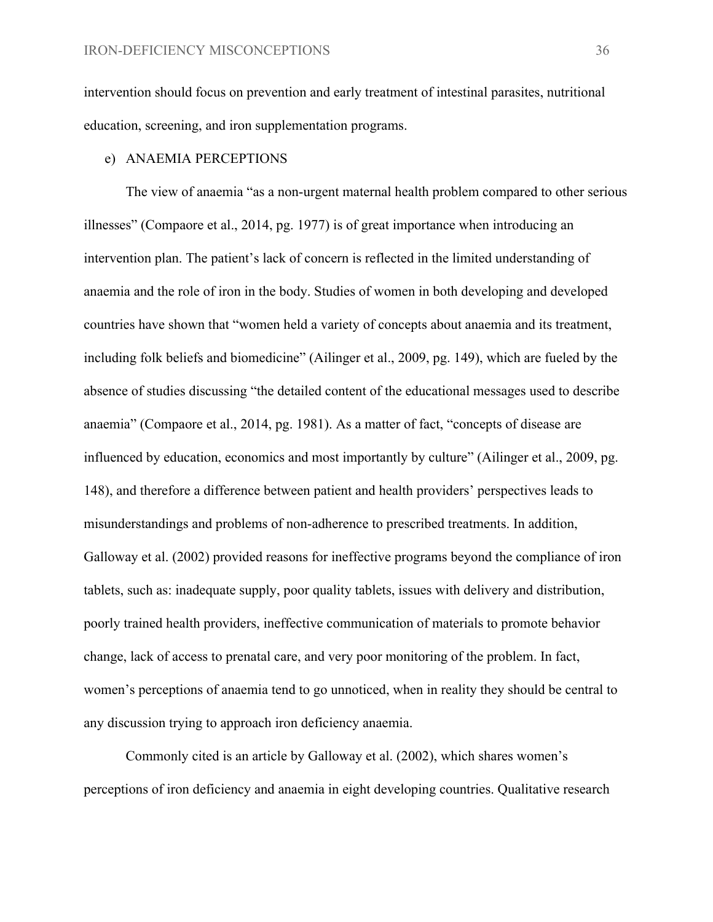intervention should focus on prevention and early treatment of intestinal parasites, nutritional education, screening, and iron supplementation programs.

#### e) ANAEMIA PERCEPTIONS

The view of anaemia "as a non-urgent maternal health problem compared to other serious illnesses" (Compaore et al., 2014, pg. 1977) is of great importance when introducing an intervention plan. The patient's lack of concern is reflected in the limited understanding of anaemia and the role of iron in the body. Studies of women in both developing and developed countries have shown that "women held a variety of concepts about anaemia and its treatment, including folk beliefs and biomedicine" (Ailinger et al., 2009, pg. 149), which are fueled by the absence of studies discussing "the detailed content of the educational messages used to describe anaemia" (Compaore et al., 2014, pg. 1981). As a matter of fact, "concepts of disease are influenced by education, economics and most importantly by culture" (Ailinger et al., 2009, pg. 148), and therefore a difference between patient and health providers' perspectives leads to misunderstandings and problems of non-adherence to prescribed treatments. In addition, Galloway et al. (2002) provided reasons for ineffective programs beyond the compliance of iron tablets, such as: inadequate supply, poor quality tablets, issues with delivery and distribution, poorly trained health providers, ineffective communication of materials to promote behavior change, lack of access to prenatal care, and very poor monitoring of the problem. In fact, women's perceptions of anaemia tend to go unnoticed, when in reality they should be central to any discussion trying to approach iron deficiency anaemia.

Commonly cited is an article by Galloway et al. (2002), which shares women's perceptions of iron deficiency and anaemia in eight developing countries. Qualitative research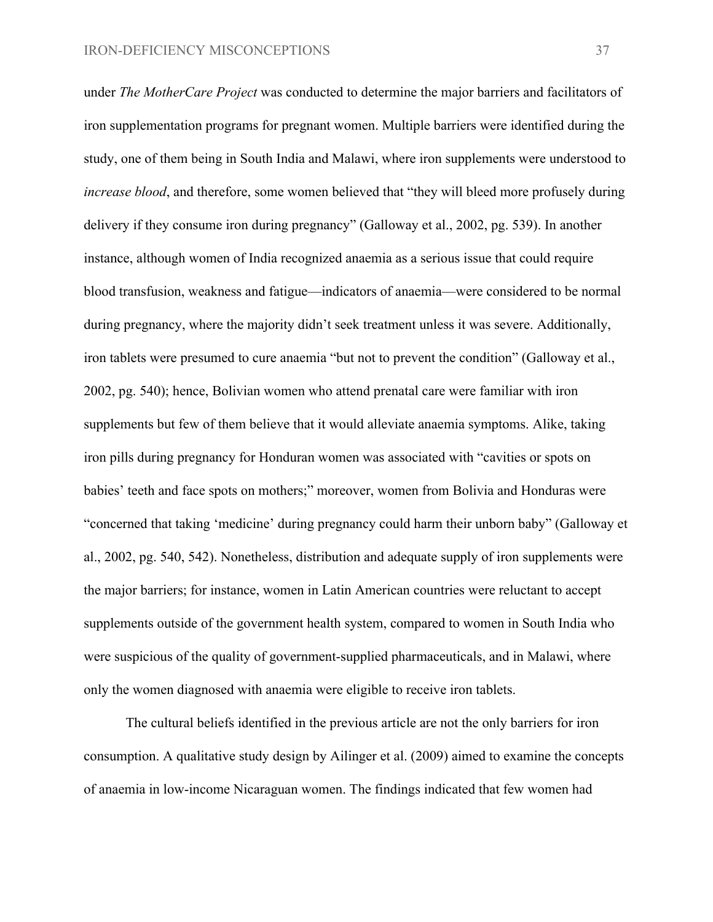under *The MotherCare Project* was conducted to determine the major barriers and facilitators of iron supplementation programs for pregnant women. Multiple barriers were identified during the study, one of them being in South India and Malawi, where iron supplements were understood to *increase blood*, and therefore, some women believed that "they will bleed more profusely during delivery if they consume iron during pregnancy" (Galloway et al., 2002, pg. 539). In another instance, although women of India recognized anaemia as a serious issue that could require blood transfusion, weakness and fatigue—indicators of anaemia—were considered to be normal during pregnancy, where the majority didn't seek treatment unless it was severe. Additionally, iron tablets were presumed to cure anaemia "but not to prevent the condition" (Galloway et al., 2002, pg. 540); hence, Bolivian women who attend prenatal care were familiar with iron supplements but few of them believe that it would alleviate anaemia symptoms. Alike, taking iron pills during pregnancy for Honduran women was associated with "cavities or spots on babies' teeth and face spots on mothers;" moreover, women from Bolivia and Honduras were "concerned that taking 'medicine' during pregnancy could harm their unborn baby" (Galloway et al., 2002, pg. 540, 542). Nonetheless, distribution and adequate supply of iron supplements were the major barriers; for instance, women in Latin American countries were reluctant to accept supplements outside of the government health system, compared to women in South India who were suspicious of the quality of government-supplied pharmaceuticals, and in Malawi, where only the women diagnosed with anaemia were eligible to receive iron tablets.

The cultural beliefs identified in the previous article are not the only barriers for iron consumption. A qualitative study design by Ailinger et al. (2009) aimed to examine the concepts of anaemia in low-income Nicaraguan women. The findings indicated that few women had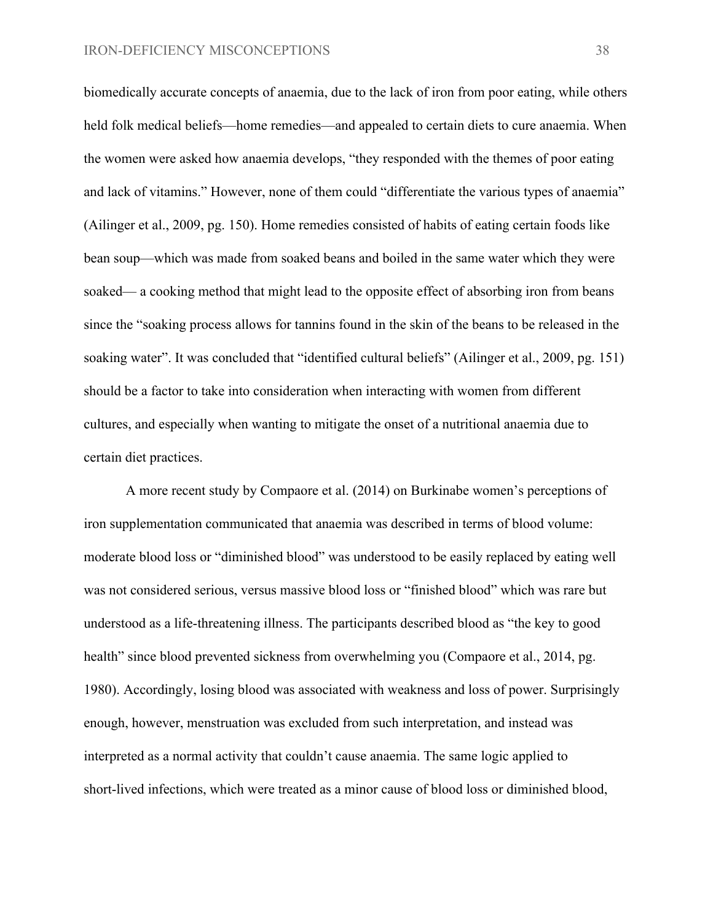biomedically accurate concepts of anaemia, due to the lack of iron from poor eating, while others held folk medical beliefs—home remedies—and appealed to certain diets to cure anaemia. When the women were asked how anaemia develops, "they responded with the themes of poor eating and lack of vitamins." However, none of them could "differentiate the various types of anaemia" (Ailinger et al., 2009, pg. 150). Home remedies consisted of habits of eating certain foods like bean soup—which was made from soaked beans and boiled in the same water which they were soaked— a cooking method that might lead to the opposite effect of absorbing iron from beans since the "soaking process allows for tannins found in the skin of the beans to be released in the soaking water". It was concluded that "identified cultural beliefs" (Ailinger et al., 2009, pg. 151) should be a factor to take into consideration when interacting with women from different cultures, and especially when wanting to mitigate the onset of a nutritional anaemia due to certain diet practices.

A more recent study by Compaore et al. (2014) on Burkinabe women's perceptions of iron supplementation communicated that anaemia was described in terms of blood volume: moderate blood loss or "diminished blood" was understood to be easily replaced by eating well was not considered serious, versus massive blood loss or "finished blood" which was rare but understood as a life-threatening illness. The participants described blood as "the key to good health" since blood prevented sickness from overwhelming you (Compaore et al., 2014, pg. 1980). Accordingly, losing blood was associated with weakness and loss of power. Surprisingly enough, however, menstruation was excluded from such interpretation, and instead was interpreted as a normal activity that couldn't cause anaemia. The same logic applied to short-lived infections, which were treated as a minor cause of blood loss or diminished blood,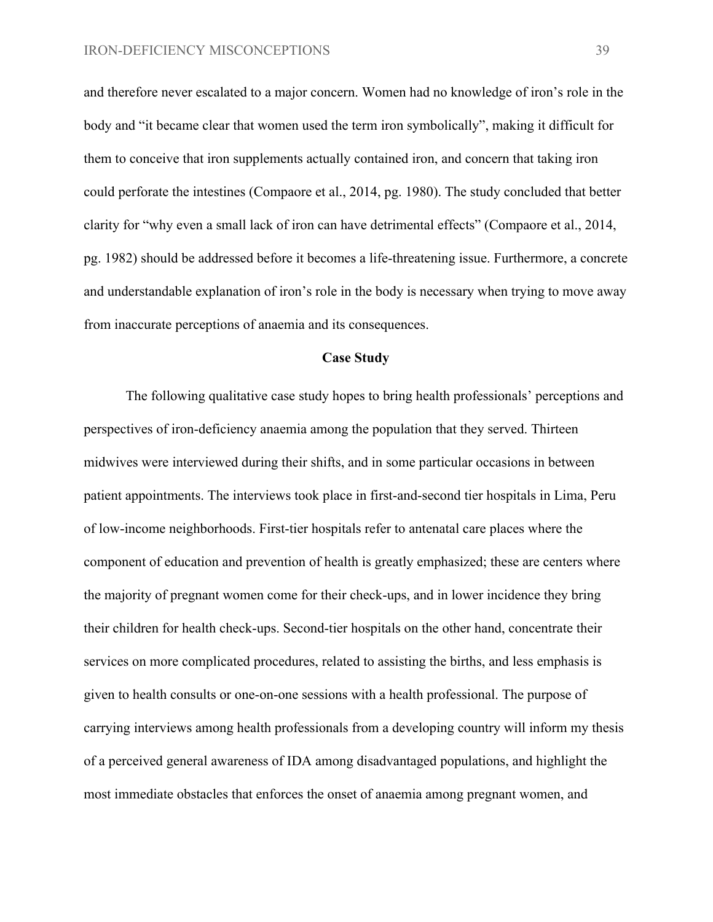and therefore never escalated to a major concern. Women had no knowledge of iron's role in the body and "it became clear that women used the term iron symbolically", making it difficult for them to conceive that iron supplements actually contained iron, and concern that taking iron could perforate the intestines (Compaore et al., 2014, pg. 1980). The study concluded that better clarity for "why even a small lack of iron can have detrimental effects" (Compaore et al., 2014, pg. 1982) should be addressed before it becomes a life-threatening issue. Furthermore, a concrete and understandable explanation of iron's role in the body is necessary when trying to move away from inaccurate perceptions of anaemia and its consequences.

#### **Case Study**

The following qualitative case study hopes to bring health professionals' perceptions and perspectives of iron-deficiency anaemia among the population that they served. Thirteen midwives were interviewed during their shifts, and in some particular occasions in between patient appointments. The interviews took place in first-and-second tier hospitals in Lima, Peru of low-income neighborhoods. First-tier hospitals refer to antenatal care places where the component of education and prevention of health is greatly emphasized; these are centers where the majority of pregnant women come for their check-ups, and in lower incidence they bring their children for health check-ups. Second-tier hospitals on the other hand, concentrate their services on more complicated procedures, related to assisting the births, and less emphasis is given to health consults or one-on-one sessions with a health professional. The purpose of carrying interviews among health professionals from a developing country will inform my thesis of a perceived general awareness of IDA among disadvantaged populations, and highlight the most immediate obstacles that enforces the onset of anaemia among pregnant women, and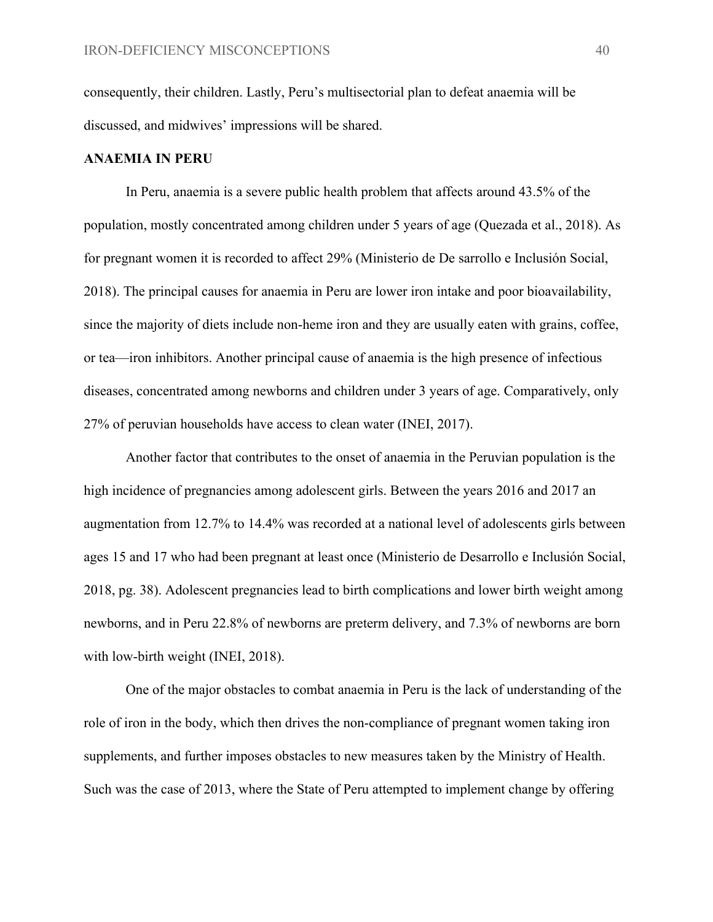consequently, their children. Lastly, Peru's multisectorial plan to defeat anaemia will be discussed, and midwives' impressions will be shared.

#### **ANAEMIA IN PERU**

In Peru, anaemia is a severe public health problem that affects around 43.5% of the population, mostly concentrated among children under 5 years of age (Quezada et al., 2018). As for pregnant women it is recorded to affect 29% (Ministerio de De sarrollo e Inclusión Social, 2018). The principal causes for anaemia in Peru are lower iron intake and poor bioavailability, since the majority of diets include non-heme iron and they are usually eaten with grains, coffee, or tea—iron inhibitors. Another principal cause of anaemia is the high presence of infectious diseases, concentrated among newborns and children under 3 years of age. Comparatively, only 27% of peruvian households have access to clean water (INEI, 2017).

Another factor that contributes to the onset of anaemia in the Peruvian population is the high incidence of pregnancies among adolescent girls. Between the years 2016 and 2017 an augmentation from 12.7% to 14.4% was recorded at a national level of adolescents girls between ages 15 and 17 who had been pregnant at least once (Ministerio de Desarrollo e Inclusión Social, 2018, pg. 38). Adolescent pregnancies lead to birth complications and lower birth weight among newborns, and in Peru 22.8% of newborns are preterm delivery, and 7.3% of newborns are born with low-birth weight (INEI, 2018).

One of the major obstacles to combat anaemia in Peru is the lack of understanding of the role of iron in the body, which then drives the non-compliance of pregnant women taking iron supplements, and further imposes obstacles to new measures taken by the Ministry of Health. Such was the case of 2013, where the State of Peru attempted to implement change by offering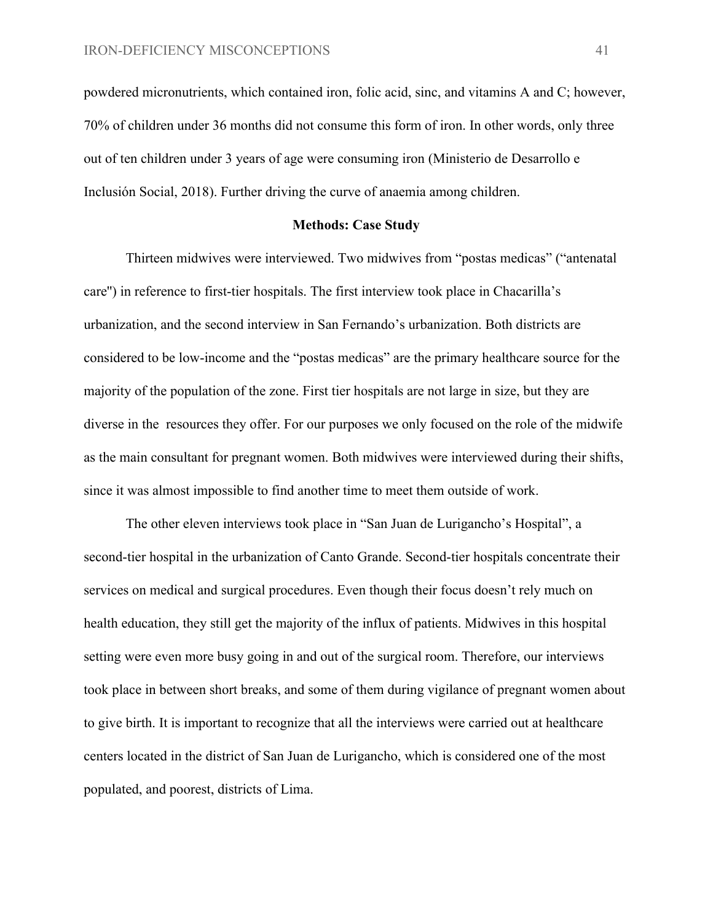powdered micronutrients, which contained iron, folic acid, sinc, and vitamins A and C; however, 70% of children under 36 months did not consume this form of iron. In other words, only three out of ten children under 3 years of age were consuming iron (Ministerio de Desarrollo e Inclusión Social, 2018). Further driving the curve of anaemia among children.

#### **Methods: Case Study**

Thirteen midwives were interviewed. Two midwives from "postas medicas" ("antenatal care'') in reference to first-tier hospitals. The first interview took place in Chacarilla's urbanization, and the second interview in San Fernando's urbanization. Both districts are considered to be low-income and the "postas medicas" are the primary healthcare source for the majority of the population of the zone. First tier hospitals are not large in size, but they are diverse in the resources they offer. For our purposes we only focused on the role of the midwife as the main consultant for pregnant women. Both midwives were interviewed during their shifts, since it was almost impossible to find another time to meet them outside of work.

The other eleven interviews took place in "San Juan de Lurigancho's Hospital", a second-tier hospital in the urbanization of Canto Grande. Second-tier hospitals concentrate their services on medical and surgical procedures. Even though their focus doesn't rely much on health education, they still get the majority of the influx of patients. Midwives in this hospital setting were even more busy going in and out of the surgical room. Therefore, our interviews took place in between short breaks, and some of them during vigilance of pregnant women about to give birth. It is important to recognize that all the interviews were carried out at healthcare centers located in the district of San Juan de Lurigancho, which is considered one of the most populated, and poorest, districts of Lima.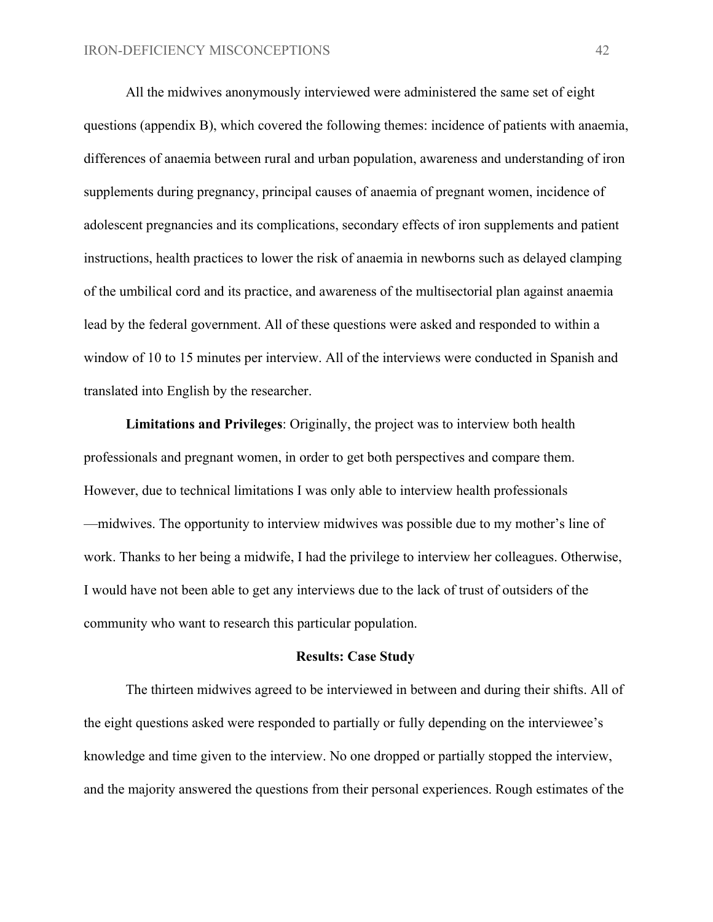All the midwives anonymously interviewed were administered the same set of eight questions (appendix B), which covered the following themes: incidence of patients with anaemia, differences of anaemia between rural and urban population, awareness and understanding of iron supplements during pregnancy, principal causes of anaemia of pregnant women, incidence of adolescent pregnancies and its complications, secondary effects of iron supplements and patient instructions, health practices to lower the risk of anaemia in newborns such as delayed clamping of the umbilical cord and its practice, and awareness of the multisectorial plan against anaemia lead by the federal government. All of these questions were asked and responded to within a window of 10 to 15 minutes per interview. All of the interviews were conducted in Spanish and translated into English by the researcher.

**Limitations and Privileges**: Originally, the project was to interview both health professionals and pregnant women, in order to get both perspectives and compare them. However, due to technical limitations I was only able to interview health professionals —midwives. The opportunity to interview midwives was possible due to my mother's line of work. Thanks to her being a midwife, I had the privilege to interview her colleagues. Otherwise, I would have not been able to get any interviews due to the lack of trust of outsiders of the community who want to research this particular population.

#### **Results: Case Study**

The thirteen midwives agreed to be interviewed in between and during their shifts. All of the eight questions asked were responded to partially or fully depending on the interviewee's knowledge and time given to the interview. No one dropped or partially stopped the interview, and the majority answered the questions from their personal experiences. Rough estimates of the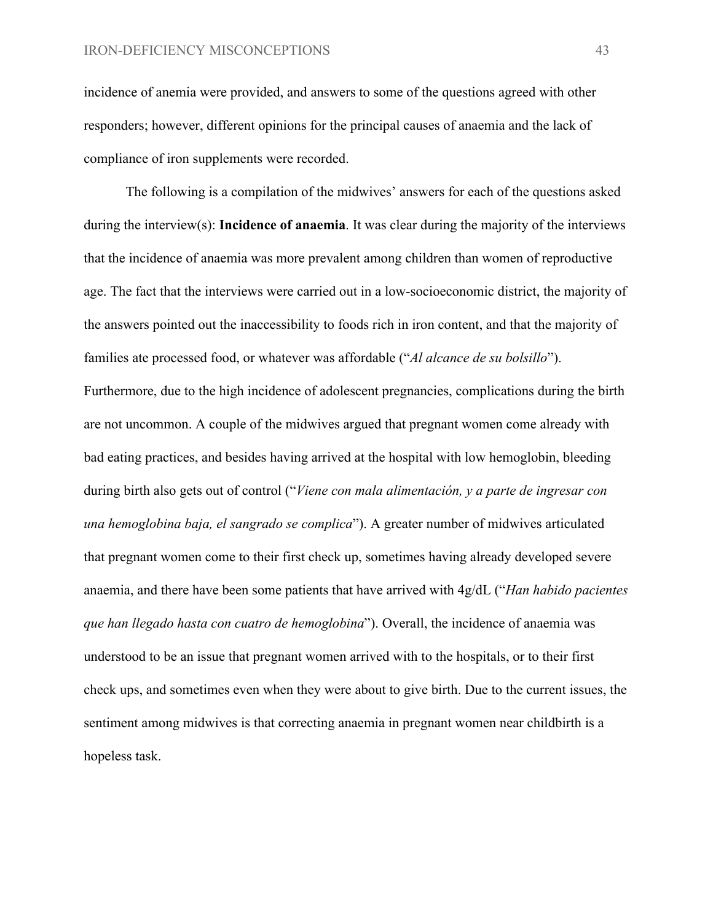incidence of anemia were provided, and answers to some of the questions agreed with other responders; however, different opinions for the principal causes of anaemia and the lack of compliance of iron supplements were recorded.

The following is a compilation of the midwives' answers for each of the questions asked during the interview(s): **Incidence of anaemia**. It was clear during the majority of the interviews that the incidence of anaemia was more prevalent among children than women of reproductive age. The fact that the interviews were carried out in a low-socioeconomic district, the majority of the answers pointed out the inaccessibility to foods rich in iron content, and that the majority of families ate processed food, or whatever was affordable ("*Al alcance de su bolsillo*"). Furthermore, due to the high incidence of adolescent pregnancies, complications during the birth are not uncommon. A couple of the midwives argued that pregnant women come already with bad eating practices, and besides having arrived at the hospital with low hemoglobin, bleeding during birth also gets out of control ("*Viene con mala alimentación, y a parte de ingresar con una hemoglobina baja, el sangrado se complica*"). A greater number of midwives articulated that pregnant women come to their first check up, sometimes having already developed severe anaemia, and there have been some patients that have arrived with 4g/dL ("*Han habido pacientes que han llegado hasta con cuatro de hemoglobina*"). Overall, the incidence of anaemia was understood to be an issue that pregnant women arrived with to the hospitals, or to their first check ups, and sometimes even when they were about to give birth. Due to the current issues, the sentiment among midwives is that correcting anaemia in pregnant women near childbirth is a hopeless task.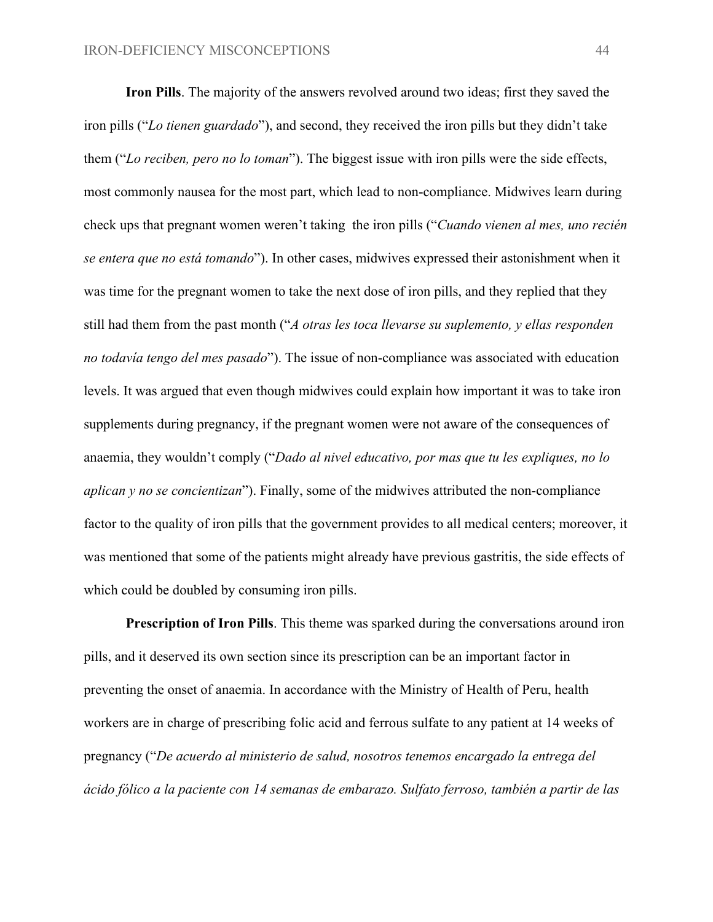**Iron Pills**. The majority of the answers revolved around two ideas; first they saved the iron pills ("*Lo tienen guardado*"), and second, they received the iron pills but they didn't take them ("*Lo reciben, pero no lo toman*"). The biggest issue with iron pills were the side effects, most commonly nausea for the most part, which lead to non-compliance. Midwives learn during check ups that pregnant women weren't taking the iron pills ("*Cuando vienen al mes, uno recién se entera que no está tomando*"). In other cases, midwives expressed their astonishment when it was time for the pregnant women to take the next dose of iron pills, and they replied that they still had them from the past month ("*A otras les toca llevarse su suplemento, y ellas responden no todavía tengo del mes pasado*"). The issue of non-compliance was associated with education levels. It was argued that even though midwives could explain how important it was to take iron supplements during pregnancy, if the pregnant women were not aware of the consequences of anaemia, they wouldn't comply ("*Dado al nivel educativo, por mas que tu les expliques, no lo aplican y no se concientizan*"). Finally, some of the midwives attributed the non-compliance factor to the quality of iron pills that the government provides to all medical centers; moreover, it was mentioned that some of the patients might already have previous gastritis, the side effects of which could be doubled by consuming iron pills.

**Prescription of Iron Pills**. This theme was sparked during the conversations around iron pills, and it deserved its own section since its prescription can be an important factor in preventing the onset of anaemia. In accordance with the Ministry of Health of Peru, health workers are in charge of prescribing folic acid and ferrous sulfate to any patient at 14 weeks of pregnancy ("*De acuerdo al ministerio de salud, nosotros tenemos encargado la entrega del ácido fólico a la paciente con 14 semanas de embarazo. Sulfato ferroso, también a partir de las*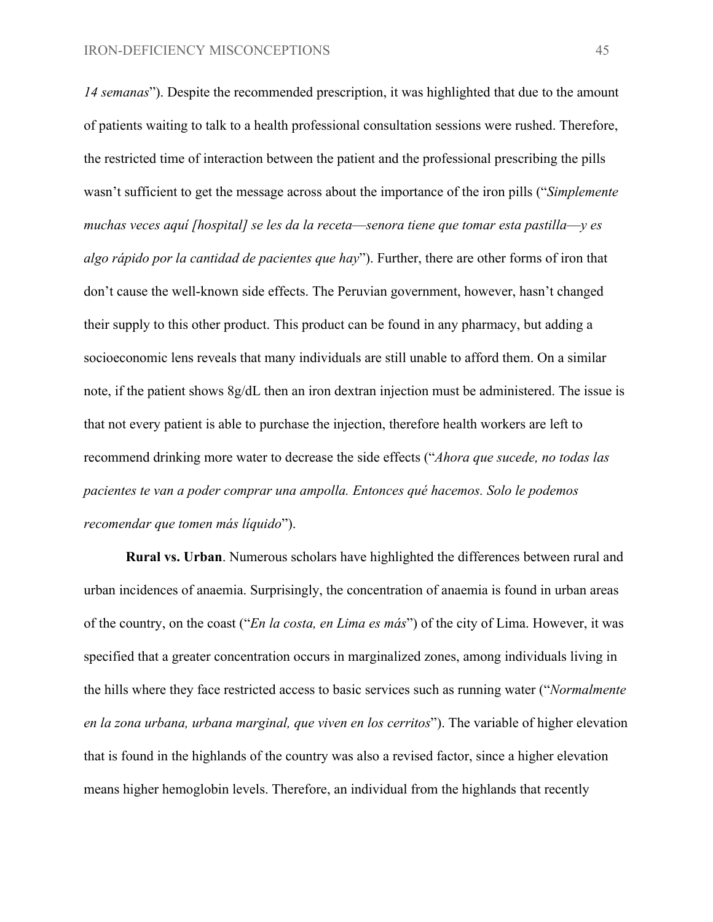*14 semanas*"). Despite the recommended prescription, it was highlighted that due to the amount of patients waiting to talk to a health professional consultation sessions were rushed. Therefore, the restricted time of interaction between the patient and the professional prescribing the pills wasn't sufficient to get the message across about the importance of the iron pills ("*Simplemente muchas veces aquí [hospital] se les da la receta*—*senora tiene que tomar esta pastilla*—*y es algo rápido por la cantidad de pacientes que hay*"). Further, there are other forms of iron that don't cause the well-known side effects. The Peruvian government, however, hasn't changed their supply to this other product. This product can be found in any pharmacy, but adding a socioeconomic lens reveals that many individuals are still unable to afford them. On a similar note, if the patient shows 8g/dL then an iron dextran injection must be administered. The issue is that not every patient is able to purchase the injection, therefore health workers are left to recommend drinking more water to decrease the side effects ("*Ahora que sucede, no todas las pacientes te van a poder comprar una ampolla. Entonces qué hacemos. Solo le podemos recomendar que tomen más líquido*").

**Rural vs. Urban**. Numerous scholars have highlighted the differences between rural and urban incidences of anaemia. Surprisingly, the concentration of anaemia is found in urban areas of the country, on the coast ("*En la costa, en Lima es más*") of the city of Lima. However, it was specified that a greater concentration occurs in marginalized zones, among individuals living in the hills where they face restricted access to basic services such as running water ("*Normalmente en la zona urbana, urbana marginal, que viven en los cerritos*"). The variable of higher elevation that is found in the highlands of the country was also a revised factor, since a higher elevation means higher hemoglobin levels. Therefore, an individual from the highlands that recently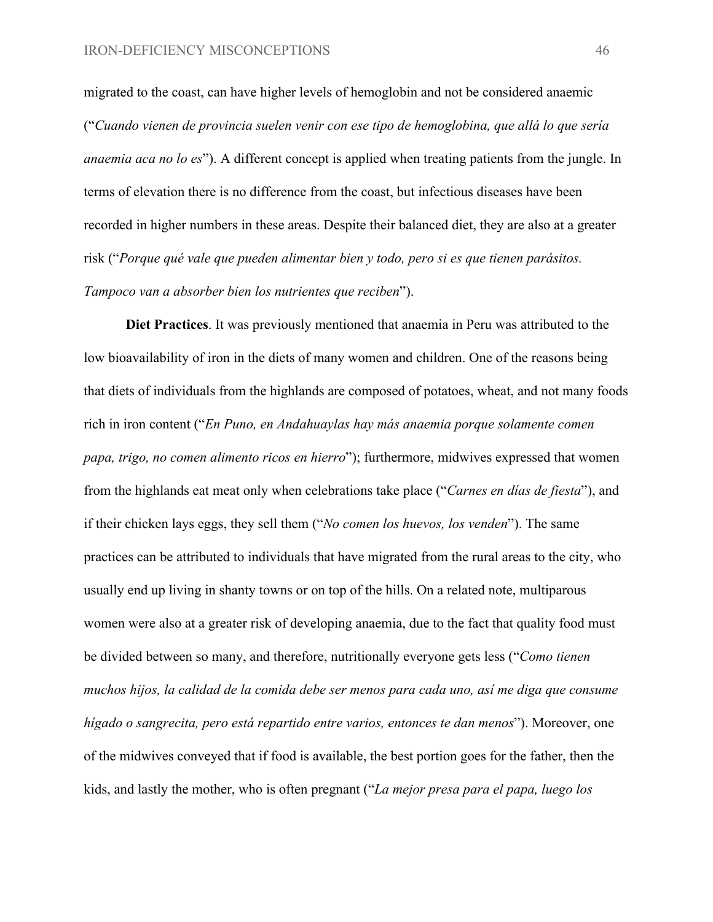migrated to the coast, can have higher levels of hemoglobin and not be considered anaemic ("*Cuando vienen de provincia suelen venir con ese tipo de hemoglobina, que allá lo que sería anaemia aca no lo es*"). A different concept is applied when treating patients from the jungle. In terms of elevation there is no difference from the coast, but infectious diseases have been recorded in higher numbers in these areas. Despite their balanced diet, they are also at a greater risk ("*Porque qué vale que pueden alimentar bien y todo, pero si es que tienen parásitos. Tampoco van a absorber bien los nutrientes que reciben*").

**Diet Practices**. It was previously mentioned that anaemia in Peru was attributed to the low bioavailability of iron in the diets of many women and children. One of the reasons being that diets of individuals from the highlands are composed of potatoes, wheat, and not many foods rich in iron content ("*En Puno, en Andahuaylas hay más anaemia porque solamente comen papa, trigo, no comen alimento ricos en hierro*"); furthermore, midwives expressed that women from the highlands eat meat only when celebrations take place ("*Carnes en días de fiesta*"), and if their chicken lays eggs, they sell them ("*No comen los huevos, los venden*"). The same practices can be attributed to individuals that have migrated from the rural areas to the city, who usually end up living in shanty towns or on top of the hills. On a related note, multiparous women were also at a greater risk of developing anaemia, due to the fact that quality food must be divided between so many, and therefore, nutritionally everyone gets less ("*Como tienen muchos hijos, la calidad de la comida debe ser menos para cada uno, así me diga que consume hígado o sangrecita, pero está repartido entre varios, entonces te dan menos*"). Moreover, one of the midwives conveyed that if food is available, the best portion goes for the father, then the kids, and lastly the mother, who is often pregnant ("*La mejor presa para el papa, luego los*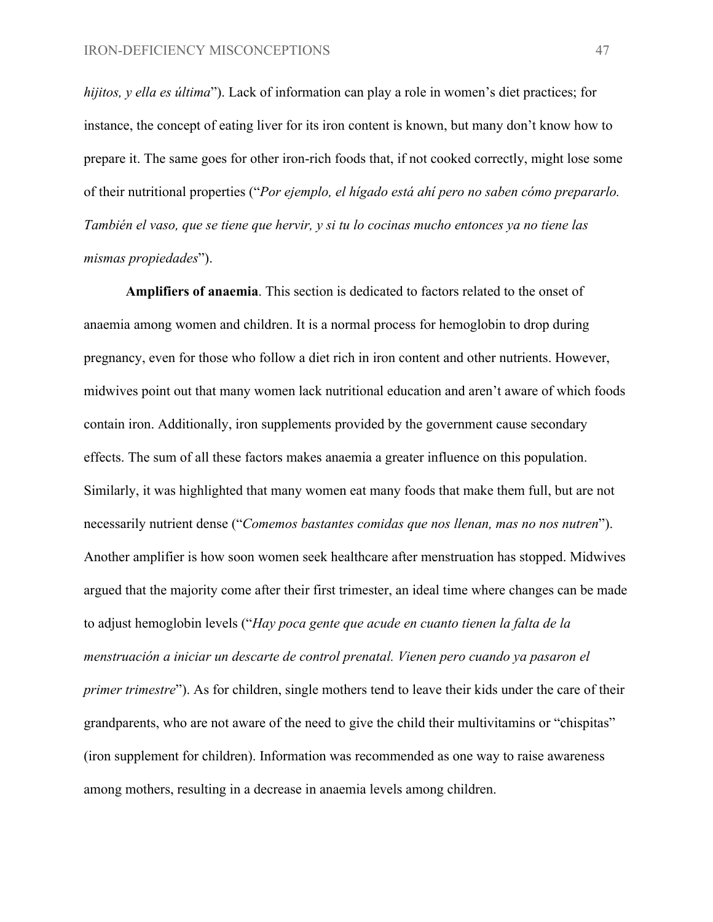*hijitos, y ella es última*"). Lack of information can play a role in women's diet practices; for instance, the concept of eating liver for its iron content is known, but many don't know how to prepare it. The same goes for other iron-rich foods that, if not cooked correctly, might lose some of their nutritional properties ("*Por ejemplo, el hígado está ahí pero no saben cómo prepararlo. También el vaso, que se tiene que hervir, y si tu lo cocinas mucho entonces ya no tiene las mismas propiedades*").

**Amplifiers of anaemia**. This section is dedicated to factors related to the onset of anaemia among women and children. It is a normal process for hemoglobin to drop during pregnancy, even for those who follow a diet rich in iron content and other nutrients. However, midwives point out that many women lack nutritional education and aren't aware of which foods contain iron. Additionally, iron supplements provided by the government cause secondary effects. The sum of all these factors makes anaemia a greater influence on this population. Similarly, it was highlighted that many women eat many foods that make them full, but are not necessarily nutrient dense ("*Comemos bastantes comidas que nos llenan, mas no nos nutren*"). Another amplifier is how soon women seek healthcare after menstruation has stopped. Midwives argued that the majority come after their first trimester, an ideal time where changes can be made to adjust hemoglobin levels ("*Hay poca gente que acude en cuanto tienen la falta de la menstruación a iniciar un descarte de control prenatal. Vienen pero cuando ya pasaron el primer trimestre*"). As for children, single mothers tend to leave their kids under the care of their grandparents, who are not aware of the need to give the child their multivitamins or "chispitas" (iron supplement for children). Information was recommended as one way to raise awareness among mothers, resulting in a decrease in anaemia levels among children.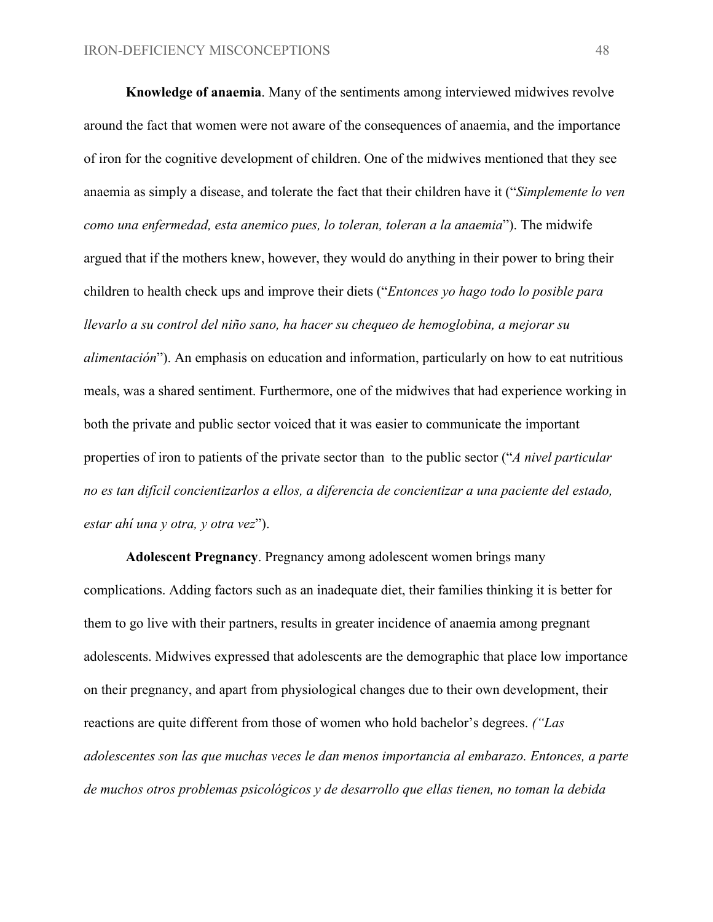**Knowledge of anaemia**. Many of the sentiments among interviewed midwives revolve around the fact that women were not aware of the consequences of anaemia, and the importance of iron for the cognitive development of children. One of the midwives mentioned that they see anaemia as simply a disease, and tolerate the fact that their children have it ("*Simplemente lo ven como una enfermedad, esta anemico pues, lo toleran, toleran a la anaemia*"). The midwife argued that if the mothers knew, however, they would do anything in their power to bring their children to health check ups and improve their diets ("*Entonces yo hago todo lo posible para llevarlo a su control del niño sano, ha hacer su chequeo de hemoglobina, a mejorar su alimentación*"). An emphasis on education and information, particularly on how to eat nutritious meals, was a shared sentiment. Furthermore, one of the midwives that had experience working in both the private and public sector voiced that it was easier to communicate the important properties of iron to patients of the private sector than to the public sector ("*A nivel particular no es tan difícil concientizarlos a ellos, a diferencia de concientizar a una paciente del estado, estar ahí una y otra, y otra vez*").

**Adolescent Pregnancy**. Pregnancy among adolescent women brings many complications. Adding factors such as an inadequate diet, their families thinking it is better for them to go live with their partners, results in greater incidence of anaemia among pregnant adolescents. Midwives expressed that adolescents are the demographic that place low importance on their pregnancy, and apart from physiological changes due to their own development, their reactions are quite different from those of women who hold bachelor's degrees. *("Las adolescentes son las que muchas veces le dan menos importancia al embarazo. Entonces, a parte de muchos otros problemas psicológicos y de desarrollo que ellas tienen, no toman la debida*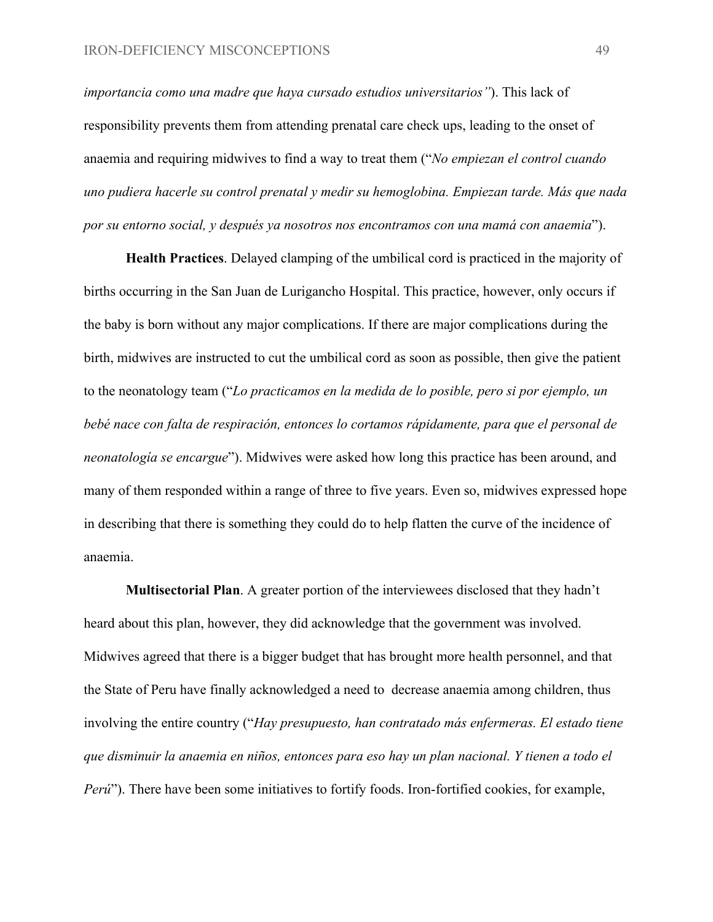*importancia como una madre que haya cursado estudios universitarios"*). This lack of responsibility prevents them from attending prenatal care check ups, leading to the onset of anaemia and requiring midwives to find a way to treat them ("*No empiezan el control cuando uno pudiera hacerle su control prenatal y medir su hemoglobina. Empiezan tarde. Más que nada por su entorno social, y después ya nosotros nos encontramos con una mamá con anaemia*").

**Health Practices**. Delayed clamping of the umbilical cord is practiced in the majority of births occurring in the San Juan de Lurigancho Hospital. This practice, however, only occurs if the baby is born without any major complications. If there are major complications during the birth, midwives are instructed to cut the umbilical cord as soon as possible, then give the patient to the neonatology team ("*Lo practicamos en la medida de lo posible, pero si por ejemplo, un bebé nace con falta de respiración, entonces lo cortamos rápidamente, para que el personal de neonatología se encargue*"). Midwives were asked how long this practice has been around, and many of them responded within a range of three to five years. Even so, midwives expressed hope in describing that there is something they could do to help flatten the curve of the incidence of anaemia.

**Multisectorial Plan**. A greater portion of the interviewees disclosed that they hadn't heard about this plan, however, they did acknowledge that the government was involved. Midwives agreed that there is a bigger budget that has brought more health personnel, and that the State of Peru have finally acknowledged a need to decrease anaemia among children, thus involving the entire country ("*Hay presupuesto, han contratado más enfermeras. El estado tiene que disminuir la anaemia en niños, entonces para eso hay un plan nacional. Y tienen a todo el Perú*"). There have been some initiatives to fortify foods. Iron-fortified cookies, for example,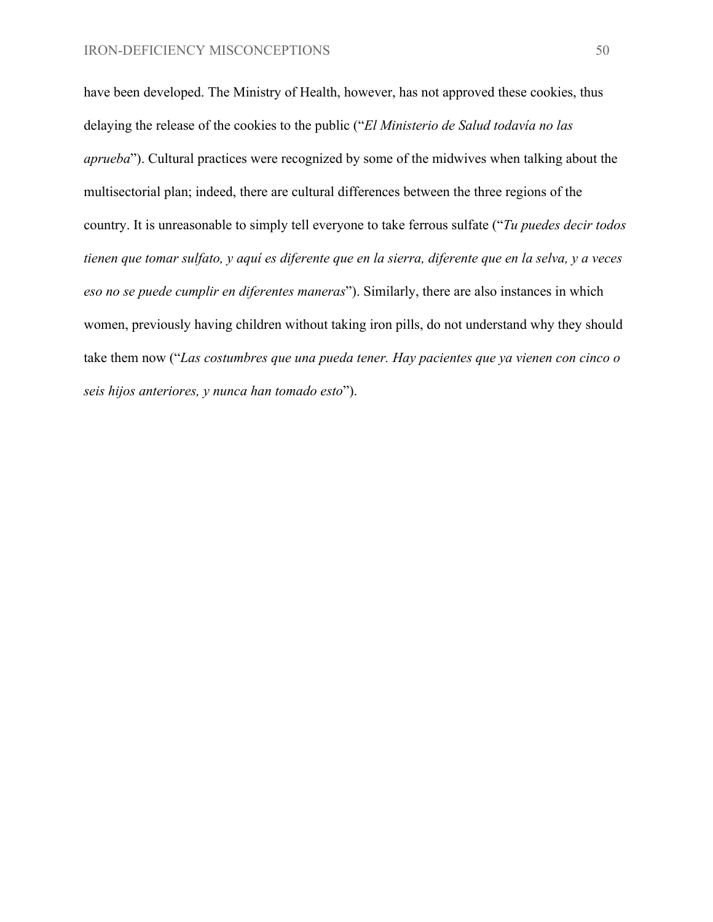have been developed. The Ministry of Health, however, has not approved these cookies, thus delaying the release of the cookies to the public ("*El Ministerio de Salud todavía no las aprueba*"). Cultural practices were recognized by some of the midwives when talking about the multisectorial plan; indeed, there are cultural differences between the three regions of the country. It is unreasonable to simply tell everyone to take ferrous sulfate ("*Tu puedes decir todos tienen que tomar sulfato, y aquí es diferente que en la sierra, diferente que en la selva, y a veces eso no se puede cumplir en diferentes maneras*"). Similarly, there are also instances in which women, previously having children without taking iron pills, do not understand why they should take them now ("*Las costumbres que una pueda tener. Hay pacientes que ya vienen con cinco o seis hijos anteriores, y nunca han tomado esto*").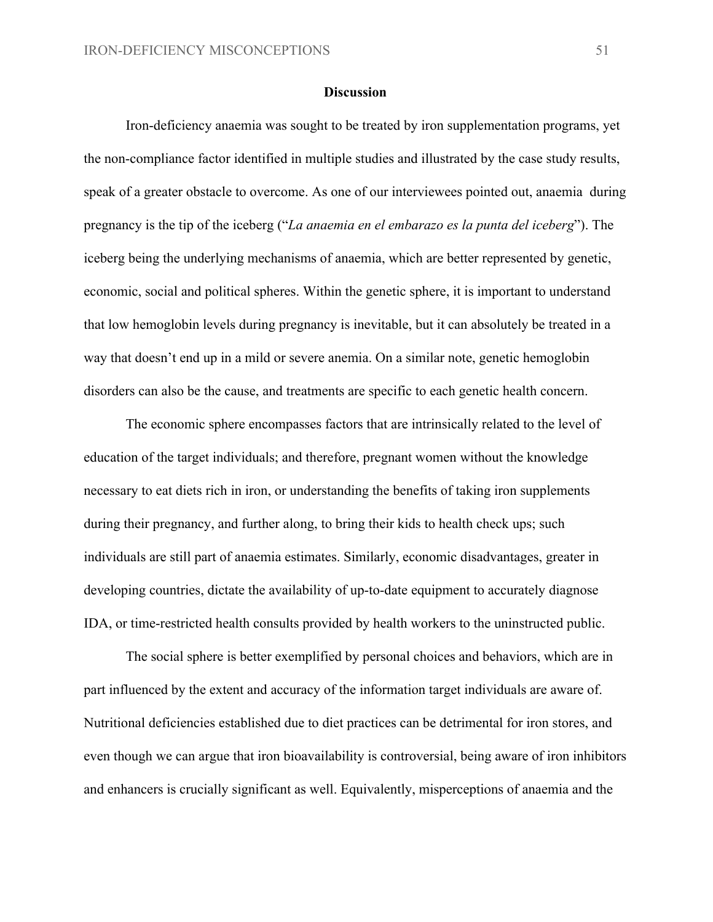#### **Discussion**

Iron-deficiency anaemia was sought to be treated by iron supplementation programs, yet the non-compliance factor identified in multiple studies and illustrated by the case study results, speak of a greater obstacle to overcome. As one of our interviewees pointed out, anaemia during pregnancy is the tip of the iceberg ("*La anaemia en el embarazo es la punta del iceberg*"). The iceberg being the underlying mechanisms of anaemia, which are better represented by genetic, economic, social and political spheres. Within the genetic sphere, it is important to understand that low hemoglobin levels during pregnancy is inevitable, but it can absolutely be treated in a way that doesn't end up in a mild or severe anemia. On a similar note, genetic hemoglobin disorders can also be the cause, and treatments are specific to each genetic health concern.

The economic sphere encompasses factors that are intrinsically related to the level of education of the target individuals; and therefore, pregnant women without the knowledge necessary to eat diets rich in iron, or understanding the benefits of taking iron supplements during their pregnancy, and further along, to bring their kids to health check ups; such individuals are still part of anaemia estimates. Similarly, economic disadvantages, greater in developing countries, dictate the availability of up-to-date equipment to accurately diagnose IDA, or time-restricted health consults provided by health workers to the uninstructed public.

The social sphere is better exemplified by personal choices and behaviors, which are in part influenced by the extent and accuracy of the information target individuals are aware of. Nutritional deficiencies established due to diet practices can be detrimental for iron stores, and even though we can argue that iron bioavailability is controversial, being aware of iron inhibitors and enhancers is crucially significant as well. Equivalently, misperceptions of anaemia and the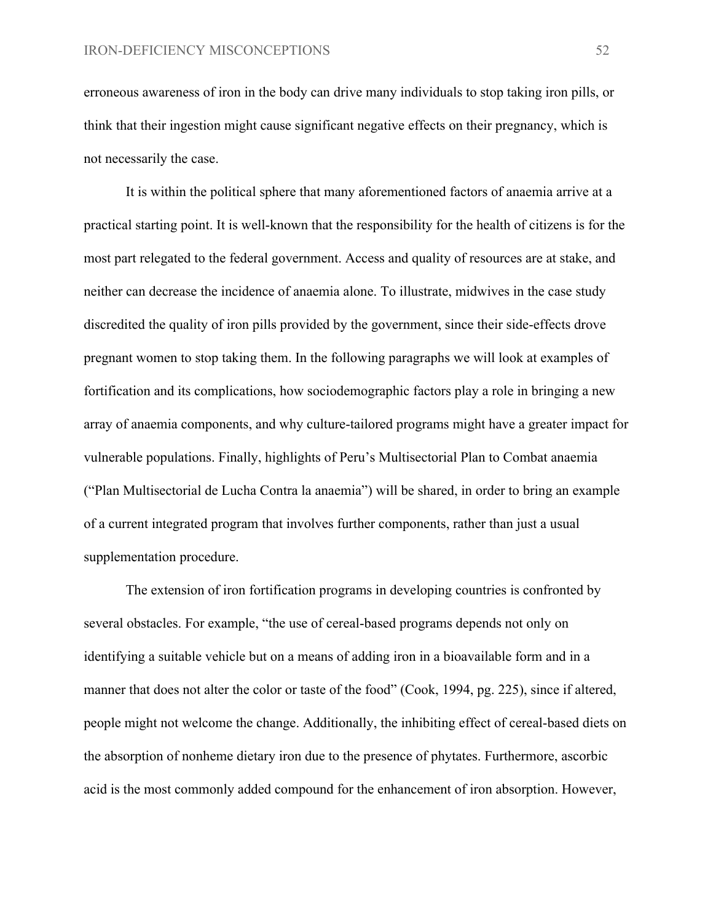erroneous awareness of iron in the body can drive many individuals to stop taking iron pills, or think that their ingestion might cause significant negative effects on their pregnancy, which is not necessarily the case.

It is within the political sphere that many aforementioned factors of anaemia arrive at a practical starting point. It is well-known that the responsibility for the health of citizens is for the most part relegated to the federal government. Access and quality of resources are at stake, and neither can decrease the incidence of anaemia alone. To illustrate, midwives in the case study discredited the quality of iron pills provided by the government, since their side-effects drove pregnant women to stop taking them. In the following paragraphs we will look at examples of fortification and its complications, how sociodemographic factors play a role in bringing a new array of anaemia components, and why culture-tailored programs might have a greater impact for vulnerable populations. Finally, highlights of Peru's Multisectorial Plan to Combat anaemia ("Plan Multisectorial de Lucha Contra la anaemia") will be shared, in order to bring an example of a current integrated program that involves further components, rather than just a usual supplementation procedure.

The extension of iron fortification programs in developing countries is confronted by several obstacles. For example, "the use of cereal-based programs depends not only on identifying a suitable vehicle but on a means of adding iron in a bioavailable form and in a manner that does not alter the color or taste of the food" (Cook, 1994, pg. 225), since if altered, people might not welcome the change. Additionally, the inhibiting effect of cereal-based diets on the absorption of nonheme dietary iron due to the presence of phytates. Furthermore, ascorbic acid is the most commonly added compound for the enhancement of iron absorption. However,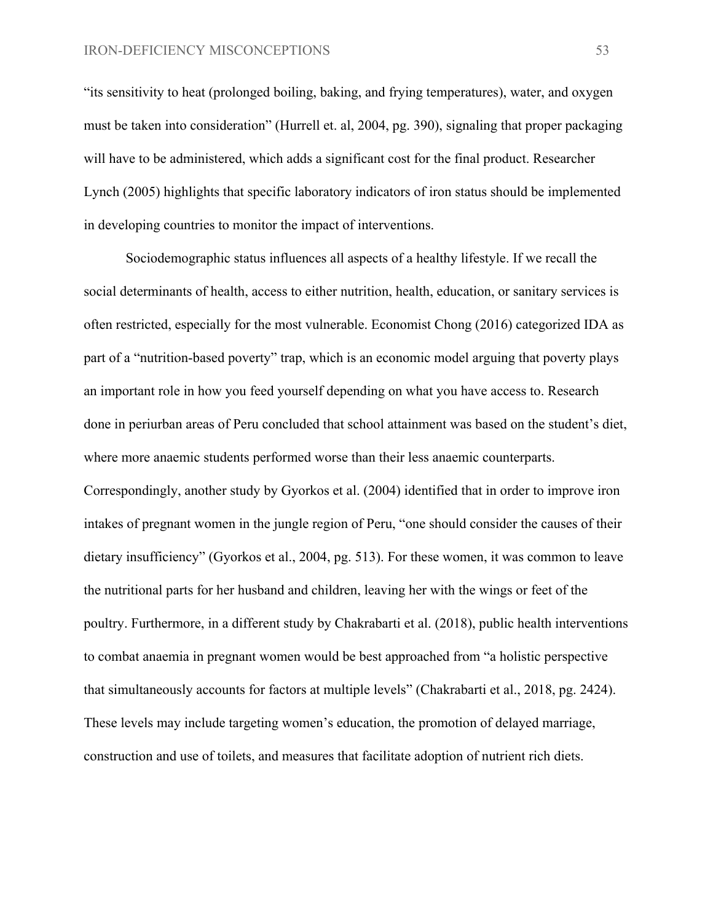"its sensitivity to heat (prolonged boiling, baking, and frying temperatures), water, and oxygen must be taken into consideration" (Hurrell et. al, 2004, pg. 390), signaling that proper packaging will have to be administered, which adds a significant cost for the final product. Researcher Lynch (2005) highlights that specific laboratory indicators of iron status should be implemented in developing countries to monitor the impact of interventions.

Sociodemographic status influences all aspects of a healthy lifestyle. If we recall the social determinants of health, access to either nutrition, health, education, or sanitary services is often restricted, especially for the most vulnerable. Economist Chong (2016) categorized IDA as part of a "nutrition-based poverty" trap, which is an economic model arguing that poverty plays an important role in how you feed yourself depending on what you have access to. Research done in periurban areas of Peru concluded that school attainment was based on the student's diet, where more anaemic students performed worse than their less anaemic counterparts. Correspondingly, another study by Gyorkos et al. (2004) identified that in order to improve iron intakes of pregnant women in the jungle region of Peru, "one should consider the causes of their dietary insufficiency" (Gyorkos et al., 2004, pg. 513). For these women, it was common to leave the nutritional parts for her husband and children, leaving her with the wings or feet of the poultry. Furthermore, in a different study by Chakrabarti et al. (2018), public health interventions to combat anaemia in pregnant women would be best approached from "a holistic perspective that simultaneously accounts for factors at multiple levels" (Chakrabarti et al., 2018, pg. 2424). These levels may include targeting women's education, the promotion of delayed marriage, construction and use of toilets, and measures that facilitate adoption of nutrient rich diets.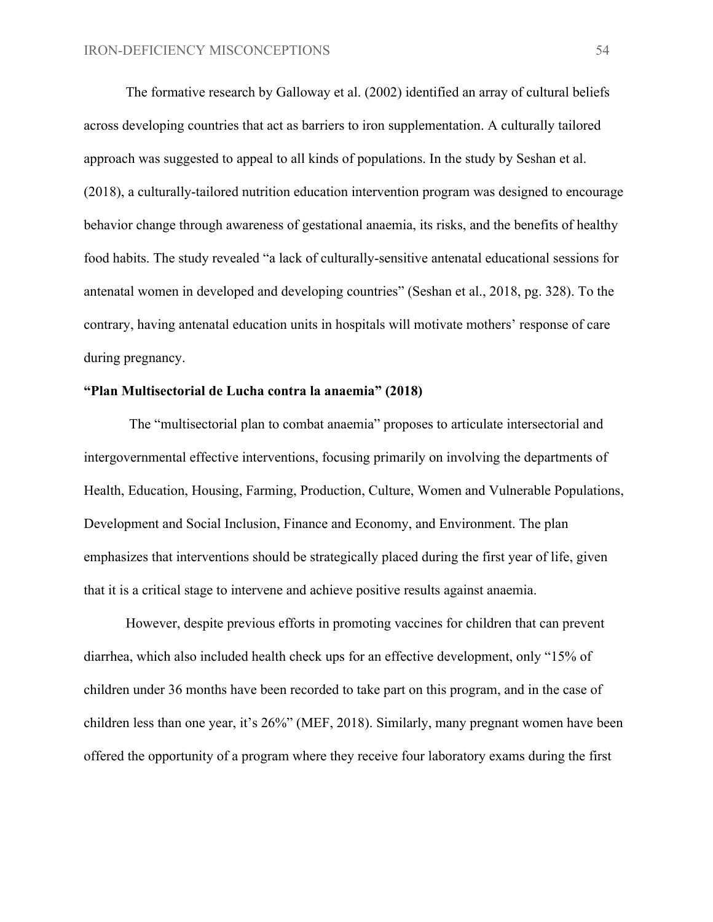The formative research by Galloway et al. (2002) identified an array of cultural beliefs across developing countries that act as barriers to iron supplementation. A culturally tailored approach was suggested to appeal to all kinds of populations. In the study by Seshan et al. (2018), a culturally-tailored nutrition education intervention program was designed to encourage behavior change through awareness of gestational anaemia, its risks, and the benefits of healthy food habits. The study revealed "a lack of culturally-sensitive antenatal educational sessions for antenatal women in developed and developing countries" (Seshan et al., 2018, pg. 328). To the contrary, having antenatal education units in hospitals will motivate mothers' response of care during pregnancy.

#### **"Plan Multisectorial de Lucha contra la anaemia" (2018)**

 The "multisectorial plan to combat anaemia" proposes to articulate intersectorial and intergovernmental effective interventions, focusing primarily on involving the departments of Health, Education, Housing, Farming, Production, Culture, Women and Vulnerable Populations, Development and Social Inclusion, Finance and Economy, and Environment. The plan emphasizes that interventions should be strategically placed during the first year of life, given that it is a critical stage to intervene and achieve positive results against anaemia.

However, despite previous efforts in promoting vaccines for children that can prevent diarrhea, which also included health check ups for an effective development, only "15% of children under 36 months have been recorded to take part on this program, and in the case of children less than one year, it's 26%" (MEF, 2018). Similarly, many pregnant women have been offered the opportunity of a program where they receive four laboratory exams during the first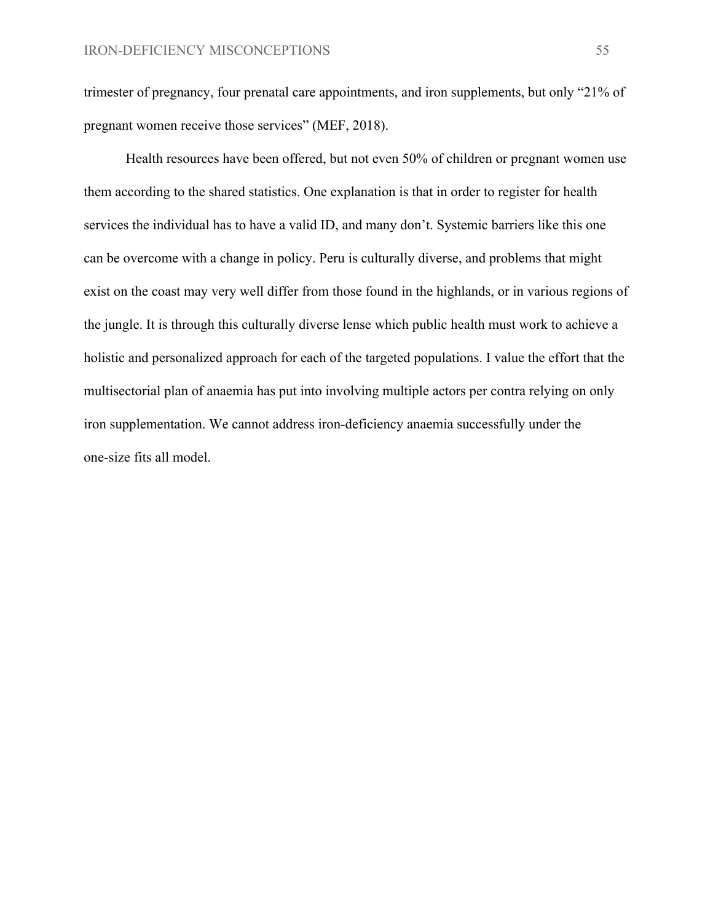trimester of pregnancy, four prenatal care appointments, and iron supplements, but only "21% of pregnant women receive those services" (MEF, 2018).

Health resources have been offered, but not even 50% of children or pregnant women use them according to the shared statistics. One explanation is that in order to register for health services the individual has to have a valid ID, and many don't. Systemic barriers like this one can be overcome with a change in policy. Peru is culturally diverse, and problems that might exist on the coast may very well differ from those found in the highlands, or in various regions of the jungle. It is through this culturally diverse lense which public health must work to achieve a holistic and personalized approach for each of the targeted populations. I value the effort that the multisectorial plan of anaemia has put into involving multiple actors per contra relying on only iron supplementation. We cannot address iron-deficiency anaemia successfully under the one-size fits all model.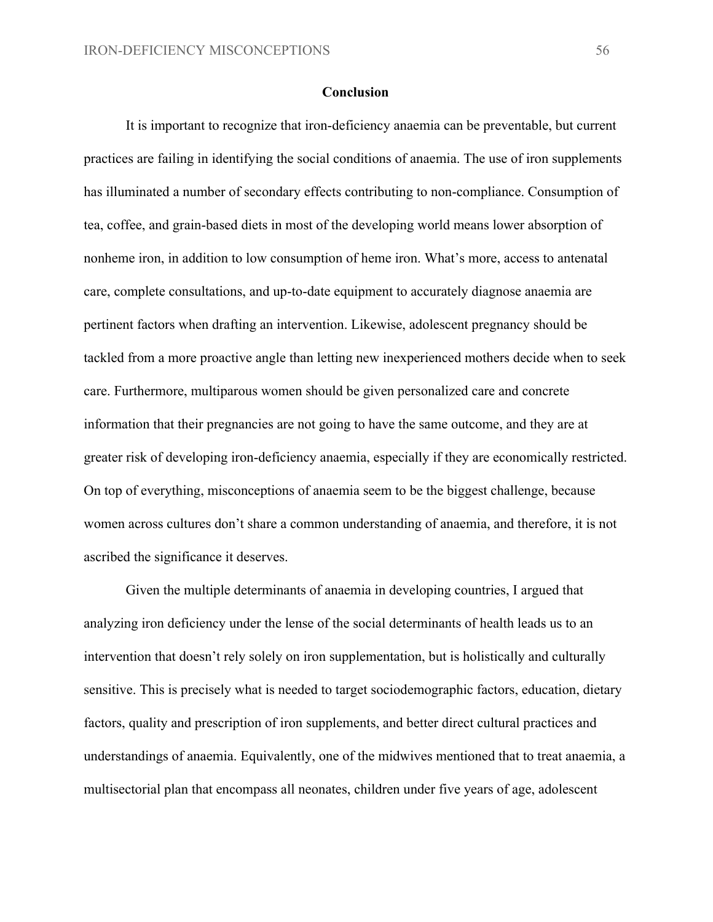#### **Conclusion**

It is important to recognize that iron-deficiency anaemia can be preventable, but current practices are failing in identifying the social conditions of anaemia. The use of iron supplements has illuminated a number of secondary effects contributing to non-compliance. Consumption of tea, coffee, and grain-based diets in most of the developing world means lower absorption of nonheme iron, in addition to low consumption of heme iron. What's more, access to antenatal care, complete consultations, and up-to-date equipment to accurately diagnose anaemia are pertinent factors when drafting an intervention. Likewise, adolescent pregnancy should be tackled from a more proactive angle than letting new inexperienced mothers decide when to seek care. Furthermore, multiparous women should be given personalized care and concrete information that their pregnancies are not going to have the same outcome, and they are at greater risk of developing iron-deficiency anaemia, especially if they are economically restricted. On top of everything, misconceptions of anaemia seem to be the biggest challenge, because women across cultures don't share a common understanding of anaemia, and therefore, it is not ascribed the significance it deserves.

Given the multiple determinants of anaemia in developing countries, I argued that analyzing iron deficiency under the lense of the social determinants of health leads us to an intervention that doesn't rely solely on iron supplementation, but is holistically and culturally sensitive. This is precisely what is needed to target sociodemographic factors, education, dietary factors, quality and prescription of iron supplements, and better direct cultural practices and understandings of anaemia. Equivalently, one of the midwives mentioned that to treat anaemia, a multisectorial plan that encompass all neonates, children under five years of age, adolescent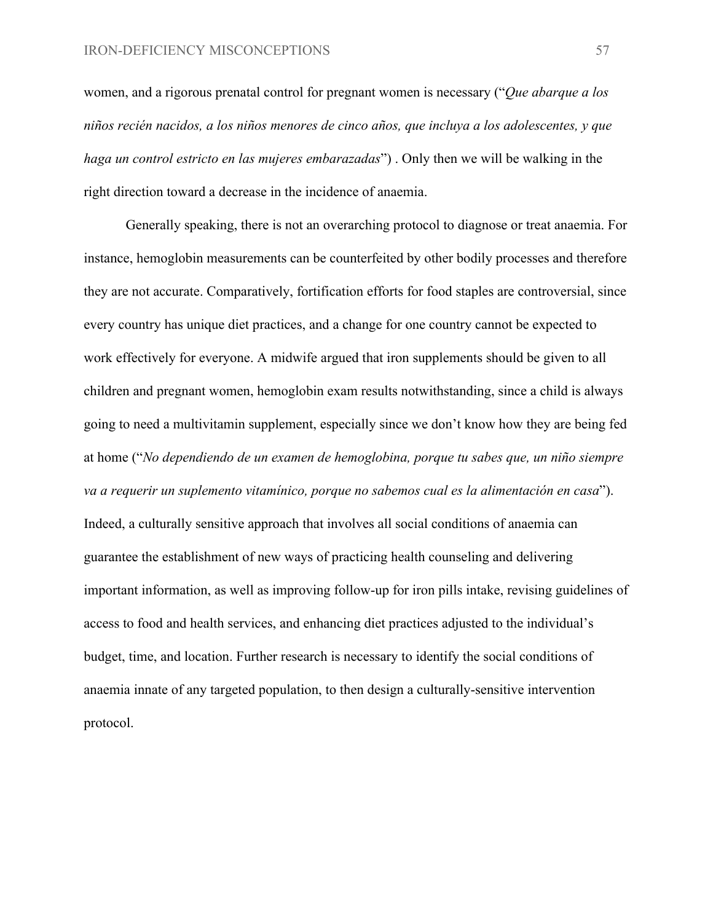women, and a rigorous prenatal control for pregnant women is necessary ("*Que abarque a los niños recién nacidos, a los niños menores de cinco años, que incluya a los adolescentes, y que haga un control estricto en las mujeres embarazadas*") . Only then we will be walking in the right direction toward a decrease in the incidence of anaemia.

Generally speaking, there is not an overarching protocol to diagnose or treat anaemia. For instance, hemoglobin measurements can be counterfeited by other bodily processes and therefore they are not accurate. Comparatively, fortification efforts for food staples are controversial, since every country has unique diet practices, and a change for one country cannot be expected to work effectively for everyone. A midwife argued that iron supplements should be given to all children and pregnant women, hemoglobin exam results notwithstanding, since a child is always going to need a multivitamin supplement, especially since we don't know how they are being fed at home ("*No dependiendo de un examen de hemoglobina, porque tu sabes que, un niño siempre va a requerir un suplemento vitamínico, porque no sabemos cual es la alimentación en casa*"). Indeed, a culturally sensitive approach that involves all social conditions of anaemia can guarantee the establishment of new ways of practicing health counseling and delivering important information, as well as improving follow-up for iron pills intake, revising guidelines of access to food and health services, and enhancing diet practices adjusted to the individual's budget, time, and location. Further research is necessary to identify the social conditions of anaemia innate of any targeted population, to then design a culturally-sensitive intervention protocol.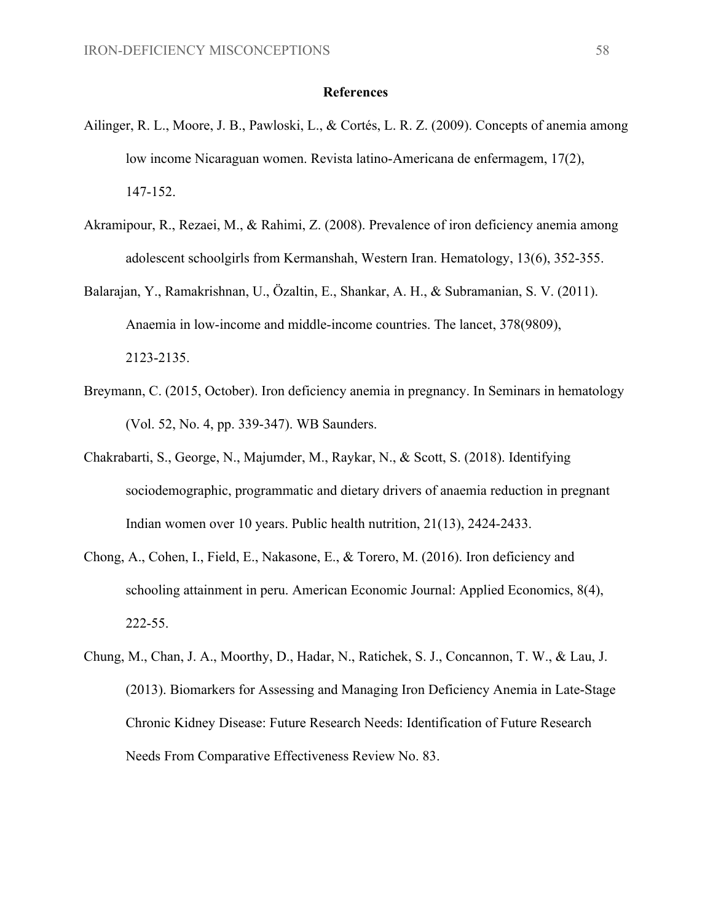#### **References**

- Ailinger, R. L., Moore, J. B., Pawloski, L., & Cortés, L. R. Z. (2009). Concepts of anemia among low income Nicaraguan women. Revista latino-Americana de enfermagem, 17(2), 147-152.
- Akramipour, R., Rezaei, M., & Rahimi, Z. (2008). Prevalence of iron deficiency anemia among adolescent schoolgirls from Kermanshah, Western Iran. Hematology, 13(6), 352-355.
- Balarajan, Y., Ramakrishnan, U., Özaltin, E., Shankar, A. H., & Subramanian, S. V. (2011). Anaemia in low-income and middle-income countries. The lancet, 378(9809), 2123-2135.
- Breymann, C. (2015, October). Iron deficiency anemia in pregnancy. In Seminars in hematology (Vol. 52, No. 4, pp. 339-347). WB Saunders.
- Chakrabarti, S., George, N., Majumder, M., Raykar, N., & Scott, S. (2018). Identifying sociodemographic, programmatic and dietary drivers of anaemia reduction in pregnant Indian women over 10 years. Public health nutrition, 21(13), 2424-2433.
- Chong, A., Cohen, I., Field, E., Nakasone, E., & Torero, M. (2016). Iron deficiency and schooling attainment in peru. American Economic Journal: Applied Economics, 8(4), 222-55.
- Chung, M., Chan, J. A., Moorthy, D., Hadar, N., Ratichek, S. J., Concannon, T. W., & Lau, J. (2013). Biomarkers for Assessing and Managing Iron Deficiency Anemia in Late-Stage Chronic Kidney Disease: Future Research Needs: Identification of Future Research Needs From Comparative Effectiveness Review No. 83.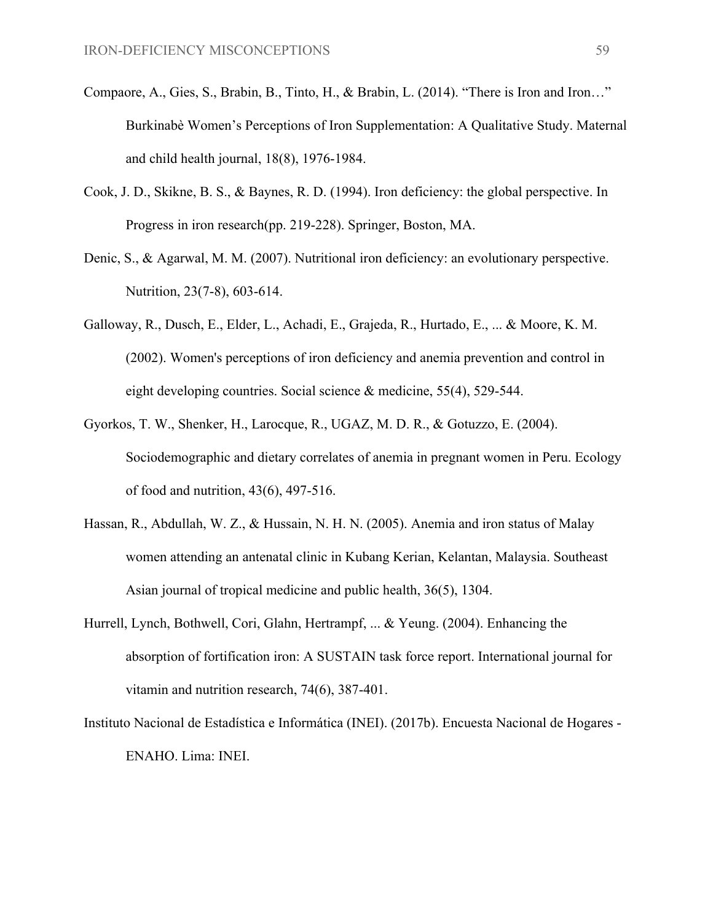- Compaore, A., Gies, S., Brabin, B., Tinto, H., & Brabin, L. (2014). "There is Iron and Iron…" Burkinabè Women's Perceptions of Iron Supplementation: A Qualitative Study. Maternal and child health journal, 18(8), 1976-1984.
- Cook, J. D., Skikne, B. S., & Baynes, R. D. (1994). Iron deficiency: the global perspective. In Progress in iron research(pp. 219-228). Springer, Boston, MA.
- Denic, S., & Agarwal, M. M. (2007). Nutritional iron deficiency: an evolutionary perspective. Nutrition, 23(7-8), 603-614.
- Galloway, R., Dusch, E., Elder, L., Achadi, E., Grajeda, R., Hurtado, E., ... & Moore, K. M. (2002). Women's perceptions of iron deficiency and anemia prevention and control in eight developing countries. Social science & medicine, 55(4), 529-544.
- Gyorkos, T. W., Shenker, H., Larocque, R., UGAZ, M. D. R., & Gotuzzo, E. (2004). Sociodemographic and dietary correlates of anemia in pregnant women in Peru. Ecology of food and nutrition, 43(6), 497-516.
- Hassan, R., Abdullah, W. Z., & Hussain, N. H. N. (2005). Anemia and iron status of Malay women attending an antenatal clinic in Kubang Kerian, Kelantan, Malaysia. Southeast Asian journal of tropical medicine and public health, 36(5), 1304.
- Hurrell, Lynch, Bothwell, Cori, Glahn, Hertrampf, ... & Yeung. (2004). Enhancing the absorption of fortification iron: A SUSTAIN task force report. International journal for vitamin and nutrition research, 74(6), 387-401.
- Instituto Nacional de Estadística e Informática (INEI). (2017b). Encuesta Nacional de Hogares ENAHO. Lima: INEI.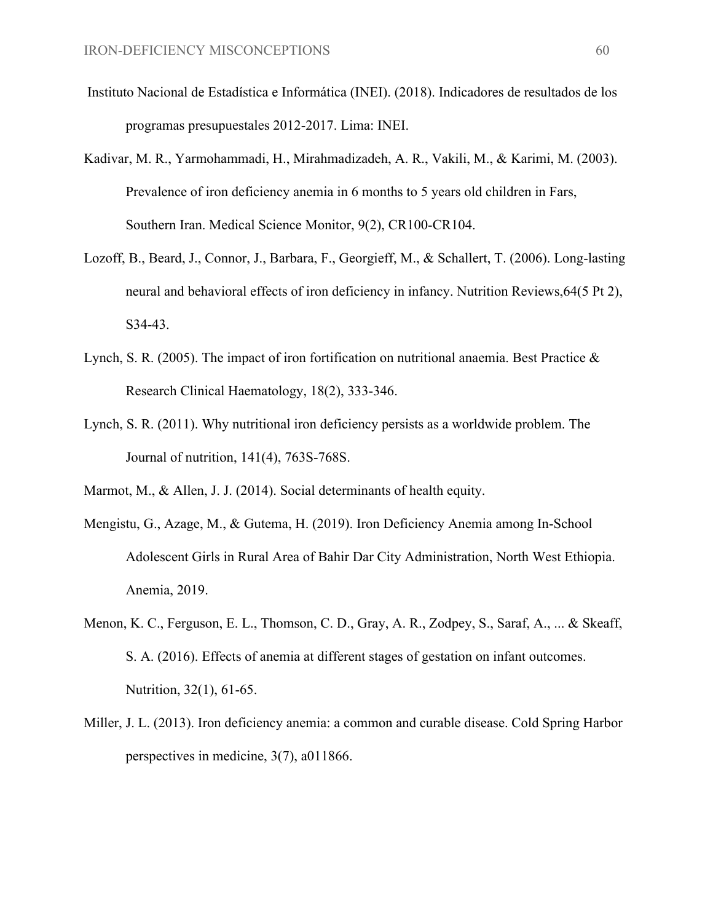- Instituto Nacional de Estadística e Informática (INEI). (2018). Indicadores de resultados de los programas presupuestales 2012-2017. Lima: INEI.
- Kadivar, M. R., Yarmohammadi, H., Mirahmadizadeh, A. R., Vakili, M., & Karimi, M. (2003). Prevalence of iron deficiency anemia in 6 months to 5 years old children in Fars, Southern Iran. Medical Science Monitor, 9(2), CR100-CR104.
- Lozoff, B., Beard, J., Connor, J., Barbara, F., Georgieff, M., & Schallert, T. (2006). Long-lasting neural and behavioral effects of iron deficiency in infancy. Nutrition Reviews,64(5 Pt 2), S34-43.
- Lynch, S. R. (2005). The impact of iron fortification on nutritional anaemia. Best Practice & Research Clinical Haematology, 18(2), 333-346.
- Lynch, S. R. (2011). Why nutritional iron deficiency persists as a worldwide problem. The Journal of nutrition, 141(4), 763S-768S.
- Marmot, M., & Allen, J. J. (2014). Social determinants of health equity.
- Mengistu, G., Azage, M., & Gutema, H. (2019). Iron Deficiency Anemia among In-School Adolescent Girls in Rural Area of Bahir Dar City Administration, North West Ethiopia. Anemia, 2019.
- Menon, K. C., Ferguson, E. L., Thomson, C. D., Gray, A. R., Zodpey, S., Saraf, A., ... & Skeaff, S. A. (2016). Effects of anemia at different stages of gestation on infant outcomes. Nutrition, 32(1), 61-65.
- Miller, J. L. (2013). Iron deficiency anemia: a common and curable disease. Cold Spring Harbor perspectives in medicine, 3(7), a011866.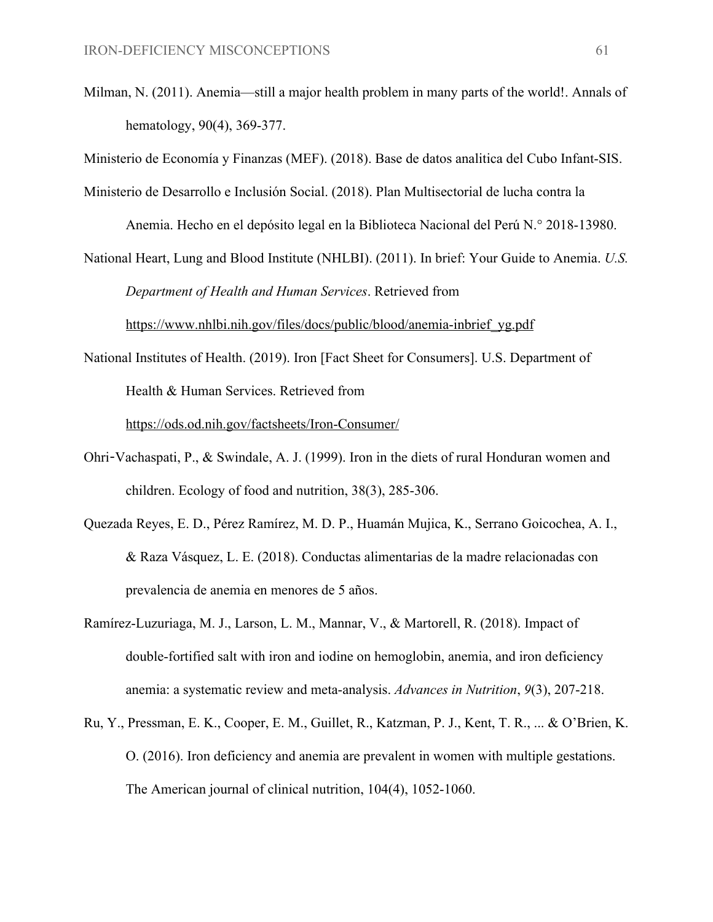Milman, N. (2011). Anemia—still a major health problem in many parts of the world!. Annals of hematology, 90(4), 369-377.

Ministerio de Economía y Finanzas (MEF). (2018). Base de datos analitica del Cubo Infant-SIS.

Ministerio de Desarrollo e Inclusión Social. (2018). Plan Multisectorial de lucha contra la

Anemia. Hecho en el depósito legal en la Biblioteca Nacional del Perú N.° 2018-13980.

National Heart, Lung and Blood Institute (NHLBI). (2011). In brief: Your Guide to Anemia. *U.S. Department of Health and Human Services*. Retrieved from

[https://www.nhlbi.nih.gov/files/docs/public/blood/anemia-inbrief\\_yg.pdf](https://www.nhlbi.nih.gov/files/docs/public/blood/anemia-inbrief_yg.pdf)

National Institutes of Health. (2019). Iron [Fact Sheet for Consumers]. U.S. Department of Health & Human Services. Retrieved from

<https://ods.od.nih.gov/factsheets/Iron-Consumer/>

- Ohri-Vachaspati, P., & Swindale, A. J. (1999). Iron in the diets of rural Honduran women and children. Ecology of food and nutrition, 38(3), 285-306.
- Quezada Reyes, E. D., Pérez Ramírez, M. D. P., Huamán Mujica, K., Serrano Goicochea, A. I., & Raza Vásquez, L. E. (2018). Conductas alimentarias de la madre relacionadas con prevalencia de anemia en menores de 5 años.
- Ramírez-Luzuriaga, M. J., Larson, L. M., Mannar, V., & Martorell, R. (2018). Impact of double-fortified salt with iron and iodine on hemoglobin, anemia, and iron deficiency anemia: a systematic review and meta-analysis. *Advances in Nutrition*, *9*(3), 207-218.
- Ru, Y., Pressman, E. K., Cooper, E. M., Guillet, R., Katzman, P. J., Kent, T. R., ... & O'Brien, K. O. (2016). Iron deficiency and anemia are prevalent in women with multiple gestations. The American journal of clinical nutrition, 104(4), 1052-1060.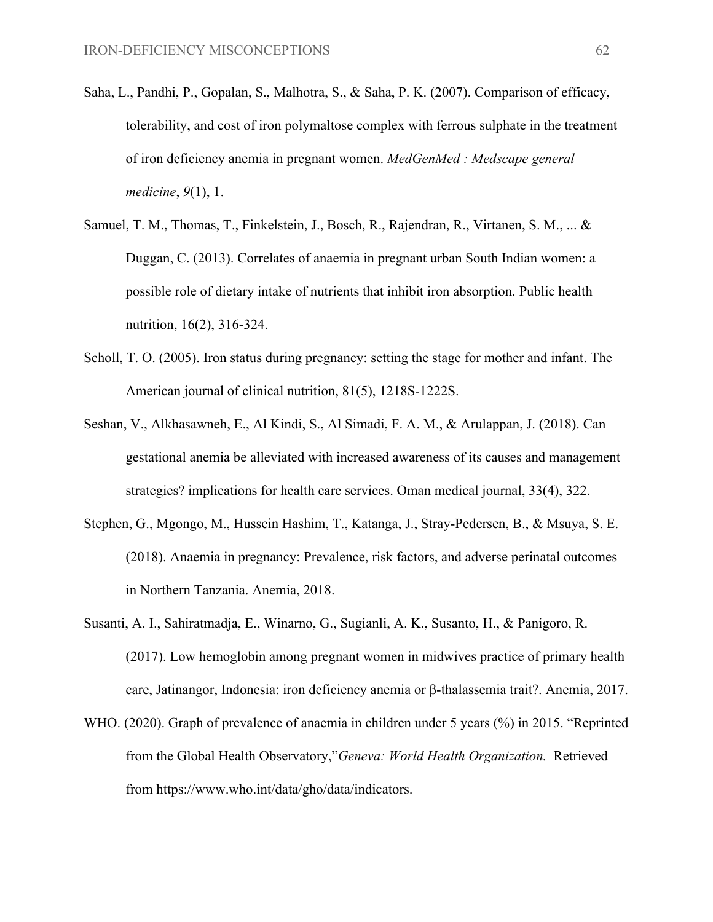- Saha, L., Pandhi, P., Gopalan, S., Malhotra, S., & Saha, P. K. (2007). Comparison of efficacy, tolerability, and cost of iron polymaltose complex with ferrous sulphate in the treatment of iron deficiency anemia in pregnant women. *MedGenMed : Medscape general medicine*, *9*(1), 1.
- Samuel, T. M., Thomas, T., Finkelstein, J., Bosch, R., Rajendran, R., Virtanen, S. M., ... & Duggan, C. (2013). Correlates of anaemia in pregnant urban South Indian women: a possible role of dietary intake of nutrients that inhibit iron absorption. Public health nutrition, 16(2), 316-324.
- Scholl, T. O. (2005). Iron status during pregnancy: setting the stage for mother and infant. The American journal of clinical nutrition, 81(5), 1218S-1222S.
- Seshan, V., Alkhasawneh, E., Al Kindi, S., Al Simadi, F. A. M., & Arulappan, J. (2018). Can gestational anemia be alleviated with increased awareness of its causes and management strategies? implications for health care services. Oman medical journal, 33(4), 322.
- Stephen, G., Mgongo, M., Hussein Hashim, T., Katanga, J., Stray-Pedersen, B., & Msuya, S. E. (2018). Anaemia in pregnancy: Prevalence, risk factors, and adverse perinatal outcomes in Northern Tanzania. Anemia, 2018.
- Susanti, A. I., Sahiratmadja, E., Winarno, G., Sugianli, A. K., Susanto, H., & Panigoro, R. (2017). Low hemoglobin among pregnant women in midwives practice of primary health care, Jatinangor, Indonesia: iron deficiency anemia or β-thalassemia trait?. Anemia, 2017.
- WHO. (2020). Graph of prevalence of anaemia in children under 5 years (%) in 2015. "Reprinted from the Global Health Observatory,"*Geneva: World Health Organization.* Retrieved from [https://www.who.int/data/gho/data/indicators.](https://www.who.int/data/gho/data/indicators)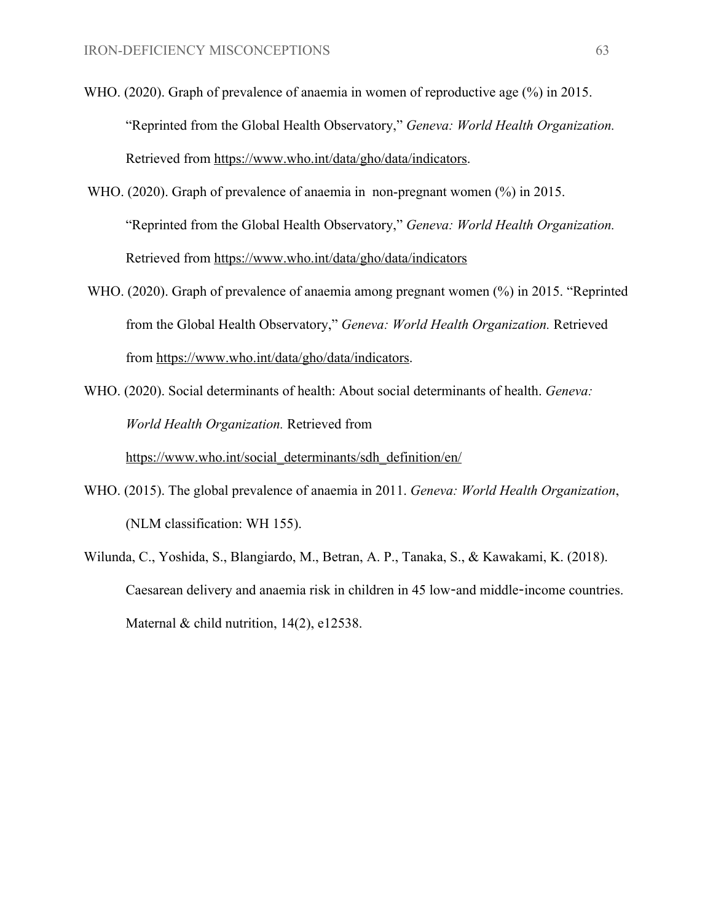- WHO. (2020). Graph of prevalence of anaemia in women of reproductive age (%) in 2015. "Reprinted from the Global Health Observatory," *Geneva: World Health Organization.* Retrieved from <https://www.who.int/data/gho/data/indicators>.
- WHO. (2020). Graph of prevalence of anaemia in non-pregnant women (%) in 2015. "Reprinted from the Global Health Observatory," *Geneva: World Health Organization.* Retrieved from <https://www.who.int/data/gho/data/indicators>
- WHO. (2020). Graph of prevalence of anaemia among pregnant women (%) in 2015. "Reprinted from the Global Health Observatory," *Geneva: World Health Organization.* Retrieved from [https://www.who.int/data/gho/data/indicators.](https://www.who.int/data/gho/data/indicators)
- WHO. (2020). Social determinants of health: About social determinants of health. *Geneva: World Health Organization.* Retrieved from [https://www.who.int/social\\_determinants/sdh\\_definition/en/](https://www.who.int/social_determinants/sdh_definition/en/)
- WHO. (2015). The global prevalence of anaemia in 2011. *Geneva: World Health Organization*, (NLM classification: WH 155).
- Wilunda, C., Yoshida, S., Blangiardo, M., Betran, A. P., Tanaka, S., & Kawakami, K. (2018). Caesarean delivery and anaemia risk in children in 45 low-and middle-income countries. Maternal & child nutrition, 14(2), e12538.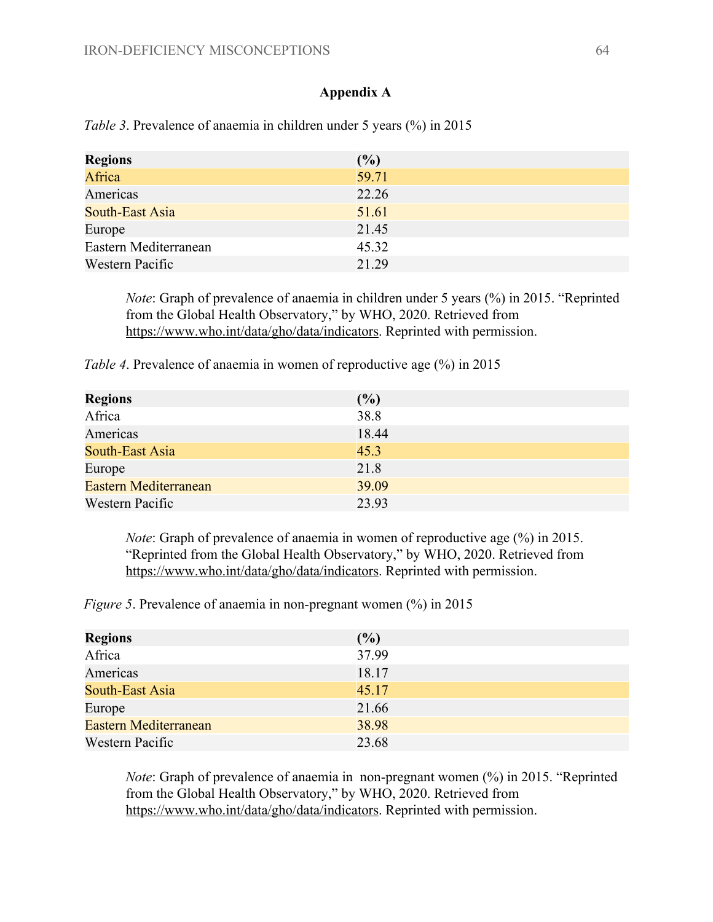#### **Appendix A**

| <b>Regions</b>        | (%)   |
|-----------------------|-------|
| Africa                | 59.71 |
| Americas              | 22.26 |
| South-East Asia       | 51.61 |
| Europe                | 21.45 |
| Eastern Mediterranean | 45.32 |
| Western Pacific       | 21.29 |

*Table 3.* Prevalence of anaemia in children under 5 years (%) in 2015

*Note*: Graph of prevalence of anaemia in children under 5 years (%) in 2015. "Reprinted from the Global Health Observatory," by WHO, 2020. Retrieved from [https://www.who.int/data/gho/data/indicators.](https://www.who.int/data/gho/data/indicators) Reprinted with permission.

*Table 4*. Prevalence of anaemia in women of reproductive age (%) in 2015

| <b>Regions</b>               | (%)   |
|------------------------------|-------|
| Africa                       | 38.8  |
| Americas                     | 18.44 |
| South-East Asia              | 45.3  |
| Europe                       | 21.8  |
| <b>Eastern Mediterranean</b> | 39.09 |
| Western Pacific              | 23.93 |

*Note*: Graph of prevalence of anaemia in women of reproductive age (%) in 2015. "Reprinted from the Global Health Observatory," by WHO, 2020. Retrieved from [https://www.who.int/data/gho/data/indicators.](https://www.who.int/data/gho/data/indicators) Reprinted with permission.

*Figure 5*. Prevalence of anaemia in non-pregnant women  $(\%)$  in 2015

| <b>Regions</b>        | (%)   |
|-----------------------|-------|
| Africa                | 37.99 |
| Americas              | 18.17 |
| South-East Asia       | 45.17 |
| Europe                | 21.66 |
| Eastern Mediterranean | 38.98 |
| Western Pacific       | 23.68 |

*Note*: Graph of prevalence of anaemia in non-pregnant women  $\left(\frac{\%}{\%}\right)$  in 2015. "Reprinted from the Global Health Observatory," by WHO, 2020. Retrieved from [https://www.who.int/data/gho/data/indicators.](https://www.who.int/data/gho/data/indicators) Reprinted with permission.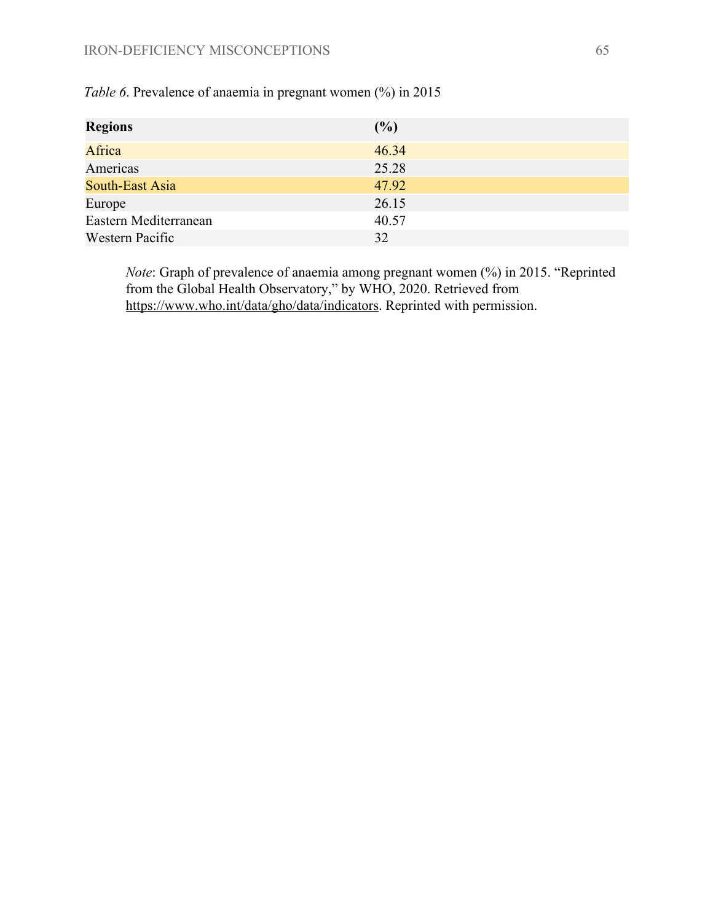| <b>Regions</b>        | (%)   |
|-----------------------|-------|
| Africa                | 46.34 |
| Americas              | 25.28 |
| South-East Asia       | 47.92 |
| Europe                | 26.15 |
| Eastern Mediterranean | 40.57 |
| Western Pacific       | 32    |

*Table 6*. Prevalence of anaemia in pregnant women (%) in 2015

*Note*: Graph of prevalence of anaemia among pregnant women (%) in 2015. "Reprinted from the Global Health Observatory," by WHO, 2020. Retrieved from [https://www.who.int/data/gho/data/indicators.](https://www.who.int/data/gho/data/indicators) Reprinted with permission.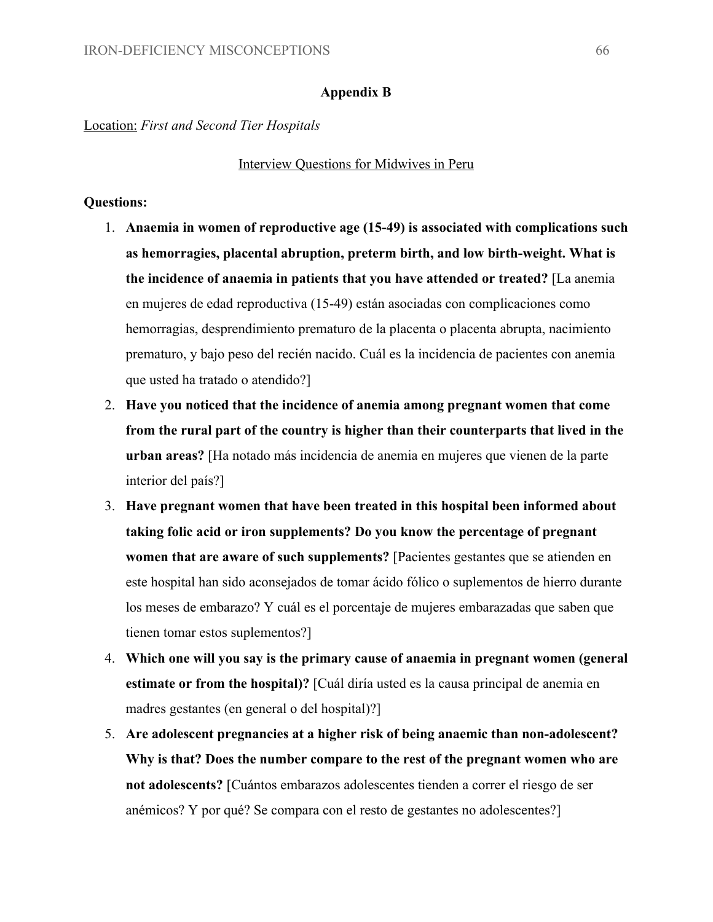#### **Appendix B**

Location: *First and Second Tier Hospitals*

#### Interview Questions for Midwives in Peru

#### **Questions:**

- 1. **Anaemia in women of reproductive age (15-49) is associated with complications such as hemorragies, placental abruption, preterm birth, and low birth-weight. What is the incidence of anaemia in patients that you have attended or treated?** [La anemia en mujeres de edad reproductiva (15-49) están asociadas con complicaciones como hemorragias, desprendimiento prematuro de la placenta o placenta abrupta, nacimiento prematuro, y bajo peso del recién nacido. Cuál es la incidencia de pacientes con anemia que usted ha tratado o atendido?]
- 2. **Have you noticed that the incidence of anemia among pregnant women that come from the rural part of the country is higher than their counterparts that lived in the urban areas?** [Ha notado más incidencia de anemia en mujeres que vienen de la parte interior del país?]
- 3. **Have pregnant women that have been treated in this hospital been informed about taking folic acid or iron supplements? Do you know the percentage of pregnant women that are aware of such supplements?** [Pacientes gestantes que se atienden en este hospital han sido aconsejados de tomar ácido fólico o suplementos de hierro durante los meses de embarazo? Y cuál es el porcentaje de mujeres embarazadas que saben que tienen tomar estos suplementos?]
- 4. **Which one will you say is the primary cause of anaemia in pregnant women (general estimate or from the hospital)?** [Cuál diría usted es la causa principal de anemia en madres gestantes (en general o del hospital)?]
- 5. **Are adolescent pregnancies at a higher risk of being anaemic than non-adolescent? Why is that? Does the number compare to the rest of the pregnant women who are not adolescents?** [Cuántos embarazos adolescentes tienden a correr el riesgo de ser anémicos? Y por qué? Se compara con el resto de gestantes no adolescentes?]